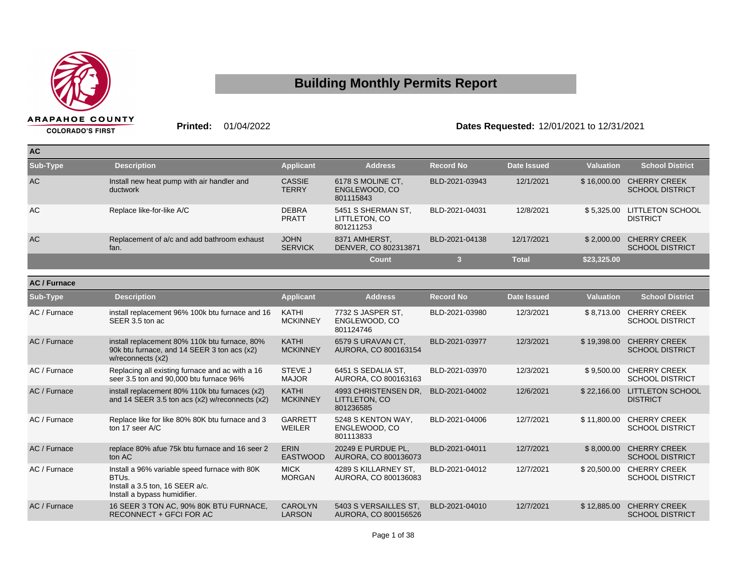

## **Building Monthly Permits Report**

**Printed:** 01/04/2022 **Dates Requested:** 12/01/2021 to 12/31/2021

| <b>AC</b> |                                                        |                               |                                                  |                  |              |                  |                                               |
|-----------|--------------------------------------------------------|-------------------------------|--------------------------------------------------|------------------|--------------|------------------|-----------------------------------------------|
| Sub-Type  | <b>Description</b>                                     | <b>Applicant</b>              | <b>Address</b>                                   | <b>Record No</b> | Date Issued  | <b>Valuation</b> | <b>School District</b>                        |
| <b>AC</b> | Install new heat pump with air handler and<br>ductwork | <b>CASSIE</b><br><b>TERRY</b> | 6178 S MOLINE CT,<br>ENGLEWOOD, CO<br>801115843  | BLD-2021-03943   | 12/1/2021    | \$16,000.00      | <b>CHERRY CREEK</b><br><b>SCHOOL DISTRICT</b> |
| AC        | Replace like-for-like A/C                              | <b>DEBRA</b><br><b>PRATT</b>  | 5451 S SHERMAN ST,<br>LITTLETON, CO<br>801211253 | BLD-2021-04031   | 12/8/2021    | \$5.325.00       | <b>LITTLETON SCHOOL</b><br><b>DISTRICT</b>    |
| <b>AC</b> | Replacement of a/c and add bathroom exhaust<br>fan.    | <b>JOHN</b><br><b>SERVICK</b> | 8371 AMHERST,<br>DENVER, CO 802313871            | BLD-2021-04138   | 12/17/2021   | \$2.000.00       | <b>CHERRY CREEK</b><br><b>SCHOOL DISTRICT</b> |
|           |                                                        |                               | <b>Count</b>                                     |                  | <b>Total</b> | \$23,325.00      |                                               |

| <b>AC / Furnace</b> |                                                                                                                                      |                                 |                                                    |                  |                    |                  |                                               |
|---------------------|--------------------------------------------------------------------------------------------------------------------------------------|---------------------------------|----------------------------------------------------|------------------|--------------------|------------------|-----------------------------------------------|
| Sub-Type            | <b>Description</b>                                                                                                                   | <b>Applicant</b>                | <b>Address</b>                                     | <b>Record No</b> | <b>Date Issued</b> | <b>Valuation</b> | <b>School District</b>                        |
| AC / Furnace        | install replacement 96% 100k btu furnace and 16<br>SEER 3.5 ton ac                                                                   | KATHI<br><b>MCKINNEY</b>        | 7732 S JASPER ST.<br>ENGLEWOOD, CO<br>801124746    | BLD-2021-03980   | 12/3/2021          | \$8,713.00       | <b>CHERRY CREEK</b><br><b>SCHOOL DISTRICT</b> |
| AC / Furnace        | install replacement 80% 110k btu furnace, 80%<br>90k btu furnace, and 14 SEER 3 ton acs (x2)<br>w/reconnects (x2)                    | KATHI<br><b>MCKINNEY</b>        | 6579 S URAVAN CT.<br>AURORA, CO 800163154          | BLD-2021-03977   | 12/3/2021          | \$19,398.00      | <b>CHERRY CREEK</b><br><b>SCHOOL DISTRICT</b> |
| AC / Furnace        | Replacing all existing furnace and ac with a 16<br>seer 3.5 ton and 90,000 btu furnace 96%                                           | STEVE J<br><b>MAJOR</b>         | 6451 S SEDALIA ST.<br>AURORA, CO 800163163         | BLD-2021-03970   | 12/3/2021          | \$9,500.00       | <b>CHERRY CREEK</b><br><b>SCHOOL DISTRICT</b> |
| AC / Furnace        | install replacement 80% 110k btu furnaces (x2)<br>and 14 SEER 3.5 ton acs $(x2)$ w/reconnects $(x2)$                                 | KATHI<br><b>MCKINNEY</b>        | 4993 CHRISTENSEN DR.<br>LITTLETON, CO<br>801236585 | BLD-2021-04002   | 12/6/2021          | \$22,166.00      | <b>LITTLETON SCHOOL</b><br><b>DISTRICT</b>    |
| AC / Furnace        | Replace like for like 80% 80K btu furnace and 3<br>ton 17 seer A/C                                                                   | <b>GARRETT</b><br><b>WEILER</b> | 5248 S KENTON WAY.<br>ENGLEWOOD, CO<br>801113833   | BLD-2021-04006   | 12/7/2021          | \$11,800.00      | <b>CHERRY CREEK</b><br><b>SCHOOL DISTRICT</b> |
| AC / Furnace        | replace 80% afue 75k btu furnace and 16 seer 2<br>ton AC                                                                             | <b>ERIN</b><br><b>EASTWOOD</b>  | 20249 E PURDUE PL,<br>AURORA, CO 800136073         | BLD-2021-04011   | 12/7/2021          | \$8,000.00       | <b>CHERRY CREEK</b><br><b>SCHOOL DISTRICT</b> |
| AC / Furnace        | Install a 96% variable speed furnace with 80K<br>BTU <sub>s</sub><br>Install a 3.5 ton, 16 SEER a/c.<br>Install a bypass humidifier. | <b>MICK</b><br><b>MORGAN</b>    | 4289 S KILLARNEY ST,<br>AURORA, CO 800136083       | BLD-2021-04012   | 12/7/2021          | \$20,500.00      | <b>CHERRY CREEK</b><br><b>SCHOOL DISTRICT</b> |
| AC / Furnace        | 16 SEER 3 TON AC, 90% 80K BTU FURNACE,<br>RECONNECT + GFCI FOR AC                                                                    | <b>CAROLYN</b><br><b>LARSON</b> | 5403 S VERSAILLES ST.<br>AURORA, CO 800156526      | BLD-2021-04010   | 12/7/2021          | \$12,885.00      | <b>CHERRY CREEK</b><br><b>SCHOOL DISTRICT</b> |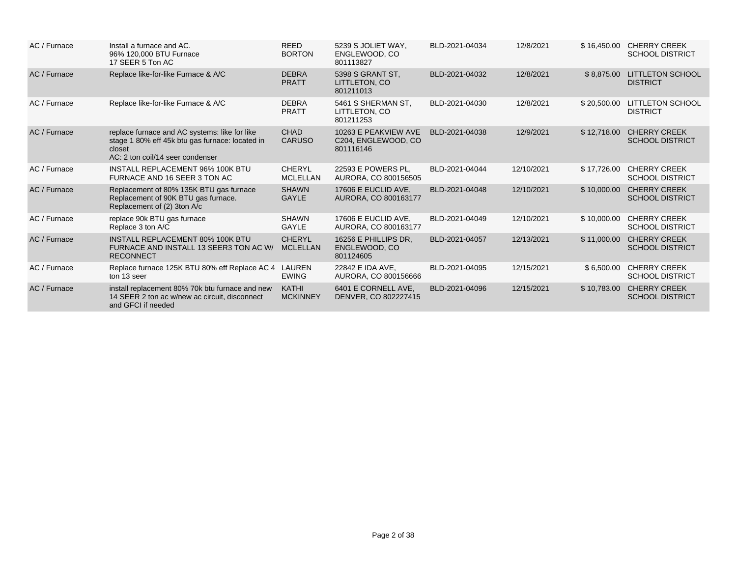| AC / Furnace | Install a furnace and AC.<br>96% 120,000 BTU Furnace<br>17 SEER 5 Ton AC                                                                       | <b>REED</b><br><b>BORTON</b>     | 5239 S JOLIET WAY,<br>ENGLEWOOD, CO<br>801113827         | BLD-2021-04034 | 12/8/2021  | \$16,450.00 | <b>CHERRY CREEK</b><br><b>SCHOOL DISTRICT</b> |
|--------------|------------------------------------------------------------------------------------------------------------------------------------------------|----------------------------------|----------------------------------------------------------|----------------|------------|-------------|-----------------------------------------------|
| AC / Furnace | Replace like-for-like Furnace & A/C                                                                                                            | <b>DEBRA</b><br><b>PRATT</b>     | 5398 S GRANT ST,<br>LITTLETON, CO<br>801211013           | BLD-2021-04032 | 12/8/2021  | \$8,875.00  | <b>LITTLETON SCHOOL</b><br><b>DISTRICT</b>    |
| AC / Furnace | Replace like-for-like Furnace & A/C                                                                                                            | <b>DEBRA</b><br><b>PRATT</b>     | 5461 S SHERMAN ST,<br>LITTLETON, CO<br>801211253         | BLD-2021-04030 | 12/8/2021  | \$20,500.00 | <b>LITTLETON SCHOOL</b><br><b>DISTRICT</b>    |
| AC / Furnace | replace furnace and AC systems: like for like<br>stage 1 80% eff 45k btu gas furnace: located in<br>closet<br>AC: 2 ton coil/14 seer condenser | <b>CHAD</b><br><b>CARUSO</b>     | 10263 E PEAKVIEW AVE<br>C204, ENGLEWOOD, CO<br>801116146 | BLD-2021-04038 | 12/9/2021  | \$12,718.00 | <b>CHERRY CREEK</b><br><b>SCHOOL DISTRICT</b> |
| AC / Furnace | <b>INSTALL REPLACEMENT 96% 100K BTU</b><br>FURNACE AND 16 SEER 3 TON AC                                                                        | <b>CHERYL</b><br><b>MCLELLAN</b> | 22593 E POWERS PL.<br>AURORA, CO 800156505               | BLD-2021-04044 | 12/10/2021 | \$17,726.00 | <b>CHERRY CREEK</b><br><b>SCHOOL DISTRICT</b> |
| AC / Furnace | Replacement of 80% 135K BTU gas furnace<br>Replacement of 90K BTU gas furnace.<br>Replacement of (2) 3ton A/c                                  | <b>SHAWN</b><br><b>GAYLE</b>     | 17606 E EUCLID AVE.<br>AURORA, CO 800163177              | BLD-2021-04048 | 12/10/2021 | \$10,000.00 | <b>CHERRY CREEK</b><br><b>SCHOOL DISTRICT</b> |
| AC / Furnace | replace 90k BTU gas furnace<br>Replace 3 ton A/C                                                                                               | <b>SHAWN</b><br>GAYLE            | 17606 E EUCLID AVE.<br>AURORA, CO 800163177              | BLD-2021-04049 | 12/10/2021 | \$10,000.00 | <b>CHERRY CREEK</b><br><b>SCHOOL DISTRICT</b> |
| AC / Furnace | <b>INSTALL REPLACEMENT 80% 100K BTU</b><br>FURNACE AND INSTALL 13 SEER3 TON AC W/<br><b>RECONNECT</b>                                          | <b>CHERYL</b><br><b>MCLELLAN</b> | 16256 E PHILLIPS DR,<br>ENGLEWOOD, CO<br>801124605       | BLD-2021-04057 | 12/13/2021 | \$11,000.00 | <b>CHERRY CREEK</b><br><b>SCHOOL DISTRICT</b> |
| AC / Furnace | Replace furnace 125K BTU 80% eff Replace AC 4<br>ton 13 seer                                                                                   | LAUREN<br><b>EWING</b>           | 22842 E IDA AVE.<br>AURORA, CO 800156666                 | BLD-2021-04095 | 12/15/2021 | \$6,500.00  | <b>CHERRY CREEK</b><br><b>SCHOOL DISTRICT</b> |
| AC / Furnace | install replacement 80% 70k btu furnace and new<br>14 SEER 2 ton ac w/new ac circuit, disconnect<br>and GFCI if needed                         | <b>KATHI</b><br><b>MCKINNEY</b>  | 6401 E CORNELL AVE.<br>DENVER, CO 802227415              | BLD-2021-04096 | 12/15/2021 | \$10,783.00 | <b>CHERRY CREEK</b><br><b>SCHOOL DISTRICT</b> |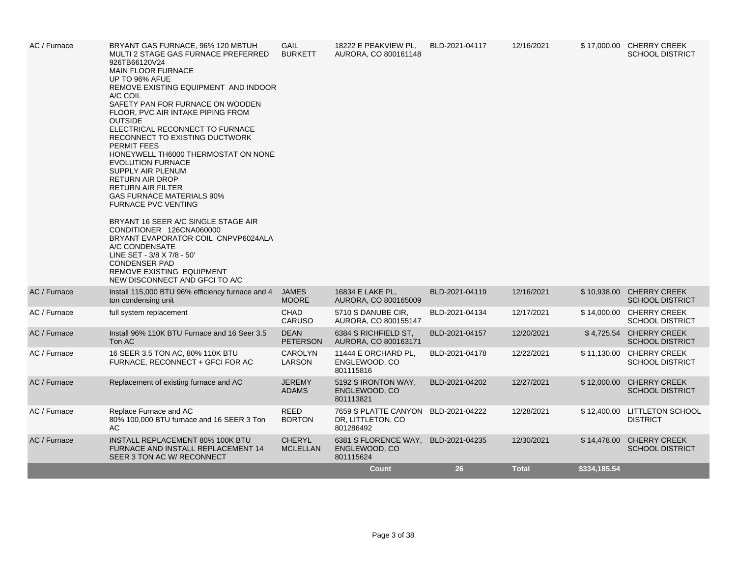| AC / Furnace | BRYANT GAS FURNACE, 96% 120 MBTUH<br>MULTI 2 STAGE GAS FURNACE PREFERRED<br>926TB66120V24<br><b>MAIN FLOOR FURNACE</b><br>UP TO 96% AFUE<br>REMOVE EXISTING EQUIPMENT AND INDOOR<br>A/C COIL<br>SAFETY PAN FOR FURNACE ON WOODEN<br>FLOOR, PVC AIR INTAKE PIPING FROM<br><b>OUTSIDE</b><br>ELECTRICAL RECONNECT TO FURNACE<br>RECONNECT TO EXISTING DUCTWORK<br><b>PERMIT FEES</b><br>HONEYWELL TH6000 THERMOSTAT ON NONE<br><b>EVOLUTION FURNACE</b><br>SUPPLY AIR PLENUM<br><b>RETURN AIR DROP</b><br><b>RETURN AIR FILTER</b><br>GAS FURNACE MATERIALS 90%<br><b>FURNACE PVC VENTING</b><br>BRYANT 16 SEER A/C SINGLE STAGE AIR<br>CONDITIONER 126CNA060000<br>BRYANT EVAPORATOR COIL CNPVP6024ALA<br>A/C CONDENSATE<br>LINE SET - 3/8 X 7/8 - 50'<br><b>CONDENSER PAD</b><br>REMOVE EXISTING EQUIPMENT<br>NEW DISCONNECT AND GFCI TO A/C | <b>GAIL</b><br><b>BURKETT</b>    | 18222 E PEAKVIEW PL,<br>AURORA, CO 800161148           | BLD-2021-04117 | 12/16/2021   |              | \$17,000.00 CHERRY CREEK<br><b>SCHOOL DISTRICT</b> |
|--------------|----------------------------------------------------------------------------------------------------------------------------------------------------------------------------------------------------------------------------------------------------------------------------------------------------------------------------------------------------------------------------------------------------------------------------------------------------------------------------------------------------------------------------------------------------------------------------------------------------------------------------------------------------------------------------------------------------------------------------------------------------------------------------------------------------------------------------------------------|----------------------------------|--------------------------------------------------------|----------------|--------------|--------------|----------------------------------------------------|
| AC / Furnace | Install 115,000 BTU 96% efficiency furnace and 4<br>ton condensing unit                                                                                                                                                                                                                                                                                                                                                                                                                                                                                                                                                                                                                                                                                                                                                                      | <b>JAMES</b><br><b>MOORE</b>     | 16834 E LAKE PL,<br>AURORA, CO 800165009               | BLD-2021-04119 | 12/16/2021   |              | \$10,938.00 CHERRY CREEK<br><b>SCHOOL DISTRICT</b> |
| AC / Furnace | full system replacement                                                                                                                                                                                                                                                                                                                                                                                                                                                                                                                                                                                                                                                                                                                                                                                                                      | <b>CHAD</b><br><b>CARUSO</b>     | 5710 S DANUBE CIR,<br>AURORA, CO 800155147             | BLD-2021-04134 | 12/17/2021   |              | \$14,000.00 CHERRY CREEK<br><b>SCHOOL DISTRICT</b> |
| AC / Furnace | Install 96% 110K BTU Furnace and 16 Seer 3.5<br>Ton AC                                                                                                                                                                                                                                                                                                                                                                                                                                                                                                                                                                                                                                                                                                                                                                                       | <b>DEAN</b><br><b>PETERSON</b>   | 6384 S RICHFIELD ST.<br>AURORA, CO 800163171           | BLD-2021-04157 | 12/20/2021   |              | \$4,725.54 CHERRY CREEK<br><b>SCHOOL DISTRICT</b>  |
| AC / Furnace | 16 SEER 3.5 TON AC, 80% 110K BTU<br>FURNACE, RECONNECT + GFCI FOR AC                                                                                                                                                                                                                                                                                                                                                                                                                                                                                                                                                                                                                                                                                                                                                                         | <b>CAROLYN</b><br>LARSON         | 11444 E ORCHARD PL,<br>ENGLEWOOD, CO<br>801115816      | BLD-2021-04178 | 12/22/2021   |              | \$11,130.00 CHERRY CREEK<br><b>SCHOOL DISTRICT</b> |
| AC / Furnace | Replacement of existing furnace and AC                                                                                                                                                                                                                                                                                                                                                                                                                                                                                                                                                                                                                                                                                                                                                                                                       | <b>JEREMY</b><br><b>ADAMS</b>    | 5192 S IRONTON WAY,<br>ENGLEWOOD, CO<br>801113821      | BLD-2021-04202 | 12/27/2021   |              | \$12,000.00 CHERRY CREEK<br><b>SCHOOL DISTRICT</b> |
| AC / Furnace | Replace Furnace and AC<br>80% 100,000 BTU furnace and 16 SEER 3 Ton<br>AC                                                                                                                                                                                                                                                                                                                                                                                                                                                                                                                                                                                                                                                                                                                                                                    | <b>REED</b><br><b>BORTON</b>     | 7659 S PLATTE CANYON<br>DR, LITTLETON, CO<br>801286492 | BLD-2021-04222 | 12/28/2021   |              | \$12,400.00 LITTLETON SCHOOL<br><b>DISTRICT</b>    |
| AC / Furnace | INSTALL REPLACEMENT 80% 100K BTU<br>FURNACE AND INSTALL REPLACEMENT 14<br>SEER 3 TON AC W/ RECONNECT                                                                                                                                                                                                                                                                                                                                                                                                                                                                                                                                                                                                                                                                                                                                         | <b>CHERYL</b><br><b>MCLELLAN</b> | 6381 S FLORENCE WAY,<br>ENGLEWOOD, CO<br>801115624     | BLD-2021-04235 | 12/30/2021   |              | \$14,478.00 CHERRY CREEK<br><b>SCHOOL DISTRICT</b> |
|              |                                                                                                                                                                                                                                                                                                                                                                                                                                                                                                                                                                                                                                                                                                                                                                                                                                              |                                  | <b>Count</b>                                           | 26             | <b>Total</b> | \$334,185.54 |                                                    |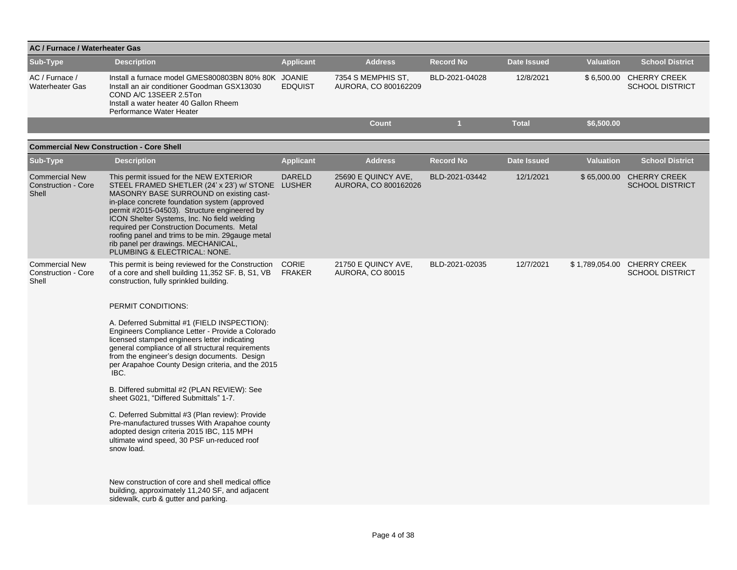| AC / Furnace / Waterheater Gas                               |                                                                                                                                                                                                                                                                                                                                                                                                                                                                                                                                                                                                                                                                                                                                                                                                                                                                                                                                                       |                        |                                                |                  |                    |                  |                                                       |
|--------------------------------------------------------------|-------------------------------------------------------------------------------------------------------------------------------------------------------------------------------------------------------------------------------------------------------------------------------------------------------------------------------------------------------------------------------------------------------------------------------------------------------------------------------------------------------------------------------------------------------------------------------------------------------------------------------------------------------------------------------------------------------------------------------------------------------------------------------------------------------------------------------------------------------------------------------------------------------------------------------------------------------|------------------------|------------------------------------------------|------------------|--------------------|------------------|-------------------------------------------------------|
| Sub-Type                                                     | <b>Description</b>                                                                                                                                                                                                                                                                                                                                                                                                                                                                                                                                                                                                                                                                                                                                                                                                                                                                                                                                    | <b>Applicant</b>       | <b>Address</b>                                 | <b>Record No</b> | <b>Date Issued</b> | <b>Valuation</b> | <b>School District</b>                                |
| AC / Furnace /<br><b>Waterheater Gas</b>                     | Install a furnace model GMES800803BN 80% 80K JOANIE<br>Install an air conditioner Goodman GSX13030<br>COND A/C 13SEER 2.5Ton<br>Install a water heater 40 Gallon Rheem<br>Performance Water Heater                                                                                                                                                                                                                                                                                                                                                                                                                                                                                                                                                                                                                                                                                                                                                    | <b>EDQUIST</b>         | 7354 S MEMPHIS ST,<br>AURORA, CO 800162209     | BLD-2021-04028   | 12/8/2021          |                  | \$6,500.00 CHERRY CREEK<br><b>SCHOOL DISTRICT</b>     |
|                                                              |                                                                                                                                                                                                                                                                                                                                                                                                                                                                                                                                                                                                                                                                                                                                                                                                                                                                                                                                                       |                        | <b>Count</b>                                   | $\mathbf{1}$     | <b>Total</b>       | \$6,500.00       |                                                       |
|                                                              | <b>Commercial New Construction - Core Shell</b>                                                                                                                                                                                                                                                                                                                                                                                                                                                                                                                                                                                                                                                                                                                                                                                                                                                                                                       |                        |                                                |                  |                    |                  |                                                       |
| Sub-Type                                                     | <b>Description</b>                                                                                                                                                                                                                                                                                                                                                                                                                                                                                                                                                                                                                                                                                                                                                                                                                                                                                                                                    | <b>Applicant</b>       | <b>Address</b>                                 | <b>Record No</b> | <b>Date Issued</b> | <b>Valuation</b> | <b>School District</b>                                |
| <b>Commercial New</b><br><b>Construction - Core</b><br>Shell | This permit issued for the NEW EXTERIOR<br>STEEL FRAMED SHETLER (24' x 23') w/ STONE LUSHER<br>MASONRY BASE SURROUND on existing cast-<br>in-place concrete foundation system (approved<br>permit #2015-04503). Structure engineered by<br>ICON Shelter Systems, Inc. No field welding<br>required per Construction Documents. Metal<br>roofing panel and trims to be min. 29 gauge metal<br>rib panel per drawings. MECHANICAL,<br>PLUMBING & ELECTRICAL: NONE.                                                                                                                                                                                                                                                                                                                                                                                                                                                                                      | <b>DARELD</b>          | 25690 E QUINCY AVE,<br>AURORA, CO 800162026    | BLD-2021-03442   | 12/1/2021          |                  | \$65,000.00 CHERRY CREEK<br><b>SCHOOL DISTRICT</b>    |
| <b>Commercial New</b><br>Construction - Core<br>Shell        | This permit is being reviewed for the Construction<br>of a core and shell building 11,352 SF. B, S1, VB<br>construction, fully sprinkled building.<br>PERMIT CONDITIONS:<br>A. Deferred Submittal #1 (FIELD INSPECTION):<br>Engineers Compliance Letter - Provide a Colorado<br>licensed stamped engineers letter indicating<br>general compliance of all structural requirements<br>from the engineer's design documents. Design<br>per Arapahoe County Design criteria, and the 2015<br>IBC.<br>B. Differed submittal #2 (PLAN REVIEW): See<br>sheet G021, "Differed Submittals" 1-7.<br>C. Deferred Submittal #3 (Plan review): Provide<br>Pre-manufactured trusses With Arapahoe county<br>adopted design criteria 2015 IBC, 115 MPH<br>ultimate wind speed, 30 PSF un-reduced roof<br>snow load.<br>New construction of core and shell medical office<br>building, approximately 11,240 SF, and adjacent<br>sidewalk, curb & gutter and parking. | <b>CORIE</b><br>FRAKER | 21750 E QUINCY AVE,<br><b>AURORA, CO 80015</b> | BLD-2021-02035   | 12/7/2021          |                  | \$1,789,054.00 CHERRY CREEK<br><b>SCHOOL DISTRICT</b> |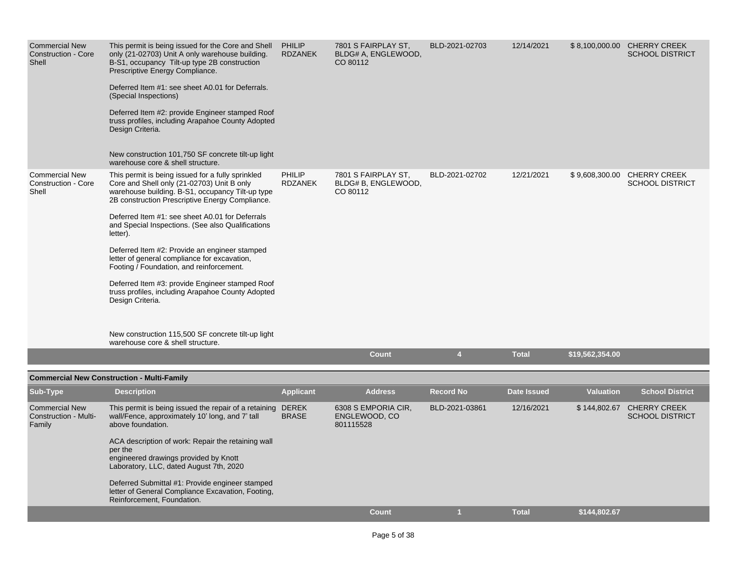| <b>Commercial New</b><br><b>Construction - Core</b><br>Shell | This permit is being issued for the Core and Shell<br>only (21-02703) Unit A only warehouse building.<br>B-S1, occupancy Tilt-up type 2B construction<br>Prescriptive Energy Compliance.<br>Deferred Item #1: see sheet A0.01 for Deferrals.<br>(Special Inspections)<br>Deferred Item #2: provide Engineer stamped Roof<br>truss profiles, including Arapahoe County Adopted<br>Design Criteria.<br>New construction 101,750 SF concrete tilt-up light<br>warehouse core & shell structure.                                                                                                                                                              | PHILIP<br>RDZANEK | 7801 S FAIRPLAY ST,<br>BLDG# A, ENGLEWOOD,<br>CO 80112 | BLD-2021-02703   | 12/14/2021         |                  | \$8,100,000.00 CHERRY CREEK<br><b>SCHOOL DISTRICT</b> |
|--------------------------------------------------------------|-----------------------------------------------------------------------------------------------------------------------------------------------------------------------------------------------------------------------------------------------------------------------------------------------------------------------------------------------------------------------------------------------------------------------------------------------------------------------------------------------------------------------------------------------------------------------------------------------------------------------------------------------------------|-------------------|--------------------------------------------------------|------------------|--------------------|------------------|-------------------------------------------------------|
| <b>Commercial New</b><br>Construction - Core<br>Shell        | This permit is being issued for a fully sprinkled<br>Core and Shell only (21-02703) Unit B only<br>warehouse building. B-S1, occupancy Tilt-up type<br>2B construction Prescriptive Energy Compliance.<br>Deferred Item #1: see sheet A0.01 for Deferrals<br>and Special Inspections. (See also Qualifications<br>letter).<br>Deferred Item #2: Provide an engineer stamped<br>letter of general compliance for excavation,<br>Footing / Foundation, and reinforcement.<br>Deferred Item #3: provide Engineer stamped Roof<br>truss profiles, including Arapahoe County Adopted<br>Design Criteria.<br>New construction 115,500 SF concrete tilt-up light | PHILIP<br>RDZANEK | 7801 S FAIRPLAY ST,<br>BLDG# B, ENGLEWOOD,<br>CO 80112 | BLD-2021-02702   | 12/21/2021         |                  | \$9,608,300.00 CHERRY CREEK<br><b>SCHOOL DISTRICT</b> |
|                                                              | warehouse core & shell structure.                                                                                                                                                                                                                                                                                                                                                                                                                                                                                                                                                                                                                         |                   | <b>Count</b>                                           | $\overline{4}$   | <b>Total</b>       | \$19,562,354.00  |                                                       |
|                                                              |                                                                                                                                                                                                                                                                                                                                                                                                                                                                                                                                                                                                                                                           |                   |                                                        |                  |                    |                  |                                                       |
|                                                              | <b>Commercial New Construction - Multi-Family</b>                                                                                                                                                                                                                                                                                                                                                                                                                                                                                                                                                                                                         |                   |                                                        |                  |                    |                  |                                                       |
| <b>Sub-Type</b>                                              | <b>Description</b>                                                                                                                                                                                                                                                                                                                                                                                                                                                                                                                                                                                                                                        | <b>Applicant</b>  | <b>Address</b>                                         | <b>Record No</b> | <b>Date Issued</b> | <b>Valuation</b> | <b>School District</b>                                |
| <b>Commercial New</b><br>Construction - Multi-<br>Family     | This permit is being issued the repair of a retaining DEREK<br>wall/Fence, approximately 10' long, and 7' tall<br>above foundation.                                                                                                                                                                                                                                                                                                                                                                                                                                                                                                                       | <b>BRASE</b>      | 6308 S EMPORIA CIR,<br>ENGLEWOOD, CO<br>801115528      | BLD-2021-03861   | 12/16/2021         | \$144,802.67     | <b>CHERRY CREEK</b><br><b>SCHOOL DISTRICT</b>         |
|                                                              | ACA description of work: Repair the retaining wall<br>per the<br>engineered drawings provided by Knott<br>Laboratory, LLC, dated August 7th, 2020<br>Deferred Submittal #1: Provide engineer stamped                                                                                                                                                                                                                                                                                                                                                                                                                                                      |                   |                                                        |                  |                    |                  |                                                       |
|                                                              | letter of General Compliance Excavation, Footing,<br>Reinforcement, Foundation.                                                                                                                                                                                                                                                                                                                                                                                                                                                                                                                                                                           |                   |                                                        |                  |                    |                  |                                                       |
|                                                              |                                                                                                                                                                                                                                                                                                                                                                                                                                                                                                                                                                                                                                                           |                   | <b>Count</b>                                           |                  | <b>Total</b>       | \$144,802.67     |                                                       |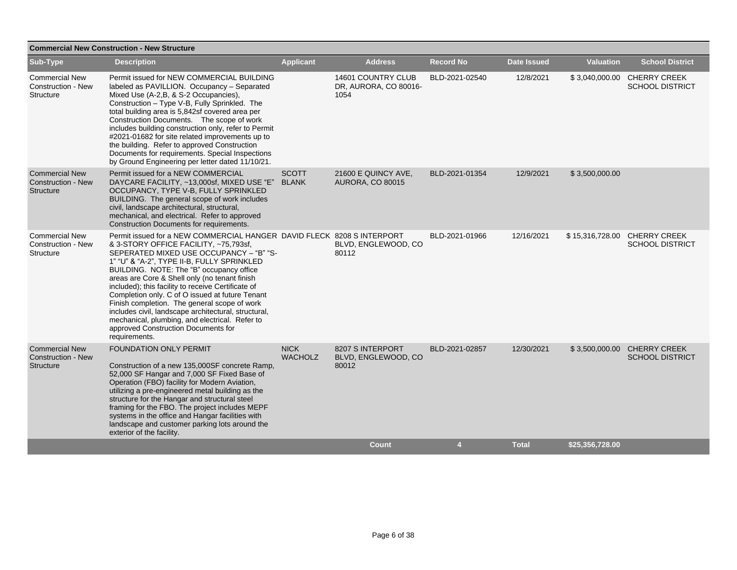|                                                                 | <b>Commercial New Construction - New Structure</b>                                                                                                                                                                                                                                                                                                                                                                                                                                                                                                                                                                               |                               |                                                     |                  |                    |                  |                                                        |  |  |  |
|-----------------------------------------------------------------|----------------------------------------------------------------------------------------------------------------------------------------------------------------------------------------------------------------------------------------------------------------------------------------------------------------------------------------------------------------------------------------------------------------------------------------------------------------------------------------------------------------------------------------------------------------------------------------------------------------------------------|-------------------------------|-----------------------------------------------------|------------------|--------------------|------------------|--------------------------------------------------------|--|--|--|
| Sub-Type                                                        | <b>Description</b>                                                                                                                                                                                                                                                                                                                                                                                                                                                                                                                                                                                                               | <b>Applicant</b>              | <b>Address</b>                                      | <b>Record No</b> | <b>Date Issued</b> | <b>Valuation</b> | <b>School District</b>                                 |  |  |  |
| <b>Commercial New</b><br>Construction - New<br>Structure        | Permit issued for NEW COMMERCIAL BUILDING<br>labeled as PAVILLION. Occupancy - Separated<br>Mixed Use (A-2, B, & S-2 Occupancies),<br>Construction - Type V-B, Fully Sprinkled. The<br>total building area is 5,842sf covered area per<br>Construction Documents. The scope of work<br>includes building construction only, refer to Permit<br>#2021-01682 for site related improvements up to<br>the building. Refer to approved Construction<br>Documents for requirements. Special Inspections<br>by Ground Engineering per letter dated 11/10/21.                                                                            |                               | 14601 COUNTRY CLUB<br>DR, AURORA, CO 80016-<br>1054 | BLD-2021-02540   | 12/8/2021          |                  | \$3,040,000.00 CHERRY CREEK<br><b>SCHOOL DISTRICT</b>  |  |  |  |
| <b>Commercial New</b><br><b>Construction - New</b><br>Structure | Permit issued for a NEW COMMERCIAL<br>DAYCARE FACILITY, ~13,000sf, MIXED USE "E"<br>OCCUPANCY, TYPE V-B, FULLY SPRINKLED<br>BUILDING. The general scope of work includes<br>civil, landscape architectural, structural,<br>mechanical, and electrical. Refer to approved<br>Construction Documents for requirements.                                                                                                                                                                                                                                                                                                             | <b>SCOTT</b><br><b>BLANK</b>  | 21600 E QUINCY AVE,<br><b>AURORA, CO 80015</b>      | BLD-2021-01354   | 12/9/2021          | \$3,500,000.00   |                                                        |  |  |  |
| <b>Commercial New</b><br><b>Construction - New</b><br>Structure | Permit issued for a NEW COMMERCIAL HANGER DAVID FLECK 8208 S INTERPORT<br>& 3-STORY OFFICE FACILITY, ~75,793sf,<br>SEPERATED MIXED USE OCCUPANCY - "B" "S-<br>1" "U" & "A-2", TYPE II-B, FULLY SPRINKLED<br>BUILDING. NOTE: The "B" occupancy office<br>areas are Core & Shell only (no tenant finish<br>included); this facility to receive Certificate of<br>Completion only. C of O issued at future Tenant<br>Finish completion. The general scope of work<br>includes civil, landscape architectural, structural,<br>mechanical, plumbing, and electrical. Refer to<br>approved Construction Documents for<br>requirements. |                               | BLVD, ENGLEWOOD, CO<br>80112                        | BLD-2021-01966   | 12/16/2021         |                  | \$15,316,728.00 CHERRY CREEK<br><b>SCHOOL DISTRICT</b> |  |  |  |
| <b>Commercial New</b><br><b>Construction - New</b><br>Structure | FOUNDATION ONLY PERMIT<br>Construction of a new 135,000SF concrete Ramp,<br>52,000 SF Hangar and 7,000 SF Fixed Base of<br>Operation (FBO) facility for Modern Aviation,<br>utilizing a pre-engineered metal building as the<br>structure for the Hangar and structural steel<br>framing for the FBO. The project includes MEPF<br>systems in the office and Hangar facilities with<br>landscape and customer parking lots around the<br>exterior of the facility.                                                                                                                                                               | <b>NICK</b><br><b>WACHOLZ</b> | 8207 S INTERPORT<br>BLVD, ENGLEWOOD, CO<br>80012    | BLD-2021-02857   | 12/30/2021         |                  | \$3,500,000.00 CHERRY CREEK<br><b>SCHOOL DISTRICT</b>  |  |  |  |
|                                                                 |                                                                                                                                                                                                                                                                                                                                                                                                                                                                                                                                                                                                                                  |                               | <b>Count</b>                                        | 4                | <b>Total</b>       | \$25,356,728.00  |                                                        |  |  |  |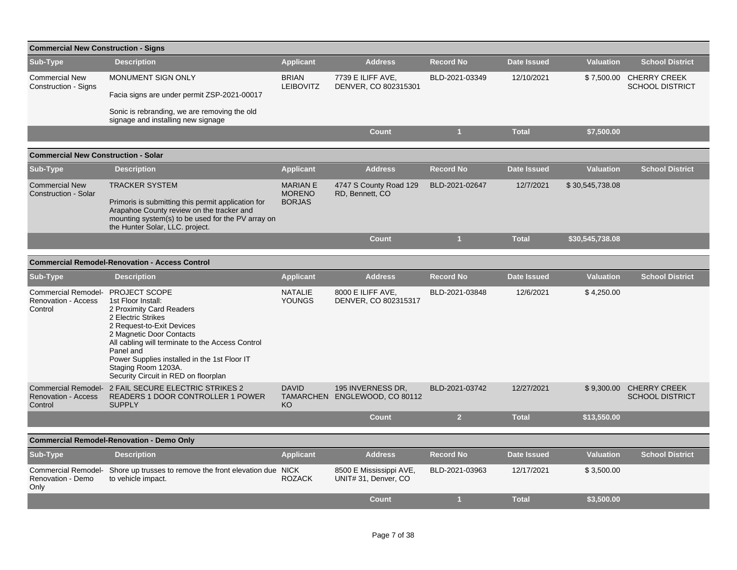| <b>Commercial New Construction - Signs</b>                          |                                                                                                                                                                                                                                                                                                                                       |                                                   |                                                    |                  |                    |                  |                                               |
|---------------------------------------------------------------------|---------------------------------------------------------------------------------------------------------------------------------------------------------------------------------------------------------------------------------------------------------------------------------------------------------------------------------------|---------------------------------------------------|----------------------------------------------------|------------------|--------------------|------------------|-----------------------------------------------|
| Sub-Type                                                            | <b>Description</b>                                                                                                                                                                                                                                                                                                                    | <b>Applicant</b>                                  | <b>Address</b>                                     | <b>Record No</b> | <b>Date Issued</b> | <b>Valuation</b> | <b>School District</b>                        |
| <b>Commercial New</b><br><b>Construction - Signs</b>                | MONUMENT SIGN ONLY                                                                                                                                                                                                                                                                                                                    | <b>BRIAN</b><br><b>LEIBOVITZ</b>                  | 7739 E ILIFF AVE.<br>DENVER, CO 802315301          | BLD-2021-03349   | 12/10/2021         | \$7,500.00       | <b>CHERRY CREEK</b><br><b>SCHOOL DISTRICT</b> |
|                                                                     | Facia signs are under permit ZSP-2021-00017                                                                                                                                                                                                                                                                                           |                                                   |                                                    |                  |                    |                  |                                               |
|                                                                     | Sonic is rebranding, we are removing the old<br>signage and installing new signage                                                                                                                                                                                                                                                    |                                                   |                                                    |                  |                    |                  |                                               |
|                                                                     |                                                                                                                                                                                                                                                                                                                                       |                                                   | <b>Count</b>                                       | 1                | <b>Total</b>       | \$7,500.00       |                                               |
| <b>Commercial New Construction - Solar</b>                          |                                                                                                                                                                                                                                                                                                                                       |                                                   |                                                    |                  |                    |                  |                                               |
| Sub-Type                                                            | <b>Description</b>                                                                                                                                                                                                                                                                                                                    | <b>Applicant</b>                                  | <b>Address</b>                                     | <b>Record No</b> | <b>Date Issued</b> | <b>Valuation</b> | <b>School District</b>                        |
| <b>Commercial New</b><br><b>Construction - Solar</b>                | <b>TRACKER SYSTEM</b><br>Primoris is submitting this permit application for<br>Arapahoe County review on the tracker and<br>mounting system(s) to be used for the PV array on<br>the Hunter Solar, LLC. project.                                                                                                                      | <b>MARIAN E</b><br><b>MORENO</b><br><b>BORJAS</b> | 4747 S County Road 129<br>RD, Bennett, CO          | BLD-2021-02647   | 12/7/2021          | \$30,545,738.08  |                                               |
|                                                                     |                                                                                                                                                                                                                                                                                                                                       |                                                   | <b>Count</b>                                       | $\mathbf{1}$     | <b>Total</b>       | \$30,545,738.08  |                                               |
|                                                                     | <b>Commercial Remodel-Renovation - Access Control</b>                                                                                                                                                                                                                                                                                 |                                                   |                                                    |                  |                    |                  |                                               |
| Sub-Type                                                            | <b>Description</b>                                                                                                                                                                                                                                                                                                                    | <b>Applicant</b>                                  | <b>Address</b>                                     | <b>Record No</b> | <b>Date Issued</b> | <b>Valuation</b> | <b>School District</b>                        |
|                                                                     |                                                                                                                                                                                                                                                                                                                                       |                                                   |                                                    |                  |                    |                  |                                               |
| <b>Commercial Remodel-</b><br><b>Renovation - Access</b><br>Control | <b>PROJECT SCOPE</b><br>1st Floor Install:<br>2 Proximity Card Readers<br>2 Electric Strikes<br>2 Request-to-Exit Devices<br>2 Magnetic Door Contacts<br>All cabling will terminate to the Access Control<br>Panel and<br>Power Supplies installed in the 1st Floor IT<br>Staging Room 1203A.<br>Security Circuit in RED on floorplan | <b>NATALIE</b><br><b>YOUNGS</b>                   | 8000 E ILIFF AVE.<br>DENVER, CO 802315317          | BLD-2021-03848   | 12/6/2021          | \$4,250.00       |                                               |
| <b>Renovation - Access</b><br>Control                               | Commercial Remodel- 2 FAIL SECURE ELECTRIC STRIKES 2<br><b>READERS 1 DOOR CONTROLLER 1 POWER</b><br><b>SUPPLY</b>                                                                                                                                                                                                                     | <b>DAVID</b><br>KO                                | 195 INVERNESS DR,<br>TAMARCHEN ENGLEWOOD, CO 80112 | BLD-2021-03742   | 12/27/2021         | \$9,300.00       | <b>CHERRY CREEK</b><br><b>SCHOOL DISTRICT</b> |
|                                                                     |                                                                                                                                                                                                                                                                                                                                       |                                                   | <b>Count</b>                                       | 2 <sup>2</sup>   | <b>Total</b>       | \$13,550.00      |                                               |
|                                                                     | <b>Commercial Remodel-Renovation - Demo Only</b>                                                                                                                                                                                                                                                                                      |                                                   |                                                    |                  |                    |                  |                                               |
| Sub-Type                                                            | <b>Description</b>                                                                                                                                                                                                                                                                                                                    | <b>Applicant</b>                                  | <b>Address</b>                                     | <b>Record No</b> | <b>Date Issued</b> | <b>Valuation</b> | <b>School District</b>                        |
|                                                                     | Commercial Remodel- Shore up trusses to remove the front elevation due NICK                                                                                                                                                                                                                                                           |                                                   | 8500 E Mississippi AVE,                            | BLD-2021-03963   | 12/17/2021         | \$3,500.00       |                                               |
| Renovation - Demo<br>Only                                           | to vehicle impact.                                                                                                                                                                                                                                                                                                                    | <b>ROZACK</b>                                     | UNIT# 31, Denver, CO                               |                  |                    |                  |                                               |
|                                                                     |                                                                                                                                                                                                                                                                                                                                       |                                                   | <b>Count</b>                                       | и                | <b>Total</b>       | \$3,500.00       |                                               |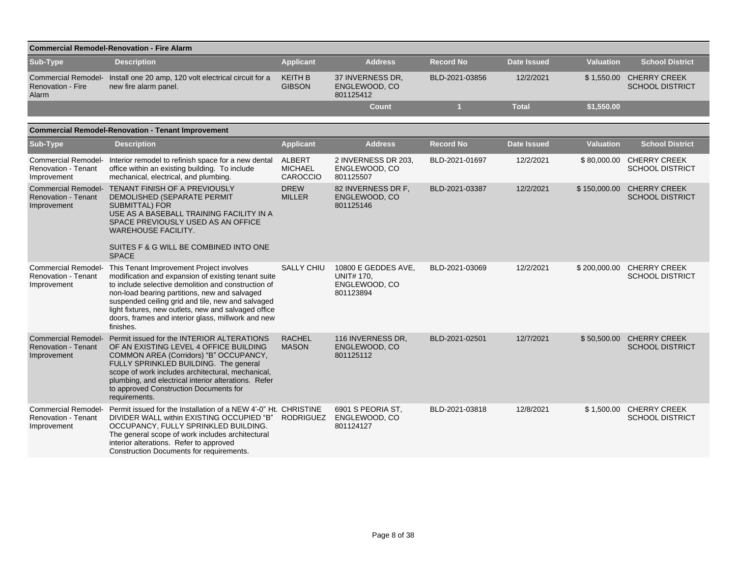|                                                                         | <b>Commercial Remodel-Renovation - Fire Alarm</b>                                                                                                                                                                                                                                                                                                                                       |                                      |                                                                        |                  |                    |                  |                                                     |
|-------------------------------------------------------------------------|-----------------------------------------------------------------------------------------------------------------------------------------------------------------------------------------------------------------------------------------------------------------------------------------------------------------------------------------------------------------------------------------|--------------------------------------|------------------------------------------------------------------------|------------------|--------------------|------------------|-----------------------------------------------------|
| Sub-Type                                                                | <b>Description</b>                                                                                                                                                                                                                                                                                                                                                                      | <b>Applicant</b>                     | <b>Address</b>                                                         | <b>Record No</b> | <b>Date Issued</b> | <b>Valuation</b> | <b>School District</b>                              |
| <b>Renovation - Fire</b><br>Alarm                                       | Commercial Remodel- Install one 20 amp, 120 volt electrical circuit for a<br>new fire alarm panel.                                                                                                                                                                                                                                                                                      | <b>KEITH B</b><br><b>GIBSON</b>      | 37 INVERNESS DR.<br>ENGLEWOOD, CO<br>801125412                         | BLD-2021-03856   | 12/2/2021          |                  | \$1,550.00 CHERRY CREEK<br><b>SCHOOL DISTRICT</b>   |
|                                                                         |                                                                                                                                                                                                                                                                                                                                                                                         |                                      | <b>Count</b>                                                           | $\overline{1}$   | <b>Total</b>       | \$1,550.00       |                                                     |
|                                                                         | <b>Commercial Remodel-Renovation - Tenant Improvement</b>                                                                                                                                                                                                                                                                                                                               |                                      |                                                                        |                  |                    |                  |                                                     |
| Sub-Type                                                                | <b>Description</b>                                                                                                                                                                                                                                                                                                                                                                      | <b>Applicant</b>                     | <b>Address</b>                                                         | <b>Record No</b> | <b>Date Issued</b> | <b>Valuation</b> | <b>School District</b>                              |
| <b>Commercial Remodel-</b><br><b>Renovation - Tenant</b><br>Improvement | Interior remodel to refinish space for a new dental<br>office within an existing building. To include<br>mechanical, electrical, and plumbing.                                                                                                                                                                                                                                          | ALBERT<br><b>MICHAEL</b><br>CAROCCIO | 2 INVERNESS DR 203,<br>ENGLEWOOD, CO<br>801125507                      | BLD-2021-01697   | 12/2/2021          |                  | \$80,000.00 CHERRY CREEK<br><b>SCHOOL DISTRICT</b>  |
| <b>Renovation - Tenant</b><br>Improvement                               | Commercial Remodel- TENANT FINISH OF A PREVIOUSLY<br>DEMOLISHED (SEPARATE PERMIT<br><b>SUBMITTAL) FOR</b><br>USE AS A BASEBALL TRAINING FACILITY IN A<br>SPACE PREVIOUSLY USED AS AN OFFICE<br>WAREHOUSE FACILITY.<br>SUITES F & G WILL BE COMBINED INTO ONE<br><b>SPACE</b>                                                                                                            | <b>DREW</b><br><b>MILLER</b>         | 82 INVERNESS DR F,<br>ENGLEWOOD, CO<br>801125146                       | BLD-2021-03387   | 12/2/2021          | \$150,000.00     | <b>CHERRY CREEK</b><br><b>SCHOOL DISTRICT</b>       |
| <b>Commercial Remodel-</b><br><b>Renovation - Tenant</b><br>Improvement | This Tenant Improvement Project involves<br>modification and expansion of existing tenant suite<br>to include selective demolition and construction of<br>non-load bearing partitions, new and salvaged<br>suspended ceiling grid and tile, new and salvaged<br>light fixtures, new outlets, new and salvaged office<br>doors, frames and interior glass, millwork and new<br>finishes. | <b>SALLY CHIU</b>                    | 10800 E GEDDES AVE,<br><b>UNIT# 170.</b><br>ENGLEWOOD, CO<br>801123894 | BLD-2021-03069   | 12/2/2021          |                  | \$200,000.00 CHERRY CREEK<br><b>SCHOOL DISTRICT</b> |
| <b>Commercial Remodel-</b><br><b>Renovation - Tenant</b><br>Improvement | Permit issued for the INTERIOR ALTERATIONS<br>OF AN EXISTING LEVEL 4 OFFICE BUILDING<br>COMMON AREA (Corridors) "B" OCCUPANCY,<br>FULLY SPRINKLED BUILDING. The general<br>scope of work includes architectural, mechanical,<br>plumbing, and electrical interior alterations. Refer<br>to approved Construction Documents for<br>requirements.                                         | <b>RACHEL</b><br><b>MASON</b>        | 116 INVERNESS DR,<br>ENGLEWOOD, CO<br>801125112                        | BLD-2021-02501   | 12/7/2021          |                  | \$50,500.00 CHERRY CREEK<br><b>SCHOOL DISTRICT</b>  |
| <b>Commercial Remodel-</b><br>Renovation - Tenant<br>Improvement        | Permit issued for the Installation of a NEW 4'-0" Ht. CHRISTINE<br>DIVIDER WALL within EXISTING OCCUPIED "B"<br>OCCUPANCY, FULLY SPRINKLED BUILDING.<br>The general scope of work includes architectural<br>interior alterations. Refer to approved<br>Construction Documents for requirements.                                                                                         | <b>RODRIGUEZ</b>                     | 6901 S PEORIA ST.<br>ENGLEWOOD, CO<br>801124127                        | BLD-2021-03818   | 12/8/2021          |                  | \$1,500.00 CHERRY CREEK<br><b>SCHOOL DISTRICT</b>   |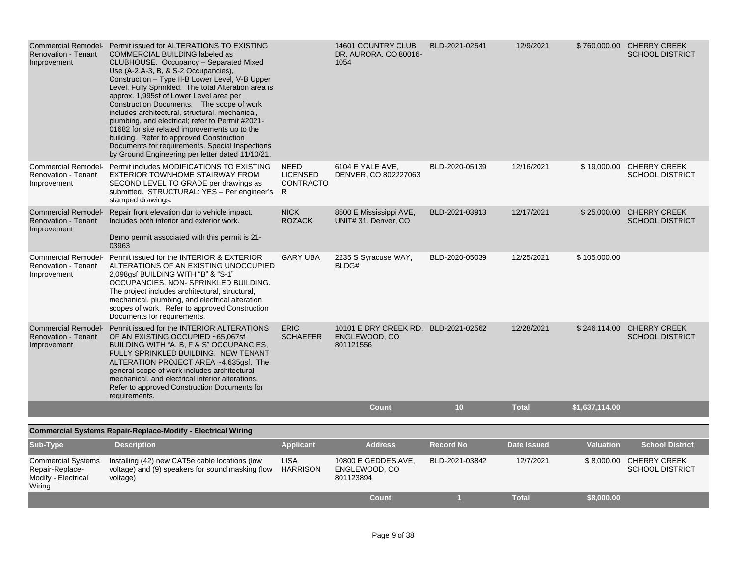| <b>Renovation - Tenant</b><br>Improvement                                     | Commercial Remodel- Permit issued for ALTERATIONS TO EXISTING<br>COMMERCIAL BUILDING labeled as<br>CLUBHOUSE. Occupancy - Separated Mixed<br>Use (A-2, A-3, B, & S-2 Occupancies),<br>Construction - Type II-B Lower Level, V-B Upper<br>Level, Fully Sprinkled. The total Alteration area is<br>approx. 1,995sf of Lower Level area per<br>Construction Documents. The scope of work<br>includes architectural, structural, mechanical,<br>plumbing, and electrical; refer to Permit #2021-<br>01682 for site related improvements up to the<br>building. Refer to approved Construction<br>Documents for requirements. Special Inspections<br>by Ground Engineering per letter dated 11/10/21. |                                                   | 14601 COUNTRY CLUB<br>DR, AURORA, CO 80016-<br>1054                | BLD-2021-02541   | 12/9/2021          |                  | \$760,000.00 CHERRY CREEK<br><b>SCHOOL DISTRICT</b> |
|-------------------------------------------------------------------------------|--------------------------------------------------------------------------------------------------------------------------------------------------------------------------------------------------------------------------------------------------------------------------------------------------------------------------------------------------------------------------------------------------------------------------------------------------------------------------------------------------------------------------------------------------------------------------------------------------------------------------------------------------------------------------------------------------|---------------------------------------------------|--------------------------------------------------------------------|------------------|--------------------|------------------|-----------------------------------------------------|
| Renovation - Tenant<br>Improvement                                            | Commercial Remodel- Permit includes MODIFICATIONS TO EXISTING<br>EXTERIOR TOWNHOME STAIRWAY FROM<br>SECOND LEVEL TO GRADE per drawings as<br>submitted. STRUCTURAL: YES - Per engineer's<br>stamped drawings.                                                                                                                                                                                                                                                                                                                                                                                                                                                                                    | <b>NEED</b><br><b>LICENSED</b><br>CONTRACTO<br>R. | 6104 E YALE AVE,<br>DENVER, CO 802227063                           | BLD-2020-05139   | 12/16/2021         | \$19,000.00      | <b>CHERRY CREEK</b><br><b>SCHOOL DISTRICT</b>       |
| <b>Commercial Remodel-</b><br><b>Renovation - Tenant</b><br>Improvement       | Repair front elevation dur to vehicle impact.<br>Includes both interior and exterior work.<br>Demo permit associated with this permit is 21-<br>03963                                                                                                                                                                                                                                                                                                                                                                                                                                                                                                                                            | <b>NICK</b><br><b>ROZACK</b>                      | 8500 E Mississippi AVE,<br>UNIT# 31, Denver, CO                    | BLD-2021-03913   | 12/17/2021         | \$25,000.00      | <b>CHERRY CREEK</b><br><b>SCHOOL DISTRICT</b>       |
| <b>Renovation - Tenant</b><br>Improvement                                     | Commercial Remodel- Permit issued for the INTERIOR & EXTERIOR<br>ALTERATIONS OF AN EXISTING UNOCCUPIED<br>2,098gsf BUILDING WITH "B" & "S-1"<br>OCCUPANCIES, NON-SPRINKLED BUILDING.<br>The project includes architectural, structural,<br>mechanical, plumbing, and electrical alteration<br>scopes of work. Refer to approved Construction<br>Documents for requirements.                                                                                                                                                                                                                                                                                                                      | <b>GARY UBA</b>                                   | 2235 S Syracuse WAY,<br>BLDG#                                      | BLD-2020-05039   | 12/25/2021         | \$105,000.00     |                                                     |
| <b>Renovation - Tenant</b><br>Improvement                                     | Commercial Remodel- Permit issued for the INTERIOR ALTERATIONS<br>OF AN EXISTING OCCUPIED ~65,067sf<br>BUILDING WITH "A, B, F & S" OCCUPANCIES,<br>FULLY SPRINKLED BUILDING. NEW TENANT<br>ALTERATION PROJECT AREA ~4,635gsf. The<br>general scope of work includes architectural,<br>mechanical, and electrical interior alterations.<br>Refer to approved Construction Documents for<br>requirements.                                                                                                                                                                                                                                                                                          | <b>ERIC</b><br><b>SCHAEFER</b>                    | 10101 E DRY CREEK RD, BLD-2021-02562<br>ENGLEWOOD, CO<br>801121556 |                  | 12/28/2021         | \$246,114.00     | <b>CHERRY CREEK</b><br><b>SCHOOL DISTRICT</b>       |
|                                                                               |                                                                                                                                                                                                                                                                                                                                                                                                                                                                                                                                                                                                                                                                                                  |                                                   | <b>Count</b>                                                       | 10               | <b>Total</b>       | \$1,637,114.00   |                                                     |
|                                                                               | <b>Commercial Systems Repair-Replace-Modify - Electrical Wiring</b>                                                                                                                                                                                                                                                                                                                                                                                                                                                                                                                                                                                                                              |                                                   |                                                                    |                  |                    |                  |                                                     |
| Sub-Type                                                                      | <b>Description</b>                                                                                                                                                                                                                                                                                                                                                                                                                                                                                                                                                                                                                                                                               | <b>Applicant</b>                                  | <b>Address</b>                                                     | <b>Record No</b> | <b>Date Issued</b> | <b>Valuation</b> | <b>School District</b>                              |
| <b>Commercial Systems</b><br>Repair-Replace-<br>Modify - Electrical<br>Wiring | Installing (42) new CAT5e cable locations (low<br>voltage) and (9) speakers for sound masking (low<br>voltage)                                                                                                                                                                                                                                                                                                                                                                                                                                                                                                                                                                                   | <b>LISA</b><br><b>HARRISON</b>                    | 10800 E GEDDES AVE,<br>ENGLEWOOD, CO<br>801123894                  | BLD-2021-03842   | 12/7/2021          |                  | \$8,000.00 CHERRY CREEK<br><b>SCHOOL DISTRICT</b>   |
|                                                                               |                                                                                                                                                                                                                                                                                                                                                                                                                                                                                                                                                                                                                                                                                                  |                                                   | <b>Count</b>                                                       |                  | <b>Total</b>       | \$8,000.00       |                                                     |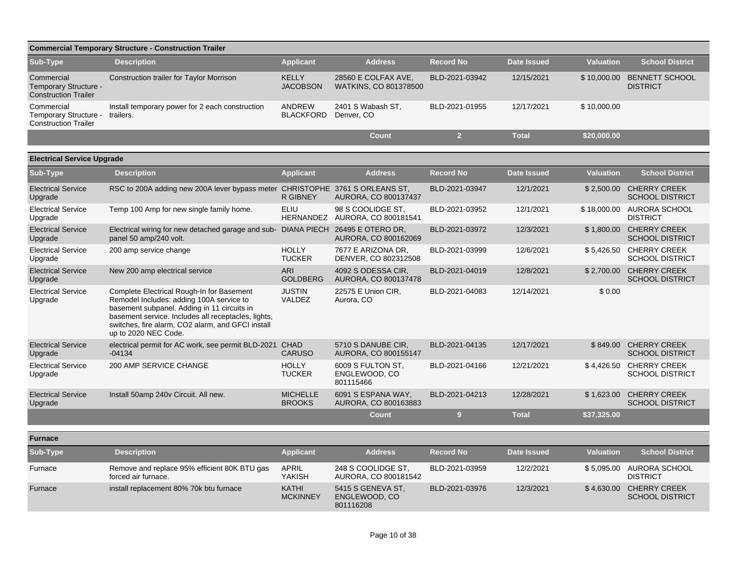| <b>Commercial Temporary Structure - Construction Trailer</b>       |                                                                                                                                                                                                                                                                          |                                   |                                                     |                  |                    |                  |                                                   |  |  |  |
|--------------------------------------------------------------------|--------------------------------------------------------------------------------------------------------------------------------------------------------------------------------------------------------------------------------------------------------------------------|-----------------------------------|-----------------------------------------------------|------------------|--------------------|------------------|---------------------------------------------------|--|--|--|
| Sub-Type                                                           | <b>Description</b>                                                                                                                                                                                                                                                       | <b>Applicant</b>                  | <b>Address</b>                                      | Record No        | <b>Date Issued</b> | <b>Valuation</b> | <b>School District</b>                            |  |  |  |
| Commercial<br>Temporary Structure -<br><b>Construction Trailer</b> | <b>Construction trailer for Taylor Morrison</b>                                                                                                                                                                                                                          | <b>KELLY</b><br><b>JACOBSON</b>   | 28560 E COLFAX AVE,<br><b>WATKINS, CO 801378500</b> | BLD-2021-03942   | 12/15/2021         | \$10,000.00      | <b>BENNETT SCHOOL</b><br><b>DISTRICT</b>          |  |  |  |
| Commercial<br>Temporary Structure -<br><b>Construction Trailer</b> | Install temporary power for 2 each construction<br>trailers.                                                                                                                                                                                                             | <b>ANDREW</b><br><b>BLACKFORD</b> | 2401 S Wabash ST,<br>Denver, CO                     | BLD-2021-01955   | 12/17/2021         | \$10,000.00      |                                                   |  |  |  |
|                                                                    |                                                                                                                                                                                                                                                                          |                                   | <b>Count</b>                                        | 2 <sup>1</sup>   | <b>Total</b>       | \$20,000.00      |                                                   |  |  |  |
| <b>Electrical Service Upgrade</b>                                  |                                                                                                                                                                                                                                                                          |                                   |                                                     |                  |                    |                  |                                                   |  |  |  |
| Sub-Type                                                           | <b>Description</b>                                                                                                                                                                                                                                                       | <b>Applicant</b>                  | <b>Address</b>                                      | <b>Record No</b> | <b>Date Issued</b> | <b>Valuation</b> | <b>School District</b>                            |  |  |  |
| <b>Electrical Service</b><br>Upgrade                               | RSC to 200A adding new 200A lever bypass meter CHRISTOPHE 3761 S ORLEANS ST,                                                                                                                                                                                             | <b>R GIBNEY</b>                   | AURORA, CO 800137437                                | BLD-2021-03947   | 12/1/2021          |                  | \$2.500.00 CHERRY CREEK<br><b>SCHOOL DISTRICT</b> |  |  |  |
| <b>Electrical Service</b><br>Upgrade                               | Temp 100 Amp for new single family home.                                                                                                                                                                                                                                 | <b>ELIU</b>                       | 98 S COOLIDGE ST.<br>HERNANDEZ AURORA, CO 800181541 | BLD-2021-03952   | 12/1/2021          |                  | \$18,000.00 AURORA SCHOOL<br><b>DISTRICT</b>      |  |  |  |
| <b>Electrical Service</b><br>Upgrade                               | Electrical wiring for new detached garage and sub- DIANA PIECH 26495 E OTERO DR,<br>panel 50 amp/240 volt.                                                                                                                                                               |                                   | AURORA, CO 800162069                                | BLD-2021-03972   | 12/3/2021          |                  | \$1,800.00 CHERRY CREEK<br><b>SCHOOL DISTRICT</b> |  |  |  |
| <b>Electrical Service</b><br>Upgrade                               | 200 amp service change                                                                                                                                                                                                                                                   | <b>HOLLY</b><br><b>TUCKER</b>     | 7677 E ARIZONA DR.<br>DENVER, CO 802312508          | BLD-2021-03999   | 12/6/2021          |                  | \$5,426.50 CHERRY CREEK<br><b>SCHOOL DISTRICT</b> |  |  |  |
| <b>Electrical Service</b><br>Upgrade                               | New 200 amp electrical service                                                                                                                                                                                                                                           | ARI<br><b>GOLDBERG</b>            | 4092 S ODESSA CIR.<br>AURORA, CO 800137478          | BLD-2021-04019   | 12/8/2021          |                  | \$2,700.00 CHERRY CREEK<br><b>SCHOOL DISTRICT</b> |  |  |  |
| <b>Electrical Service</b><br>Upgrade                               | Complete Electrical Rough-In for Basement<br>Remodel Includes: adding 100A service to<br>basement subpanel. Adding in 11 circuits in<br>basement service. Includes all receptacles, lights,<br>switches, fire alarm, CO2 alarm, and GFCI install<br>up to 2020 NEC Code. | <b>JUSTIN</b><br><b>VALDEZ</b>    | 22575 E Union CIR,<br>Aurora, CO                    | BLD-2021-04083   | 12/14/2021         | \$0.00           |                                                   |  |  |  |
| <b>Electrical Service</b><br>Upgrade                               | electrical permit for AC work, see permit BLD-2021<br>$-04134$                                                                                                                                                                                                           | CHAD<br><b>CARUSO</b>             | 5710 S DANUBE CIR.<br>AURORA, CO 800155147          | BLD-2021-04135   | 12/17/2021         | \$849.00         | <b>CHERRY CREEK</b><br><b>SCHOOL DISTRICT</b>     |  |  |  |
| <b>Electrical Service</b><br>Upgrade                               | 200 AMP SERVICE CHANGE                                                                                                                                                                                                                                                   | <b>HOLLY</b><br><b>TUCKER</b>     | 6009 S FULTON ST.<br>ENGLEWOOD, CO<br>801115466     | BLD-2021-04166   | 12/21/2021         | \$4,426.50       | <b>CHERRY CREEK</b><br><b>SCHOOL DISTRICT</b>     |  |  |  |
| <b>Electrical Service</b><br>Upgrade                               | Install 50amp 240v Circuit. All new.                                                                                                                                                                                                                                     | <b>MICHELLE</b><br><b>BROOKS</b>  | 6091 S ESPANA WAY,<br>AURORA, CO 800163883          | BLD-2021-04213   | 12/28/2021         | \$1,623.00       | <b>CHERRY CREEK</b><br><b>SCHOOL DISTRICT</b>     |  |  |  |
|                                                                    |                                                                                                                                                                                                                                                                          |                                   | <b>Count</b>                                        | 9                | <b>Total</b>       | \$37,325.00      |                                                   |  |  |  |
| <b>Furnace</b>                                                     |                                                                                                                                                                                                                                                                          |                                   |                                                     |                  |                    |                  |                                                   |  |  |  |
| Sub-Type                                                           | <b>Description</b>                                                                                                                                                                                                                                                       | <b>Applicant</b>                  | <b>Address</b>                                      | <b>Record No</b> | <b>Date Issued</b> | <b>Valuation</b> | <b>School District</b>                            |  |  |  |
| Furnace                                                            | Remove and replace 95% efficient 80K BTU gas<br>forced air furnace.                                                                                                                                                                                                      | <b>APRIL</b><br><b>YAKISH</b>     | 248 S COOLIDGE ST,<br>AURORA, CO 800181542          | BLD-2021-03959   | 12/2/2021          | \$5,095.00       | AURORA SCHOOL<br><b>DISTRICT</b>                  |  |  |  |
| Furnace                                                            | install replacement 80% 70k btu furnace                                                                                                                                                                                                                                  | <b>KATHI</b><br><b>MCKINNEY</b>   | 5415 S GENEVA ST.<br>ENGLEWOOD, CO<br>801116208     | BLD-2021-03976   | 12/3/2021          | \$4,630.00       | <b>CHERRY CREEK</b><br><b>SCHOOL DISTRICT</b>     |  |  |  |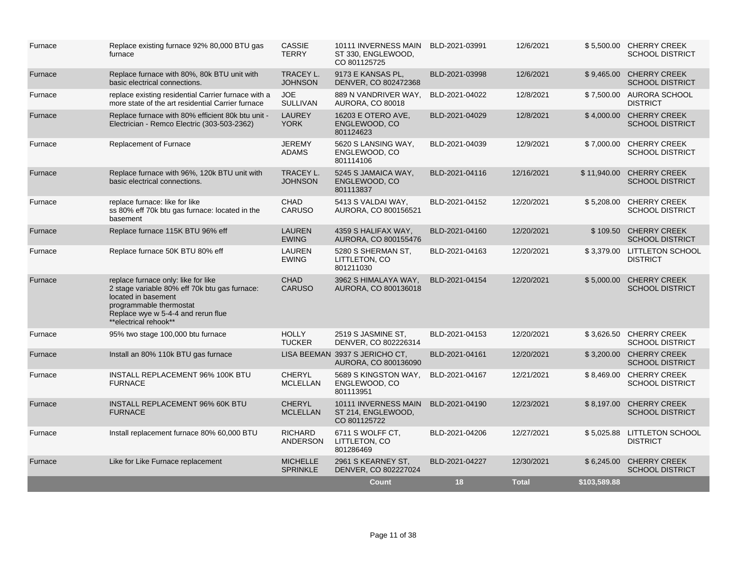| Furnace | Replace existing furnace 92% 80,000 BTU gas<br>furnace                                                                                                                                                | <b>CASSIE</b><br><b>TERRY</b>      | 10111 INVERNESS MAIN BLD-2021-03991<br>ST 330, ENGLEWOOD,<br>CO 801125725 |                | 12/6/2021    |              | \$5,500.00 CHERRY CREEK<br><b>SCHOOL DISTRICT</b> |
|---------|-------------------------------------------------------------------------------------------------------------------------------------------------------------------------------------------------------|------------------------------------|---------------------------------------------------------------------------|----------------|--------------|--------------|---------------------------------------------------|
| Furnace | Replace furnace with 80%, 80k BTU unit with<br>basic electrical connections.                                                                                                                          | <b>TRACEY L.</b><br><b>JOHNSON</b> | 9173 E KANSAS PL,<br>DENVER, CO 802472368                                 | BLD-2021-03998 | 12/6/2021    |              | \$9,465.00 CHERRY CREEK<br><b>SCHOOL DISTRICT</b> |
| Furnace | replace existing residential Carrier furnace with a<br>more state of the art residential Carrier furnace                                                                                              | <b>JOE</b><br>SULLIVAN             | 889 N VANDRIVER WAY,<br><b>AURORA, CO 80018</b>                           | BLD-2021-04022 | 12/8/2021    |              | \$7.500.00 AURORA SCHOOL<br><b>DISTRICT</b>       |
| Furnace | Replace furnace with 80% efficient 80k btu unit -<br>Electrician - Remco Electric (303-503-2362)                                                                                                      | <b>LAUREY</b><br><b>YORK</b>       | 16203 E OTERO AVE,<br>ENGLEWOOD, CO<br>801124623                          | BLD-2021-04029 | 12/8/2021    |              | \$4,000.00 CHERRY CREEK<br><b>SCHOOL DISTRICT</b> |
| Furnace | Replacement of Furnace                                                                                                                                                                                | <b>JEREMY</b><br><b>ADAMS</b>      | 5620 S LANSING WAY,<br>ENGLEWOOD, CO<br>801114106                         | BLD-2021-04039 | 12/9/2021    |              | \$7,000.00 CHERRY CREEK<br><b>SCHOOL DISTRICT</b> |
| Furnace | Replace furnace with 96%, 120k BTU unit with<br>basic electrical connections.                                                                                                                         | <b>TRACEY L.</b><br><b>JOHNSON</b> | 5245 S JAMAICA WAY.<br>ENGLEWOOD, CO<br>801113837                         | BLD-2021-04116 | 12/16/2021   | \$11,940.00  | <b>CHERRY CREEK</b><br><b>SCHOOL DISTRICT</b>     |
| Furnace | replace furnace: like for like<br>ss 80% eff 70k btu gas furnace: located in the<br>basement                                                                                                          | CHAD<br><b>CARUSO</b>              | 5413 S VALDAI WAY,<br>AURORA, CO 800156521                                | BLD-2021-04152 | 12/20/2021   | \$5,208.00   | <b>CHERRY CREEK</b><br><b>SCHOOL DISTRICT</b>     |
| Furnace | Replace furnace 115K BTU 96% eff                                                                                                                                                                      | <b>LAUREN</b><br><b>EWING</b>      | 4359 S HALIFAX WAY,<br>AURORA, CO 800155476                               | BLD-2021-04160 | 12/20/2021   | \$109.50     | <b>CHERRY CREEK</b><br><b>SCHOOL DISTRICT</b>     |
| Furnace | Replace furnace 50K BTU 80% eff                                                                                                                                                                       | <b>LAUREN</b><br><b>EWING</b>      | 5280 S SHERMAN ST,<br>LITTLETON, CO<br>801211030                          | BLD-2021-04163 | 12/20/2021   |              | \$3,379.00 LITTLETON SCHOOL<br><b>DISTRICT</b>    |
| Furnace | replace furnace only: like for like<br>2 stage variable 80% eff 70k btu gas furnace:<br>located in basement<br>programmable thermostat<br>Replace wye w 5-4-4 and rerun flue<br>**electrical rehook** | <b>CHAD</b><br><b>CARUSO</b>       | 3962 S HIMALAYA WAY,<br>AURORA, CO 800136018                              | BLD-2021-04154 | 12/20/2021   | \$5,000.00   | <b>CHERRY CREEK</b><br><b>SCHOOL DISTRICT</b>     |
| Furnace | 95% two stage 100,000 btu furnace                                                                                                                                                                     | <b>HOLLY</b><br><b>TUCKER</b>      | 2519 S JASMINE ST.<br>DENVER, CO 802226314                                | BLD-2021-04153 | 12/20/2021   |              | \$3,626.50 CHERRY CREEK<br><b>SCHOOL DISTRICT</b> |
| Furnace | Install an 80% 110k BTU gas furnace                                                                                                                                                                   |                                    | LISA BEEMAN 3937 S JERICHO CT,<br>AURORA, CO 800136090                    | BLD-2021-04161 | 12/20/2021   | \$3,200.00   | <b>CHERRY CREEK</b><br><b>SCHOOL DISTRICT</b>     |
| Furnace | INSTALL REPLACEMENT 96% 100K BTU<br><b>FURNACE</b>                                                                                                                                                    | <b>CHERYL</b><br><b>MCLELLAN</b>   | 5689 S KINGSTON WAY,<br>ENGLEWOOD, CO<br>801113951                        | BLD-2021-04167 | 12/21/2021   | \$8,469.00   | <b>CHERRY CREEK</b><br><b>SCHOOL DISTRICT</b>     |
| Furnace | <b>INSTALL REPLACEMENT 96% 60K BTU</b><br><b>FURNACE</b>                                                                                                                                              | <b>CHERYL</b><br><b>MCLELLAN</b>   | 10111 INVERNESS MAIN<br>ST 214, ENGLEWOOD,<br>CO 801125722                | BLD-2021-04190 | 12/23/2021   | \$8.197.00   | <b>CHERRY CREEK</b><br><b>SCHOOL DISTRICT</b>     |
| Furnace | Install replacement furnace 80% 60,000 BTU                                                                                                                                                            | <b>RICHARD</b><br>ANDERSON         | 6711 S WOLFF CT,<br>LITTLETON, CO<br>801286469                            | BLD-2021-04206 | 12/27/2021   |              | \$5,025.88 LITTLETON SCHOOL<br><b>DISTRICT</b>    |
| Furnace | Like for Like Furnace replacement                                                                                                                                                                     | <b>MICHELLE</b><br><b>SPRINKLE</b> | 2961 S KEARNEY ST,<br>DENVER, CO 802227024                                | BLD-2021-04227 | 12/30/2021   |              | \$6,245.00 CHERRY CREEK<br><b>SCHOOL DISTRICT</b> |
|         |                                                                                                                                                                                                       |                                    | Count                                                                     | 18             | <b>Total</b> | \$103,589.88 |                                                   |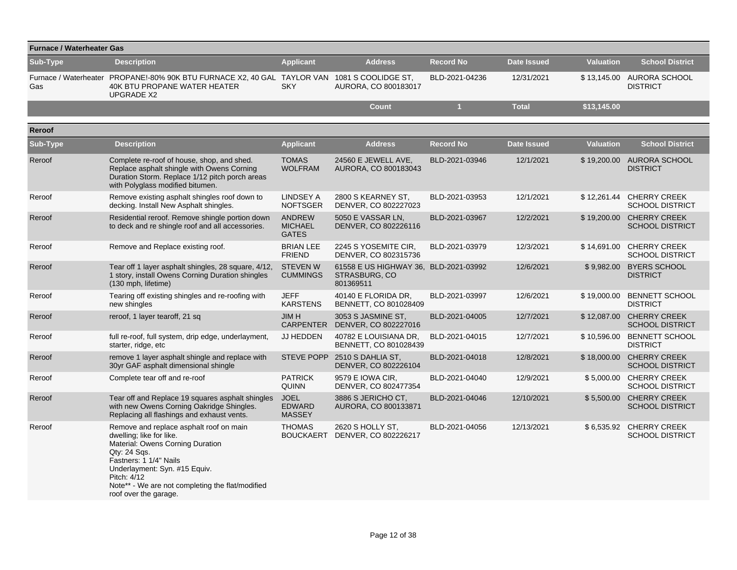|          | <b>Furnace / Waterheater Gas</b>                                                                                                                                                                                                                                               |                                                 |                                                                            |                  |                    |                     |                                                    |  |  |  |  |  |
|----------|--------------------------------------------------------------------------------------------------------------------------------------------------------------------------------------------------------------------------------------------------------------------------------|-------------------------------------------------|----------------------------------------------------------------------------|------------------|--------------------|---------------------|----------------------------------------------------|--|--|--|--|--|
| Sub-Type | <b>Description</b>                                                                                                                                                                                                                                                             | <b>Applicant</b>                                | <b>Address</b>                                                             | <b>Record No</b> | <b>Date Issued</b> | <b>Valuation</b>    | <b>School District</b>                             |  |  |  |  |  |
| Gas      | Furnace / Waterheater PROPANE!-80% 90K BTU FURNACE X2, 40 GAL TAYLOR VAN 1081 S COOLIDGE ST,<br><b>40K BTU PROPANE WATER HEATER</b><br><b>UPGRADE X2</b>                                                                                                                       | <b>SKY</b>                                      | AURORA, CO 800183017                                                       | BLD-2021-04236   | 12/31/2021         |                     | \$13,145.00 AURORA SCHOOL<br><b>DISTRICT</b>       |  |  |  |  |  |
|          |                                                                                                                                                                                                                                                                                |                                                 | <b>Count</b>                                                               | п                | <b>Total</b>       | $\sqrt{$13,145.00}$ |                                                    |  |  |  |  |  |
| Reroof   |                                                                                                                                                                                                                                                                                |                                                 |                                                                            |                  |                    |                     |                                                    |  |  |  |  |  |
| Sub-Type | <b>Description</b>                                                                                                                                                                                                                                                             | <b>Applicant</b>                                | <b>Address</b>                                                             | <b>Record No</b> | <b>Date Issued</b> | <b>Valuation</b>    | <b>School District</b>                             |  |  |  |  |  |
| Reroof   | Complete re-roof of house, shop, and shed.<br>Replace asphalt shingle with Owens Corning<br>Duration Storm. Replace 1/12 pitch porch areas<br>with Polyglass modified bitumen.                                                                                                 | <b>TOMAS</b><br><b>WOLFRAM</b>                  | 24560 E JEWELL AVE,<br>AURORA, CO 800183043                                | BLD-2021-03946   | 12/1/2021          |                     | \$19,200.00 AURORA SCHOOL<br><b>DISTRICT</b>       |  |  |  |  |  |
| Reroof   | Remove existing asphalt shingles roof down to<br>decking. Install New Asphalt shingles.                                                                                                                                                                                        | LINDSEY A<br><b>NOFTSGER</b>                    | 2800 S KEARNEY ST,<br>DENVER, CO 802227023                                 | BLD-2021-03953   | 12/1/2021          |                     | \$12,261.44 CHERRY CREEK<br><b>SCHOOL DISTRICT</b> |  |  |  |  |  |
| Reroof   | Residential reroof. Remove shingle portion down<br>to deck and re shingle roof and all accessories.                                                                                                                                                                            | <b>ANDREW</b><br><b>MICHAEL</b><br><b>GATES</b> | 5050 E VASSAR LN,<br>DENVER, CO 802226116                                  | BLD-2021-03967   | 12/2/2021          | \$19,200.00         | <b>CHERRY CREEK</b><br><b>SCHOOL DISTRICT</b>      |  |  |  |  |  |
| Reroof   | Remove and Replace existing roof.                                                                                                                                                                                                                                              | <b>BRIAN LEE</b><br><b>FRIEND</b>               | 2245 S YOSEMITE CIR,<br>DENVER, CO 802315736                               | BLD-2021-03979   | 12/3/2021          | \$14,691.00         | <b>CHERRY CREEK</b><br><b>SCHOOL DISTRICT</b>      |  |  |  |  |  |
| Reroof   | Tear off 1 layer asphalt shingles, 28 square, 4/12,<br>1 story, install Owens Corning Duration shingles<br>(130 mph, lifetime)                                                                                                                                                 | <b>STEVEN W</b><br><b>CUMMINGS</b>              | 61558 E US HIGHWAY 36, BLD-2021-03992<br><b>STRASBURG, CO</b><br>801369511 |                  | 12/6/2021          |                     | \$9,982.00 BYERS SCHOOL<br><b>DISTRICT</b>         |  |  |  |  |  |
| Reroof   | Tearing off existing shingles and re-roofing with<br>new shingles                                                                                                                                                                                                              | <b>JEFF</b><br><b>KARSTENS</b>                  | 40140 E FLORIDA DR,<br>BENNETT, CO 801028409                               | BLD-2021-03997   | 12/6/2021          | \$19,000.00         | <b>BENNETT SCHOOL</b><br><b>DISTRICT</b>           |  |  |  |  |  |
| Reroof   | reroof, 1 layer tearoff, 21 sq                                                                                                                                                                                                                                                 | <b>JIMH</b><br><b>CARPENTER</b>                 | 3053 S JASMINE ST,<br>DENVER, CO 802227016                                 | BLD-2021-04005   | 12/7/2021          | \$12,087.00         | <b>CHERRY CREEK</b><br><b>SCHOOL DISTRICT</b>      |  |  |  |  |  |
| Reroof   | full re-roof, full system, drip edge, underlayment,<br>starter, ridge, etc                                                                                                                                                                                                     | JJ HEDDEN                                       | 40782 E LOUISIANA DR.<br>BENNETT, CO 801028439                             | BLD-2021-04015   | 12/7/2021          | \$10,596.00         | <b>BENNETT SCHOOL</b><br><b>DISTRICT</b>           |  |  |  |  |  |
| Reroof   | remove 1 layer asphalt shingle and replace with<br>30yr GAF asphalt dimensional shingle                                                                                                                                                                                        | <b>STEVE POPP</b>                               | 2510 S DAHLIA ST,<br>DENVER, CO 802226104                                  | BLD-2021-04018   | 12/8/2021          | \$18,000.00         | <b>CHERRY CREEK</b><br><b>SCHOOL DISTRICT</b>      |  |  |  |  |  |
| Reroof   | Complete tear off and re-roof                                                                                                                                                                                                                                                  | <b>PATRICK</b><br>QUINN                         | 9579 E IOWA CIR,<br>DENVER, CO 802477354                                   | BLD-2021-04040   | 12/9/2021          | \$5,000.00          | <b>CHERRY CREEK</b><br><b>SCHOOL DISTRICT</b>      |  |  |  |  |  |
| Reroof   | Tear off and Replace 19 squares asphalt shingles<br>with new Owens Corning Oakridge Shingles.<br>Replacing all flashings and exhaust vents.                                                                                                                                    | <b>JOEL</b><br><b>EDWARD</b><br><b>MASSEY</b>   | 3886 S JERICHO CT.<br>AURORA, CO 800133871                                 | BLD-2021-04046   | 12/10/2021         | \$5,500.00          | <b>CHERRY CREEK</b><br><b>SCHOOL DISTRICT</b>      |  |  |  |  |  |
| Reroof   | Remove and replace asphalt roof on main<br>dwelling; like for like.<br>Material: Owens Corning Duration<br>Qty: 24 Sgs.<br>Fastners: 1 1/4" Nails<br>Underlayment: Syn. #15 Equiv.<br>Pitch: 4/12<br>Note** - We are not completing the flat/modified<br>roof over the garage. | <b>THOMAS</b><br><b>BOUCKAERT</b>               | 2620 S HOLLY ST,<br>DENVER, CO 802226217                                   | BLD-2021-04056   | 12/13/2021         | \$6,535.92          | <b>CHERRY CREEK</b><br><b>SCHOOL DISTRICT</b>      |  |  |  |  |  |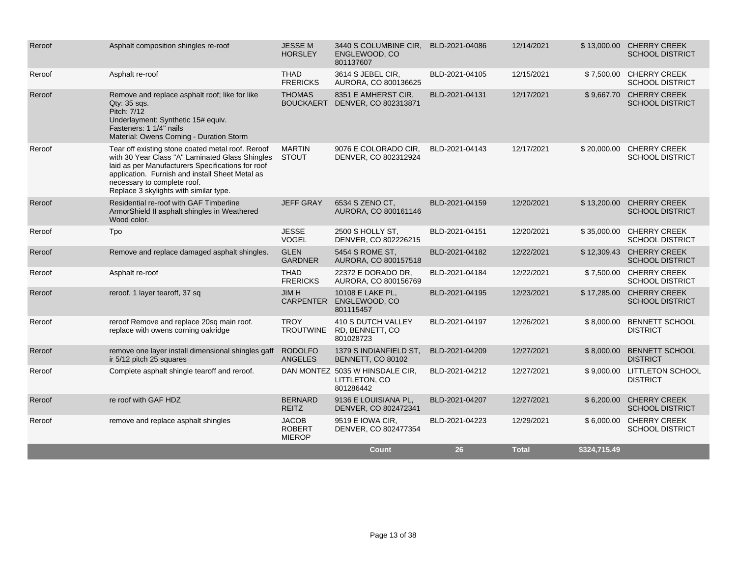| Reroof | Asphalt composition shingles re-roof                                                                                                                                                                                                                                                  | <b>JESSEM</b><br><b>HORSLEY</b>                | 3440 S COLUMBINE CIR.<br>ENGLEWOOD, CO<br>801137607           | BLD-2021-04086 | 12/14/2021   |              | \$13,000.00 CHERRY CREEK<br><b>SCHOOL DISTRICT</b> |
|--------|---------------------------------------------------------------------------------------------------------------------------------------------------------------------------------------------------------------------------------------------------------------------------------------|------------------------------------------------|---------------------------------------------------------------|----------------|--------------|--------------|----------------------------------------------------|
| Reroof | Asphalt re-roof                                                                                                                                                                                                                                                                       | <b>THAD</b><br><b>FRERICKS</b>                 | 3614 S JEBEL CIR,<br>AURORA, CO 800136625                     | BLD-2021-04105 | 12/15/2021   |              | \$7,500.00 CHERRY CREEK<br><b>SCHOOL DISTRICT</b>  |
| Reroof | Remove and replace asphalt roof; like for like<br>$Q$ ty: $35$ sqs.<br>Pitch: 7/12<br>Underlayment: Synthetic 15# equiv.<br>Fasteners: 1 1/4" nails<br>Material: Owens Corning - Duration Storm                                                                                       | <b>THOMAS</b><br><b>BOUCKAERT</b>              | 8351 E AMHERST CIR,<br>DENVER, CO 802313871                   | BLD-2021-04131 | 12/17/2021   |              | \$9,667.70 CHERRY CREEK<br><b>SCHOOL DISTRICT</b>  |
| Reroof | Tear off existing stone coated metal roof. Reroof<br>with 30 Year Class "A" Laminated Glass Shingles<br>laid as per Manufacturers Specifications for roof<br>application. Furnish and install Sheet Metal as<br>necessary to complete roof.<br>Replace 3 skylights with similar type. | <b>MARTIN</b><br><b>STOUT</b>                  | 9076 E COLORADO CIR.<br>DENVER, CO 802312924                  | BLD-2021-04143 | 12/17/2021   |              | \$20,000.00 CHERRY CREEK<br><b>SCHOOL DISTRICT</b> |
| Reroof | Residential re-roof with GAF Timberline<br>ArmorShield II asphalt shingles in Weathered<br>Wood color.                                                                                                                                                                                | <b>JEFF GRAY</b>                               | 6534 S ZENO CT,<br>AURORA, CO 800161146                       | BLD-2021-04159 | 12/20/2021   |              | \$13,200.00 CHERRY CREEK<br><b>SCHOOL DISTRICT</b> |
| Reroof | Tpo                                                                                                                                                                                                                                                                                   | <b>JESSE</b><br><b>VOGEL</b>                   | 2500 S HOLLY ST,<br>DENVER, CO 802226215                      | BLD-2021-04151 | 12/20/2021   | \$35,000.00  | <b>CHERRY CREEK</b><br><b>SCHOOL DISTRICT</b>      |
| Reroof | Remove and replace damaged asphalt shingles.                                                                                                                                                                                                                                          | <b>GLEN</b><br><b>GARDNER</b>                  | 5454 S ROME ST.<br>AURORA, CO 800157518                       | BLD-2021-04182 | 12/22/2021   |              | \$12,309.43 CHERRY CREEK<br><b>SCHOOL DISTRICT</b> |
| Reroof | Asphalt re-roof                                                                                                                                                                                                                                                                       | <b>THAD</b><br><b>FRERICKS</b>                 | 22372 E DORADO DR.<br>AURORA, CO 800156769                    | BLD-2021-04184 | 12/22/2021   |              | \$7,500.00 CHERRY CREEK<br><b>SCHOOL DISTRICT</b>  |
| Reroof | reroof, 1 layer tearoff, 37 sq                                                                                                                                                                                                                                                        | <b>JIMH</b><br><b>CARPENTER</b>                | 10108 E LAKE PL,<br>ENGLEWOOD, CO<br>801115457                | BLD-2021-04195 | 12/23/2021   | \$17,285.00  | <b>CHERRY CREEK</b><br><b>SCHOOL DISTRICT</b>      |
| Reroof | reroof Remove and replace 20sq main roof.<br>replace with owens corning oakridge                                                                                                                                                                                                      | <b>TROY</b><br><b>TROUTWINE</b>                | 410 S DUTCH VALLEY<br>RD, BENNETT, CO<br>801028723            | BLD-2021-04197 | 12/26/2021   | \$8,000.00   | <b>BENNETT SCHOOL</b><br><b>DISTRICT</b>           |
| Reroof | remove one layer install dimensional shingles gaff<br>ir 5/12 pitch 25 squares                                                                                                                                                                                                        | <b>RODOLFO</b><br><b>ANGELES</b>               | 1379 S INDIANFIELD ST.<br>BENNETT, CO 80102                   | BLD-2021-04209 | 12/27/2021   | \$8,000.00   | <b>BENNETT SCHOOL</b><br><b>DISTRICT</b>           |
| Reroof | Complete asphalt shingle tearoff and reroof.                                                                                                                                                                                                                                          |                                                | DAN MONTEZ 5035 W HINSDALE CIR,<br>LITTLETON, CO<br>801286442 | BLD-2021-04212 | 12/27/2021   | \$9,000.00   | <b>LITTLETON SCHOOL</b><br><b>DISTRICT</b>         |
| Reroof | re roof with GAF HDZ                                                                                                                                                                                                                                                                  | <b>BERNARD</b><br><b>REITZ</b>                 | 9136 E LOUISIANA PL,<br>DENVER, CO 802472341                  | BLD-2021-04207 | 12/27/2021   |              | \$6,200.00 CHERRY CREEK<br><b>SCHOOL DISTRICT</b>  |
| Reroof | remove and replace asphalt shingles                                                                                                                                                                                                                                                   | <b>JACOB</b><br><b>ROBERT</b><br><b>MIEROP</b> | 9519 E IOWA CIR,<br>DENVER, CO 802477354                      | BLD-2021-04223 | 12/29/2021   |              | \$6,000.00 CHERRY CREEK<br><b>SCHOOL DISTRICT</b>  |
|        |                                                                                                                                                                                                                                                                                       |                                                | <b>Count</b>                                                  | 26             | <b>Total</b> | \$324,715.49 |                                                    |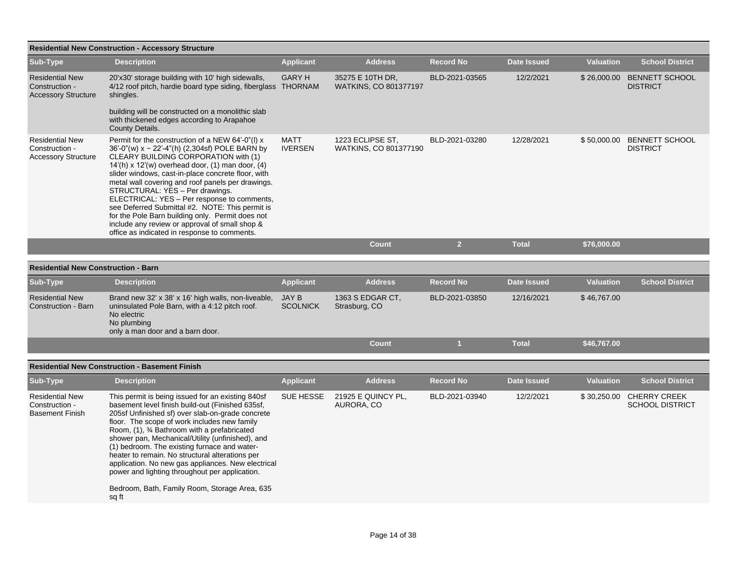|                                                                        | <b>Residential New Construction - Accessory Structure</b>                                                                                                                                                                                                                                                                                                                                                                                                                                                                                                                                                |                                 |                                                  |                  |                    |                  |                                          |
|------------------------------------------------------------------------|----------------------------------------------------------------------------------------------------------------------------------------------------------------------------------------------------------------------------------------------------------------------------------------------------------------------------------------------------------------------------------------------------------------------------------------------------------------------------------------------------------------------------------------------------------------------------------------------------------|---------------------------------|--------------------------------------------------|------------------|--------------------|------------------|------------------------------------------|
| Sub-Type                                                               | <b>Description</b>                                                                                                                                                                                                                                                                                                                                                                                                                                                                                                                                                                                       | <b>Applicant</b>                | <b>Address</b>                                   | <b>Record No</b> | <b>Date Issued</b> | <b>Valuation</b> | <b>School District</b>                   |
| <b>Residential New</b><br>Construction -<br><b>Accessory Structure</b> | 20'x30' storage building with 10' high sidewalls,<br>4/12 roof pitch, hardie board type siding, fiberglass THORNAM<br>shingles.<br>building will be constructed on a monolithic slab<br>with thickened edges according to Arapahoe<br>County Details.                                                                                                                                                                                                                                                                                                                                                    | <b>GARY H</b>                   | 35275 E 10TH DR.<br><b>WATKINS, CO 801377197</b> | BLD-2021-03565   | 12/2/2021          | \$26,000.00      | <b>BENNETT SCHOOL</b><br><b>DISTRICT</b> |
| <b>Residential New</b><br>Construction -<br><b>Accessory Structure</b> | Permit for the construction of a NEW 64'-0"(I) x<br>36'-0"(w) x ~ 22'-4"(h) (2,304sf) POLE BARN by<br>CLEARY BUILDING CORPORATION with (1)<br>$14'(h)$ x $12'(w)$ overhead door, (1) man door, (4)<br>slider windows, cast-in-place concrete floor, with<br>metal wall covering and roof panels per drawings.<br>STRUCTURAL: YES - Per drawings.<br>ELECTRICAL: YES - Per response to comments,<br>see Deferred Submittal #2. NOTE: This permit is<br>for the Pole Barn building only. Permit does not<br>include any review or approval of small shop &<br>office as indicated in response to comments. | <b>MATT</b><br><b>IVERSEN</b>   | 1223 ECLIPSE ST.<br>WATKINS, CO 801377190        | BLD-2021-03280   | 12/28/2021         | \$50,000.00      | <b>BENNETT SCHOOL</b><br><b>DISTRICT</b> |
|                                                                        |                                                                                                                                                                                                                                                                                                                                                                                                                                                                                                                                                                                                          |                                 | <b>Count</b>                                     | $\overline{2}$   | <b>Total</b>       | \$76,000.00      |                                          |
| <b>Residential New Construction - Barn</b>                             |                                                                                                                                                                                                                                                                                                                                                                                                                                                                                                                                                                                                          |                                 |                                                  |                  |                    |                  |                                          |
|                                                                        |                                                                                                                                                                                                                                                                                                                                                                                                                                                                                                                                                                                                          |                                 |                                                  |                  |                    |                  |                                          |
| Sub-Type                                                               | <b>Description</b>                                                                                                                                                                                                                                                                                                                                                                                                                                                                                                                                                                                       | <b>Applicant</b>                | <b>Address</b>                                   | <b>Record No</b> | <b>Date Issued</b> | <b>Valuation</b> | <b>School District</b>                   |
| <b>Residential New</b><br>Construction - Barn                          | Brand new 32' x 38' x 16' high walls, non-liveable,<br>uninsulated Pole Barn, with a 4:12 pitch roof.<br>No electric<br>No plumbing<br>only a man door and a barn door.                                                                                                                                                                                                                                                                                                                                                                                                                                  | <b>JAY B</b><br><b>SCOLNICK</b> | 1363 S EDGAR CT,<br>Strasburg, CO                | BLD-2021-03850   | 12/16/2021         | \$46,767.00      |                                          |
|                                                                        |                                                                                                                                                                                                                                                                                                                                                                                                                                                                                                                                                                                                          |                                 | Count                                            |                  | <b>Total</b>       | \$46,767.00      |                                          |

## **Residential New Construction - Basement Finish**

| Sub-Type                                                           | <b>Description</b>                                                                                                                                                                                                                                                                                                                                                                                                                                                                                                                                                                 | <b>Applicant</b> | <b>Address</b>                   | <b>Record No</b> | <b>Date Issued</b> | <b>Valuation</b> | <b>School District</b>                        |
|--------------------------------------------------------------------|------------------------------------------------------------------------------------------------------------------------------------------------------------------------------------------------------------------------------------------------------------------------------------------------------------------------------------------------------------------------------------------------------------------------------------------------------------------------------------------------------------------------------------------------------------------------------------|------------------|----------------------------------|------------------|--------------------|------------------|-----------------------------------------------|
| <b>Residential New</b><br>Construction -<br><b>Basement Finish</b> | This permit is being issued for an existing 840sf<br>basement level finish build-out (Finished 635sf,<br>205sf Unfinished sf) over slab-on-grade concrete<br>floor. The scope of work includes new family<br>Room, (1), 3⁄4 Bathroom with a prefabricated<br>shower pan, Mechanical/Utility (unfinished), and<br>(1) bedroom. The existing furnace and water-<br>heater to remain. No structural alterations per<br>application. No new gas appliances. New electrical<br>power and lighting throughout per application.<br>Bedroom, Bath, Family Room, Storage Area, 635<br>sq ft | SUE HESSE        | 21925 E QUINCY PL,<br>AURORA, CO | BLD-2021-03940   | 12/2/2021          | \$30,250.00      | <b>CHERRY CREEK</b><br><b>SCHOOL DISTRICT</b> |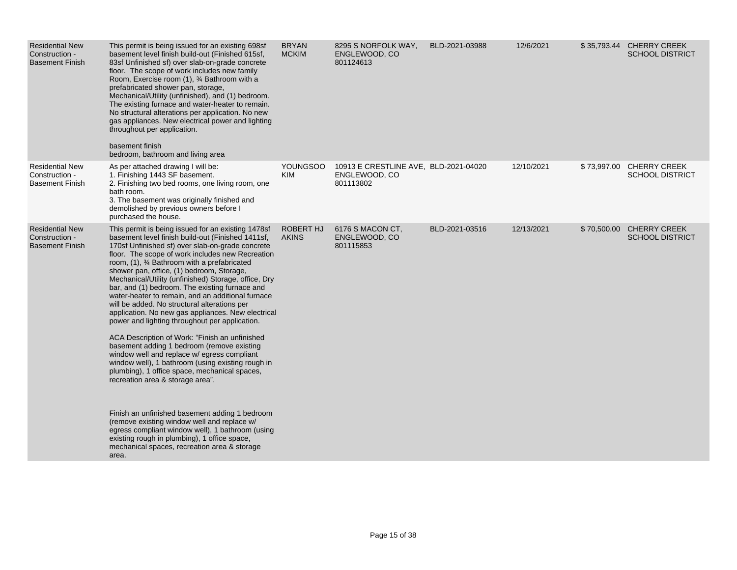| <b>Residential New</b><br>Construction -<br><b>Basement Finish</b> | This permit is being issued for an existing 698sf<br>basement level finish build-out (Finished 615sf,<br>83sf Unfinished sf) over slab-on-grade concrete<br>floor. The scope of work includes new family<br>Room, Exercise room (1), 3⁄4 Bathroom with a<br>prefabricated shower pan, storage,<br>Mechanical/Utility (unfinished), and (1) bedroom.<br>The existing furnace and water-heater to remain.<br>No structural alterations per application. No new<br>gas appliances. New electrical power and lighting<br>throughout per application.<br>basement finish<br>bedroom, bathroom and living area                                                                                                                                                                                                                                                                                                                                                                                                                                                                                                                                                                                   | <b>BRYAN</b><br><b>MCKIM</b>  | 8295 S NORFOLK WAY,<br>ENGLEWOOD, CO<br>801124613                   | BLD-2021-03988 | 12/6/2021  | \$35,793.44 CHERRY CREEK<br><b>SCHOOL DISTRICT</b> |
|--------------------------------------------------------------------|--------------------------------------------------------------------------------------------------------------------------------------------------------------------------------------------------------------------------------------------------------------------------------------------------------------------------------------------------------------------------------------------------------------------------------------------------------------------------------------------------------------------------------------------------------------------------------------------------------------------------------------------------------------------------------------------------------------------------------------------------------------------------------------------------------------------------------------------------------------------------------------------------------------------------------------------------------------------------------------------------------------------------------------------------------------------------------------------------------------------------------------------------------------------------------------------|-------------------------------|---------------------------------------------------------------------|----------------|------------|----------------------------------------------------|
| <b>Residential New</b><br>Construction -<br><b>Basement Finish</b> | As per attached drawing I will be:<br>1. Finishing 1443 SF basement.<br>2. Finishing two bed rooms, one living room, one<br>bath room.<br>3. The basement was originally finished and<br>demolished by previous owners before I<br>purchased the house.                                                                                                                                                                                                                                                                                                                                                                                                                                                                                                                                                                                                                                                                                                                                                                                                                                                                                                                                    | <b>YOUNGSOO</b><br><b>KIM</b> | 10913 E CRESTLINE AVE, BLD-2021-04020<br>ENGLEWOOD, CO<br>801113802 |                | 12/10/2021 | \$73,997.00 CHERRY CREEK<br><b>SCHOOL DISTRICT</b> |
| <b>Residential New</b><br>Construction -<br><b>Basement Finish</b> | This permit is being issued for an existing 1478sf<br>basement level finish build-out (Finished 1411sf,<br>170sf Unfinished sf) over slab-on-grade concrete<br>floor. The scope of work includes new Recreation<br>room, (1), 3⁄4 Bathroom with a prefabricated<br>shower pan, office, (1) bedroom, Storage,<br>Mechanical/Utility (unfinished) Storage, office, Dry<br>bar, and (1) bedroom. The existing furnace and<br>water-heater to remain, and an additional furnace<br>will be added. No structural alterations per<br>application. No new gas appliances. New electrical<br>power and lighting throughout per application.<br>ACA Description of Work: "Finish an unfinished<br>basement adding 1 bedroom (remove existing<br>window well and replace w/ egress compliant<br>window well), 1 bathroom (using existing rough in<br>plumbing), 1 office space, mechanical spaces,<br>recreation area & storage area".<br>Finish an unfinished basement adding 1 bedroom<br>(remove existing window well and replace w/<br>egress compliant window well), 1 bathroom (using<br>existing rough in plumbing), 1 office space,<br>mechanical spaces, recreation area & storage<br>area. | ROBERT HJ<br><b>AKINS</b>     | 6176 S MACON CT,<br>ENGLEWOOD, CO<br>801115853                      | BLD-2021-03516 | 12/13/2021 | \$70,500.00 CHERRY CREEK<br><b>SCHOOL DISTRICT</b> |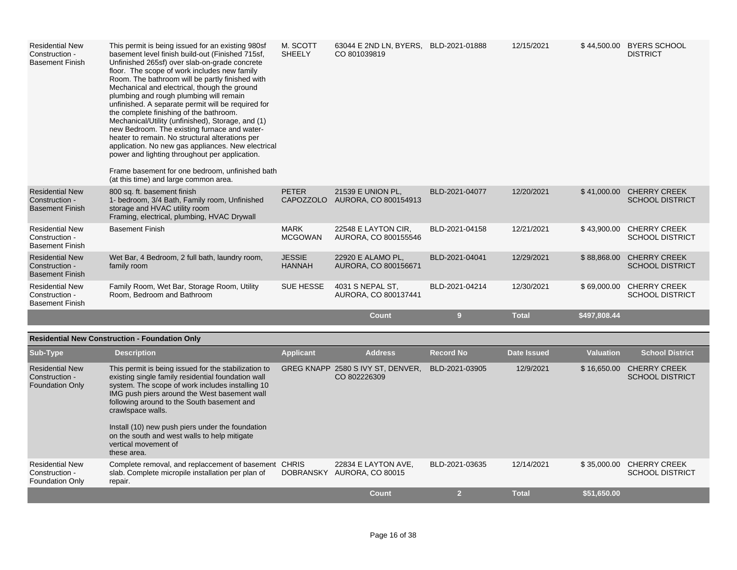| <b>Residential New</b><br>Construction -<br><b>Basement Finish</b> | This permit is being issued for an existing 980sf<br>basement level finish build-out (Finished 715sf,<br>Unfinished 265sf) over slab-on-grade concrete<br>floor. The scope of work includes new family<br>Room. The bathroom will be partly finished with<br>Mechanical and electrical, though the ground<br>plumbing and rough plumbing will remain<br>unfinished. A separate permit will be required for<br>the complete finishing of the bathroom.<br>Mechanical/Utility (unfinished), Storage, and (1)<br>new Bedroom. The existing furnace and water-<br>heater to remain. No structural alterations per<br>application. No new gas appliances. New electrical<br>power and lighting throughout per application.<br>Frame basement for one bedroom, unfinished bath<br>(at this time) and large common area. | M. SCOTT<br><b>SHEELY</b>        | 63044 E 2ND LN, BYERS, BLD-2021-01888<br>CO 801039819 |                | 12/15/2021   | \$44,500.00  | <b>BYERS SCHOOL</b><br><b>DISTRICT</b>        |
|--------------------------------------------------------------------|-------------------------------------------------------------------------------------------------------------------------------------------------------------------------------------------------------------------------------------------------------------------------------------------------------------------------------------------------------------------------------------------------------------------------------------------------------------------------------------------------------------------------------------------------------------------------------------------------------------------------------------------------------------------------------------------------------------------------------------------------------------------------------------------------------------------|----------------------------------|-------------------------------------------------------|----------------|--------------|--------------|-----------------------------------------------|
| <b>Residential New</b><br>Construction -<br><b>Basement Finish</b> | 800 sq. ft. basement finish<br>1- bedroom, 3/4 Bath, Family room, Unfinished<br>storage and HVAC utility room<br>Framing, electrical, plumbing, HVAC Drywall                                                                                                                                                                                                                                                                                                                                                                                                                                                                                                                                                                                                                                                      | <b>PETER</b><br><b>CAPOZZOLO</b> | 21539 E UNION PL,<br>AURORA, CO 800154913             | BLD-2021-04077 | 12/20/2021   | \$41,000.00  | <b>CHERRY CREEK</b><br><b>SCHOOL DISTRICT</b> |
| <b>Residential New</b><br>Construction -<br><b>Basement Finish</b> | <b>Basement Finish</b>                                                                                                                                                                                                                                                                                                                                                                                                                                                                                                                                                                                                                                                                                                                                                                                            | <b>MARK</b><br><b>MCGOWAN</b>    | 22548 E LAYTON CIR,<br>AURORA, CO 800155546           | BLD-2021-04158 | 12/21/2021   | \$43,900.00  | <b>CHERRY CREEK</b><br><b>SCHOOL DISTRICT</b> |
| <b>Residential New</b><br>Construction -<br><b>Basement Finish</b> | Wet Bar, 4 Bedroom, 2 full bath, laundry room,<br>family room                                                                                                                                                                                                                                                                                                                                                                                                                                                                                                                                                                                                                                                                                                                                                     | <b>JESSIE</b><br><b>HANNAH</b>   | 22920 E ALAMO PL.<br>AURORA, CO 800156671             | BLD-2021-04041 | 12/29/2021   | \$88,868.00  | <b>CHERRY CREEK</b><br><b>SCHOOL DISTRICT</b> |
| <b>Residential New</b><br>Construction -<br><b>Basement Finish</b> | Family Room, Wet Bar, Storage Room, Utility<br>Room, Bedroom and Bathroom                                                                                                                                                                                                                                                                                                                                                                                                                                                                                                                                                                                                                                                                                                                                         | <b>SUE HESSE</b>                 | 4031 S NEPAL ST,<br>AURORA, CO 800137441              | BLD-2021-04214 | 12/30/2021   | \$69,000.00  | <b>CHERRY CREEK</b><br><b>SCHOOL DISTRICT</b> |
|                                                                    |                                                                                                                                                                                                                                                                                                                                                                                                                                                                                                                                                                                                                                                                                                                                                                                                                   |                                  | Count                                                 | 9              | <b>Total</b> | \$497,808.44 |                                               |

## **Residential New Construction - Foundation Only**

| Sub-Type                                                           | <b>Description</b>                                                                                                                                                                                                                                                                                                                                                                                                           | <b>Applicant</b> | <b>Address</b>                                    | <b>Record No</b> | <b>Date Issued</b> | <b>Valuation</b> | <b>School District</b>                        |
|--------------------------------------------------------------------|------------------------------------------------------------------------------------------------------------------------------------------------------------------------------------------------------------------------------------------------------------------------------------------------------------------------------------------------------------------------------------------------------------------------------|------------------|---------------------------------------------------|------------------|--------------------|------------------|-----------------------------------------------|
| <b>Residential New</b><br>Construction -<br><b>Foundation Only</b> | This permit is being issued for the stabilization to<br>existing single family residential foundation wall<br>system. The scope of work includes installing 10<br>IMG push piers around the West basement wall<br>following around to the South basement and<br>crawlspace walls.<br>Install (10) new push piers under the foundation<br>on the south and west walls to help mitigate<br>vertical movement of<br>these area. |                  | GREG KNAPP 2580 S IVY ST, DENVER,<br>CO 802226309 | BLD-2021-03905   | 12/9/2021          | \$16,650.00      | <b>CHERRY CREEK</b><br><b>SCHOOL DISTRICT</b> |
| <b>Residential New</b><br>Construction -<br><b>Foundation Only</b> | Complete removal, and replaccement of basement CHRIS<br>slab. Complete micropile installation per plan of<br>repair.                                                                                                                                                                                                                                                                                                         | <b>DOBRANSKY</b> | 22834 E LAYTON AVE,<br><b>AURORA, CO 80015</b>    | BLD-2021-03635   | 12/14/2021         | \$35.000.00      | <b>CHERRY CREEK</b><br><b>SCHOOL DISTRICT</b> |
|                                                                    |                                                                                                                                                                                                                                                                                                                                                                                                                              |                  | Count                                             |                  | <b>Total</b>       | \$51,650.00      |                                               |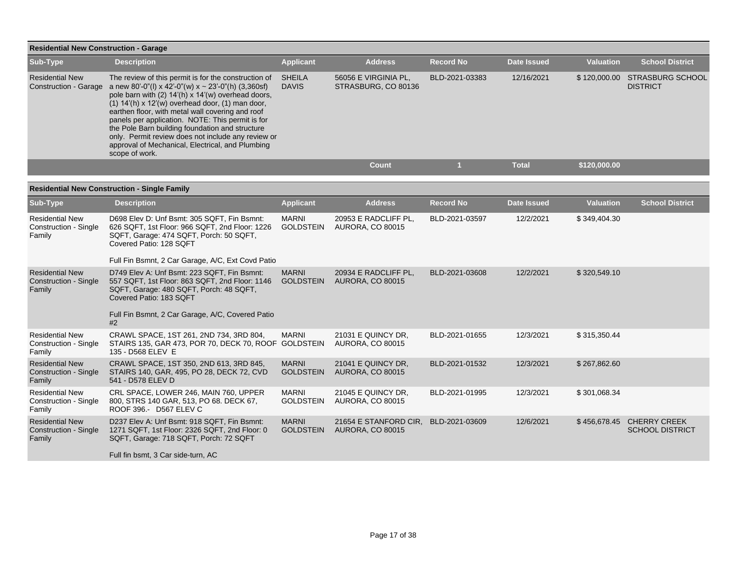|                                                        | <b>Residential New Construction - Garage</b>                                                                                                                                                                                                                                                                                                                                                                                                                                                                     |                               |                                             |                  |              |                  |                                            |  |  |  |
|--------------------------------------------------------|------------------------------------------------------------------------------------------------------------------------------------------------------------------------------------------------------------------------------------------------------------------------------------------------------------------------------------------------------------------------------------------------------------------------------------------------------------------------------------------------------------------|-------------------------------|---------------------------------------------|------------------|--------------|------------------|--------------------------------------------|--|--|--|
| Sub-Type                                               | <b>Description</b>                                                                                                                                                                                                                                                                                                                                                                                                                                                                                               | <b>Applicant</b>              | <b>Address</b>                              | <b>Record No</b> | Date Issued  | <b>Valuation</b> | <b>School District</b>                     |  |  |  |
| <b>Residential New</b><br><b>Construction - Garage</b> | The review of this permit is for the construction of<br>a new 80'-0"(l) x 42'-0"(w) x ~ 23'-0"(h) (3,360sf)<br>pole barn with (2) 14'(h) x 14'(w) overhead doors,<br>$(1)$ 14'(h) x 12'(w) overhead door, $(1)$ man door,<br>earthen floor, with metal wall covering and roof<br>panels per application. NOTE: This permit is for<br>the Pole Barn building foundation and structure<br>only. Permit review does not include any review or<br>approval of Mechanical, Electrical, and Plumbing<br>scope of work. | <b>SHEILA</b><br><b>DAVIS</b> | 56056 E VIRGINIA PL.<br>STRASBURG, CO 80136 | BLD-2021-03383   | 12/16/2021   | \$120,000.00     | <b>STRASBURG SCHOOL</b><br><b>DISTRICT</b> |  |  |  |
|                                                        |                                                                                                                                                                                                                                                                                                                                                                                                                                                                                                                  |                               | Count                                       |                  | <b>Total</b> | \$120,000.00     |                                            |  |  |  |

| Sub-Type                                                         | <b>Description</b>                                                                                                                                                                                                            | <b>Applicant</b>                 | <b>Address</b>                                   | <b>Record No</b> | <b>Date Issued</b> | <b>Valuation</b> | <b>School District</b>                        |
|------------------------------------------------------------------|-------------------------------------------------------------------------------------------------------------------------------------------------------------------------------------------------------------------------------|----------------------------------|--------------------------------------------------|------------------|--------------------|------------------|-----------------------------------------------|
| <b>Residential New</b><br><b>Construction - Single</b><br>Family | D698 Elev D: Unf Bsmt: 305 SQFT, Fin Bsmnt:<br>626 SQFT, 1st Floor: 966 SQFT, 2nd Floor: 1226<br>SQFT, Garage: 474 SQFT, Porch: 50 SQFT,<br>Covered Patio: 128 SQFT<br>Full Fin Bsmnt, 2 Car Garage, A/C, Ext Covd Patio      | <b>MARNI</b><br><b>GOLDSTEIN</b> | 20953 E RADCLIFF PL,<br><b>AURORA, CO 80015</b>  | BLD-2021-03597   | 12/2/2021          | \$349,404.30     |                                               |
| <b>Residential New</b><br>Construction - Single<br>Family        | D749 Elev A: Unf Bsmt: 223 SQFT, Fin Bsmnt:<br>557 SQFT, 1st Floor: 863 SQFT, 2nd Floor: 1146<br>SQFT, Garage: 480 SQFT, Porch: 48 SQFT,<br>Covered Patio: 183 SQFT<br>Full Fin Bsmnt, 2 Car Garage, A/C, Covered Patio<br>#2 | <b>MARNI</b><br><b>GOLDSTEIN</b> | 20934 E RADCLIFF PL.<br><b>AURORA, CO 80015</b>  | BLD-2021-03608   | 12/2/2021          | \$320,549.10     |                                               |
| <b>Residential New</b><br>Construction - Single<br>Family        | CRAWL SPACE, 1ST 261, 2ND 734, 3RD 804,<br>STAIRS 135, GAR 473, POR 70, DECK 70, ROOF GOLDSTEIN<br>135 - D568 ELEV E                                                                                                          | <b>MARNI</b>                     | 21031 E QUINCY DR.<br><b>AURORA, CO 80015</b>    | BLD-2021-01655   | 12/3/2021          | \$315,350.44     |                                               |
| <b>Residential New</b><br><b>Construction - Single</b><br>Family | CRAWL SPACE, 1ST 350, 2ND 613, 3RD 845.<br>STAIRS 140, GAR, 495, PO 28, DECK 72, CVD<br>541 - D578 ELEV D                                                                                                                     | <b>MARNI</b><br><b>GOLDSTEIN</b> | 21041 E QUINCY DR.<br><b>AURORA, CO 80015</b>    | BLD-2021-01532   | 12/3/2021          | \$267.862.60     |                                               |
| <b>Residential New</b><br><b>Construction - Single</b><br>Family | CRL SPACE, LOWER 246, MAIN 760, UPPER<br>800, STRS 140 GAR, 513, PO 68. DECK 67,<br>ROOF 396.- D567 ELEV C                                                                                                                    | <b>MARNI</b><br><b>GOLDSTEIN</b> | 21045 E QUINCY DR.<br><b>AURORA, CO 80015</b>    | BLD-2021-01995   | 12/3/2021          | \$301,068.34     |                                               |
| <b>Residential New</b><br><b>Construction - Single</b><br>Family | D237 Elev A: Unf Bsmt: 918 SQFT, Fin Bsmnt:<br>1271 SQFT, 1st Floor: 2326 SQFT, 2nd Floor: 0<br>SQFT, Garage: 718 SQFT, Porch: 72 SQFT<br>Full fin bsmt, 3 Car side-turn, AC                                                  | <b>MARNI</b><br><b>GOLDSTEIN</b> | 21654 E STANFORD CIR.<br><b>AURORA, CO 80015</b> | BLD-2021-03609   | 12/6/2021          | \$456,678.45     | <b>CHERRY CREEK</b><br><b>SCHOOL DISTRICT</b> |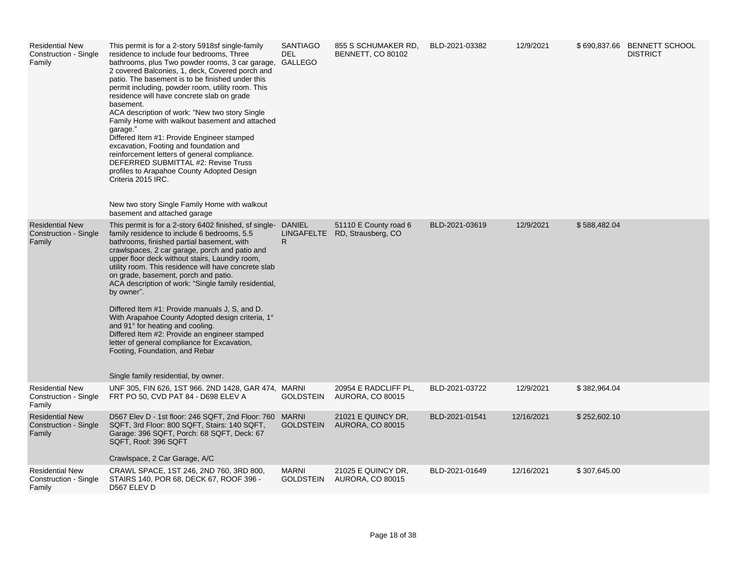| <b>Residential New</b><br>Construction - Single<br>Family | This permit is for a 2-story 5918sf single-family<br>residence to include four bedrooms, Three<br>bathrooms, plus Two powder rooms, 3 car garage,<br>2 covered Balconies, 1, deck, Covered porch and<br>patio. The basement is to be finished under this<br>permit including, powder room, utility room. This<br>residence will have concrete slab on grade<br>basement.<br>ACA description of work: "New two story Single"<br>Family Home with walkout basement and attached<br>garage."<br>Differed Item #1: Provide Engineer stamped<br>excavation, Footing and foundation and<br>reinforcement letters of general compliance.<br>DEFERRED SUBMITTAL #2: Revise Truss<br>profiles to Arapahoe County Adopted Design<br>Criteria 2015 IRC.<br>New two story Single Family Home with walkout<br>basement and attached garage | <b>SANTIAGO</b><br>DEL<br><b>GALLEGO</b> | 855 S SCHUMAKER RD.<br>BENNETT, CO 80102               | BLD-2021-03382 | 12/9/2021  |              | \$690,837.66 BENNETT SCHOOL<br><b>DISTRICT</b> |
|-----------------------------------------------------------|-------------------------------------------------------------------------------------------------------------------------------------------------------------------------------------------------------------------------------------------------------------------------------------------------------------------------------------------------------------------------------------------------------------------------------------------------------------------------------------------------------------------------------------------------------------------------------------------------------------------------------------------------------------------------------------------------------------------------------------------------------------------------------------------------------------------------------|------------------------------------------|--------------------------------------------------------|----------------|------------|--------------|------------------------------------------------|
| <b>Residential New</b><br>Construction - Single<br>Family | This permit is for a 2-story 6402 finished, sf single- DANIEL<br>family residence to include 6 bedrooms, 5.5<br>bathrooms, finished partial basement, with<br>crawlspaces, 2 car garage, porch and patio and<br>upper floor deck without stairs, Laundry room,<br>utility room. This residence will have concrete slab<br>on grade, basement, porch and patio.<br>ACA description of work: "Single family residential,<br>by owner".<br>Differed Item #1: Provide manuals J, S, and D.<br>With Arapahoe County Adopted design criteria, 1°<br>and 91° for heating and cooling.<br>Differed Item #2: Provide an engineer stamped<br>letter of general compliance for Excavation,<br>Footing, Foundation, and Rebar<br>Single family residential, by owner.                                                                     | $\mathsf{R}$                             | 51110 E County road 6<br>LINGAFELTE RD, Strausberg, CO | BLD-2021-03619 | 12/9/2021  | \$588,482.04 |                                                |
| <b>Residential New</b><br>Construction - Single<br>Family | UNF 305, FIN 626, 1ST 966. 2ND 1428, GAR 474, MARNI<br>FRT PO 50, CVD PAT 84 - D698 ELEV A                                                                                                                                                                                                                                                                                                                                                                                                                                                                                                                                                                                                                                                                                                                                    | <b>GOLDSTEIN</b>                         | 20954 E RADCLIFF PL,<br><b>AURORA, CO 80015</b>        | BLD-2021-03722 | 12/9/2021  | \$382,964.04 |                                                |
| <b>Residential New</b><br>Construction - Single<br>Family | D567 Elev D - 1st floor: 246 SQFT, 2nd Floor: 760<br>SQFT, 3rd Floor: 800 SQFT, Stairs: 140 SQFT,<br>Garage: 396 SQFT, Porch: 68 SQFT, Deck: 67<br>SQFT, Roof: 396 SQFT<br>Crawlspace, 2 Car Garage, A/C                                                                                                                                                                                                                                                                                                                                                                                                                                                                                                                                                                                                                      | <b>MARNI</b><br><b>GOLDSTEIN</b>         | 21021 E QUINCY DR.<br><b>AURORA, CO 80015</b>          | BLD-2021-01541 | 12/16/2021 | \$252,602.10 |                                                |
| <b>Residential New</b><br>Construction - Single<br>Family | CRAWL SPACE, 1ST 246, 2ND 760, 3RD 800,<br>STAIRS 140, POR 68, DECK 67, ROOF 396 -<br>D567 ELEV D                                                                                                                                                                                                                                                                                                                                                                                                                                                                                                                                                                                                                                                                                                                             | <b>MARNI</b><br><b>GOLDSTEIN</b>         | 21025 E QUINCY DR,<br>AURORA, CO 80015                 | BLD-2021-01649 | 12/16/2021 | \$307,645.00 |                                                |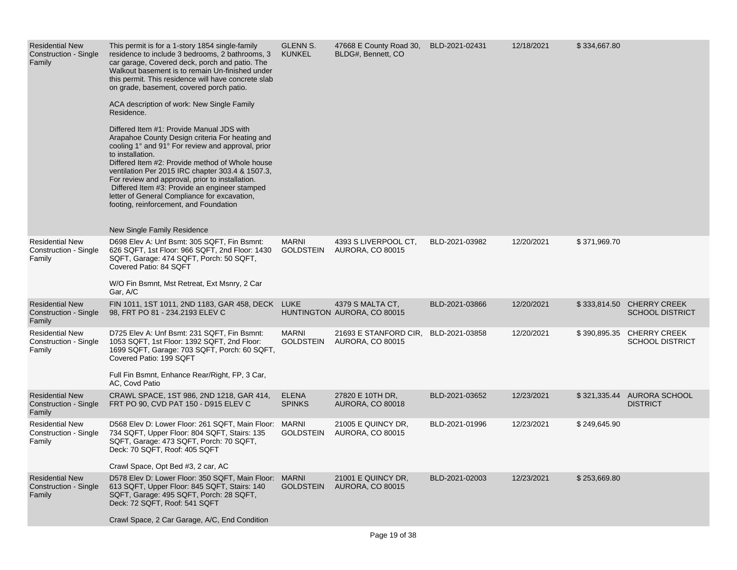| <b>Residential New</b><br><b>Construction - Single</b><br>Family | This permit is for a 1-story 1854 single-family<br>residence to include 3 bedrooms, 2 bathrooms, 3<br>car garage, Covered deck, porch and patio. The<br>Walkout basement is to remain Un-finished under<br>this permit. This residence will have concrete slab<br>on grade, basement, covered porch patio.<br>ACA description of work: New Single Family<br>Residence.<br>Differed Item #1: Provide Manual JDS with<br>Arapahoe County Design criteria For heating and<br>cooling 1° and 91° For review and approval, prior<br>to installation.<br>Differed Item #2: Provide method of Whole house<br>ventilation Per 2015 IRC chapter 303.4 & 1507.3,<br>For review and approval, prior to installation.<br>Differed Item #3: Provide an engineer stamped<br>letter of General Compliance for excavation,<br>footing, reinforcement, and Foundation<br>New Single Family Residence | <b>GLENN S.</b><br><b>KUNKEL</b> | 47668 E County Road 30,<br>BLDG#, Bennett, CO   | BLD-2021-02431 | 12/18/2021 | \$334,667.80 |                                                     |
|------------------------------------------------------------------|-------------------------------------------------------------------------------------------------------------------------------------------------------------------------------------------------------------------------------------------------------------------------------------------------------------------------------------------------------------------------------------------------------------------------------------------------------------------------------------------------------------------------------------------------------------------------------------------------------------------------------------------------------------------------------------------------------------------------------------------------------------------------------------------------------------------------------------------------------------------------------------|----------------------------------|-------------------------------------------------|----------------|------------|--------------|-----------------------------------------------------|
| <b>Residential New</b><br>Construction - Single<br>Family        | D698 Elev A: Unf Bsmt: 305 SQFT, Fin Bsmnt:<br>626 SQFT, 1st Floor: 966 SQFT, 2nd Floor: 1430<br>SQFT, Garage: 474 SQFT, Porch: 50 SQFT,<br>Covered Patio: 84 SQFT<br>W/O Fin Bsmnt, Mst Retreat, Ext Msnry, 2 Car<br>Gar, A/C                                                                                                                                                                                                                                                                                                                                                                                                                                                                                                                                                                                                                                                      | <b>MARNI</b><br><b>GOLDSTEIN</b> | 4393 S LIVERPOOL CT,<br><b>AURORA, CO 80015</b> | BLD-2021-03982 | 12/20/2021 | \$371,969.70 |                                                     |
| <b>Residential New</b><br>Construction - Single<br>Family        | FIN 1011, 1ST 1011, 2ND 1183, GAR 458, DECK LUKE<br>98, FRT PO 81 - 234.2193 ELEV C                                                                                                                                                                                                                                                                                                                                                                                                                                                                                                                                                                                                                                                                                                                                                                                                 |                                  | 4379 S MALTA CT.<br>HUNTINGTON AURORA, CO 80015 | BLD-2021-03866 | 12/20/2021 |              | \$333,814.50 CHERRY CREEK<br><b>SCHOOL DISTRICT</b> |
| <b>Residential New</b><br>Construction - Single<br>Family        | D725 Elev A: Unf Bsmt: 231 SQFT, Fin Bsmnt:<br>1053 SQFT, 1st Floor: 1392 SQFT, 2nd Floor:<br>1699 SQFT, Garage: 703 SQFT, Porch: 60 SQFT,<br>Covered Patio: 199 SQFT<br>Full Fin Bsmnt, Enhance Rear/Right, FP, 3 Car,<br>AC, Covd Patio                                                                                                                                                                                                                                                                                                                                                                                                                                                                                                                                                                                                                                           | <b>MARNI</b><br><b>GOLDSTEIN</b> | 21693 E STANFORD CIR,<br>AURORA, CO 80015       | BLD-2021-03858 | 12/20/2021 | \$390,895.35 | <b>CHERRY CREEK</b><br><b>SCHOOL DISTRICT</b>       |
| <b>Residential New</b><br>Construction - Single<br>Family        | CRAWL SPACE, 1ST 986, 2ND 1218, GAR 414,<br>FRT PO 90, CVD PAT 150 - D915 ELEV C                                                                                                                                                                                                                                                                                                                                                                                                                                                                                                                                                                                                                                                                                                                                                                                                    | <b>ELENA</b><br><b>SPINKS</b>    | 27820 E 10TH DR,<br><b>AURORA, CO 80018</b>     | BLD-2021-03652 | 12/23/2021 | \$321,335.44 | <b>AURORA SCHOOL</b><br><b>DISTRICT</b>             |
| <b>Residential New</b><br>Construction - Single<br>Family        | D568 Elev D: Lower Floor: 261 SQFT, Main Floor: MARNI<br>734 SQFT, Upper Floor: 804 SQFT, Stairs: 135<br>SQFT, Garage: 473 SQFT, Porch: 70 SQFT,<br>Deck: 70 SQFT, Roof: 405 SQFT<br>Crawl Space, Opt Bed #3, 2 car, AC                                                                                                                                                                                                                                                                                                                                                                                                                                                                                                                                                                                                                                                             | <b>GOLDSTEIN</b>                 | 21005 E QUINCY DR,<br><b>AURORA, CO 80015</b>   | BLD-2021-01996 | 12/23/2021 | \$249,645.90 |                                                     |
| <b>Residential New</b><br>Construction - Single<br>Family        | D578 Elev D: Lower Floor: 350 SQFT, Main Floor: MARNI<br>613 SQFT, Upper Floor: 845 SQFT, Stairs: 140<br>SQFT, Garage: 495 SQFT, Porch: 28 SQFT,<br>Deck: 72 SQFT, Roof: 541 SQFT<br>Crawl Space, 2 Car Garage, A/C, End Condition                                                                                                                                                                                                                                                                                                                                                                                                                                                                                                                                                                                                                                                  | <b>GOLDSTEIN</b>                 | 21001 E QUINCY DR,<br><b>AURORA, CO 80015</b>   | BLD-2021-02003 | 12/23/2021 | \$253,669.80 |                                                     |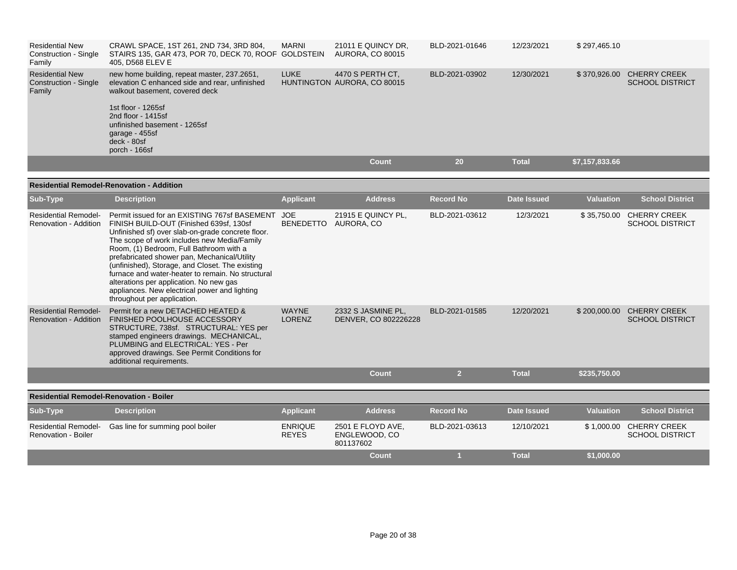| <b>Residential New</b><br>Construction - Single<br>Family | CRAWL SPACE, 1ST 261, 2ND 734, 3RD 804,<br>STAIRS 135, GAR 473, POR 70, DECK 70, ROOF GOLDSTEIN<br>405. D568 ELEV E                                                         | MARNI | 21011 E QUINCY DR.<br><b>AURORA, CO 80015</b>   | BLD-2021-01646 | 12/23/2021   | \$297.465.10                                                  |
|-----------------------------------------------------------|-----------------------------------------------------------------------------------------------------------------------------------------------------------------------------|-------|-------------------------------------------------|----------------|--------------|---------------------------------------------------------------|
| <b>Residential New</b><br>Construction - Single<br>Family | new home building, repeat master, 237.2651,<br>elevation C enhanced side and rear, unfinished<br>walkout basement, covered deck<br>1st floor - 1265sf<br>2nd floor - 1415sf | LUKE  | 4470 S PERTH CT.<br>HUNTINGTON AURORA, CO 80015 | BLD-2021-03902 | 12/30/2021   | \$370,926.00<br><b>CHERRY CREEK</b><br><b>SCHOOL DISTRICT</b> |
|                                                           | unfinished basement - 1265sf<br>garage - 455sf<br>deck - 80sf<br>porch - 166sf                                                                                              |       |                                                 |                |              |                                                               |
|                                                           |                                                                                                                                                                             |       | Count                                           | 20             | <b>Total</b> | \$7,157,833.66                                                |

## **Residential Remodel-Renovation - Addition**

| Sub-Type                                                  | <b>Description</b>                                                                                                                                                                                                                                                                                                                                                                                                                                                                                                        | <b>Applicant</b>               | <b>Address</b>                                  | <b>Record No</b> | <b>Date Issued</b> | <b>Valuation</b> | <b>School District</b>                        |
|-----------------------------------------------------------|---------------------------------------------------------------------------------------------------------------------------------------------------------------------------------------------------------------------------------------------------------------------------------------------------------------------------------------------------------------------------------------------------------------------------------------------------------------------------------------------------------------------------|--------------------------------|-------------------------------------------------|------------------|--------------------|------------------|-----------------------------------------------|
| <b>Residential Remodel-</b><br>Renovation - Addition      | Permit issued for an EXISTING 767sf BASEMENT<br>FINISH BUILD-OUT (Finished 639sf, 130sf<br>Unfinished sf) over slab-on-grade concrete floor.<br>The scope of work includes new Media/Family<br>Room, (1) Bedroom, Full Bathroom with a<br>prefabricated shower pan, Mechanical/Utility<br>(unfinished), Storage, and Closet. The existing<br>furnace and water-heater to remain. No structural<br>alterations per application. No new gas<br>appliances. New electrical power and lighting<br>throughout per application. | <b>JOE</b><br><b>BENEDETTO</b> | 21915 E QUINCY PL,<br>AURORA, CO                | BLD-2021-03612   | 12/3/2021          | \$35,750.00      | <b>CHERRY CREEK</b><br><b>SCHOOL DISTRICT</b> |
| <b>Residential Remodel-</b><br>Renovation - Addition      | Permit for a new DETACHED HEATED &<br><b>FINISHED POOLHOUSE ACCESSORY</b><br>STRUCTURE, 738sf. STRUCTURAL: YES per<br>stamped engineers drawings. MECHANICAL,<br>PLUMBING and ELECTRICAL: YES - Per<br>approved drawings. See Permit Conditions for<br>additional requirements.                                                                                                                                                                                                                                           | <b>WAYNE</b><br><b>LORENZ</b>  | 2332 S JASMINE PL.<br>DENVER, CO 802226228      | BLD-2021-01585   | 12/20/2021         | \$200,000.00     | <b>CHERRY CREEK</b><br><b>SCHOOL DISTRICT</b> |
|                                                           |                                                                                                                                                                                                                                                                                                                                                                                                                                                                                                                           |                                | <b>Count</b>                                    | $\overline{2}$   | <b>Total</b>       | \$235,750.00     |                                               |
| <b>Residential Remodel-Renovation - Boiler</b>            |                                                                                                                                                                                                                                                                                                                                                                                                                                                                                                                           |                                |                                                 |                  |                    |                  |                                               |
|                                                           |                                                                                                                                                                                                                                                                                                                                                                                                                                                                                                                           |                                |                                                 |                  |                    |                  |                                               |
| Sub-Type                                                  | <b>Description</b>                                                                                                                                                                                                                                                                                                                                                                                                                                                                                                        | <b>Applicant</b>               | <b>Address</b>                                  | <b>Record No</b> | <b>Date Issued</b> | <b>Valuation</b> | <b>School District</b>                        |
| <b>Residential Remodel-</b><br><b>Renovation - Boiler</b> | Gas line for summing pool boiler                                                                                                                                                                                                                                                                                                                                                                                                                                                                                          | <b>ENRIQUE</b><br><b>REYES</b> | 2501 E FLOYD AVE,<br>ENGLEWOOD, CO<br>801137602 | BLD-2021-03613   | 12/10/2021         | \$1,000.00       | <b>CHERRY CREEK</b><br><b>SCHOOL DISTRICT</b> |
|                                                           |                                                                                                                                                                                                                                                                                                                                                                                                                                                                                                                           |                                | Count                                           |                  | <b>Total</b>       | \$1,000.00       |                                               |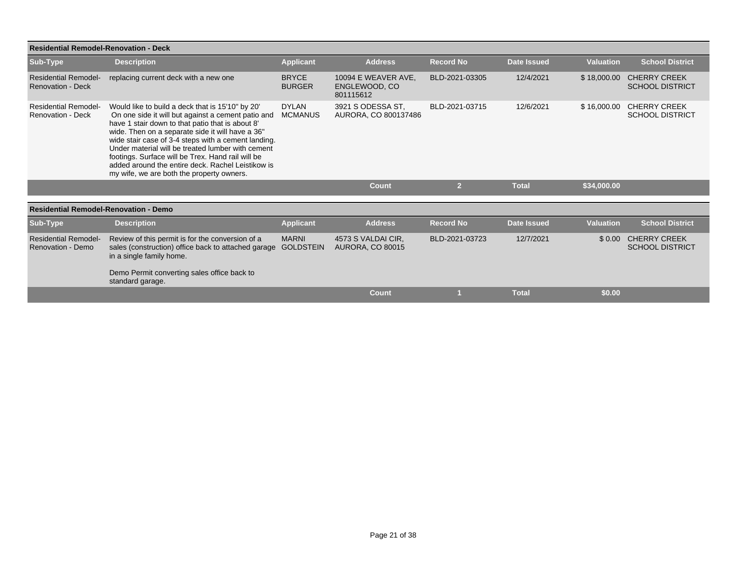| <b>Residential Remodel-Renovation - Deck</b>            |                                                                                                                                                                                                                                                                                                                                                                                                                                                                                   |                                  |                                                   |                  |                    |                  |                                               |
|---------------------------------------------------------|-----------------------------------------------------------------------------------------------------------------------------------------------------------------------------------------------------------------------------------------------------------------------------------------------------------------------------------------------------------------------------------------------------------------------------------------------------------------------------------|----------------------------------|---------------------------------------------------|------------------|--------------------|------------------|-----------------------------------------------|
| Sub-Type                                                | <b>Description</b>                                                                                                                                                                                                                                                                                                                                                                                                                                                                | <b>Applicant</b>                 | <b>Address</b>                                    | <b>Record No</b> | <b>Date Issued</b> | <b>Valuation</b> | <b>School District</b>                        |
| <b>Residential Remodel-</b><br><b>Renovation - Deck</b> | replacing current deck with a new one                                                                                                                                                                                                                                                                                                                                                                                                                                             | <b>BRYCE</b><br><b>BURGER</b>    | 10094 E WEAVER AVE.<br>ENGLEWOOD, CO<br>801115612 | BLD-2021-03305   | 12/4/2021          | \$18,000.00      | <b>CHERRY CREEK</b><br><b>SCHOOL DISTRICT</b> |
| <b>Residential Remodel-</b><br><b>Renovation - Deck</b> | Would like to build a deck that is 15'10" by 20"<br>On one side it will but against a cement patio and<br>have 1 stair down to that patio that is about 8'<br>wide. Then on a separate side it will have a 36"<br>wide stair case of 3-4 steps with a cement landing.<br>Under material will be treated lumber with cement<br>footings. Surface will be Trex. Hand rail will be<br>added around the entire deck. Rachel Leistikow is<br>my wife, we are both the property owners. | <b>DYLAN</b><br><b>MCMANUS</b>   | 3921 S ODESSA ST.<br>AURORA, CO 800137486         | BLD-2021-03715   | 12/6/2021          | \$16,000.00      | <b>CHERRY CREEK</b><br><b>SCHOOL DISTRICT</b> |
|                                                         |                                                                                                                                                                                                                                                                                                                                                                                                                                                                                   |                                  | Count                                             | $\overline{2}$   | <b>Total</b>       | \$34,000.00      |                                               |
| <b>Residential Remodel-Renovation - Demo</b>            |                                                                                                                                                                                                                                                                                                                                                                                                                                                                                   |                                  |                                                   |                  |                    |                  |                                               |
|                                                         |                                                                                                                                                                                                                                                                                                                                                                                                                                                                                   |                                  |                                                   |                  |                    |                  |                                               |
| Sub-Type                                                | <b>Description</b>                                                                                                                                                                                                                                                                                                                                                                                                                                                                | <b>Applicant</b>                 | <b>Address</b>                                    | <b>Record No</b> | <b>Date Issued</b> | <b>Valuation</b> | <b>School District</b>                        |
| <b>Residential Remodel-</b><br>Renovation - Demo        | Review of this permit is for the conversion of a<br>sales (construction) office back to attached garage<br>in a single family home.                                                                                                                                                                                                                                                                                                                                               | <b>MARNI</b><br><b>GOLDSTEIN</b> | 4573 S VALDAI CIR.<br><b>AURORA, CO 80015</b>     | BLD-2021-03723   | 12/7/2021          |                  | \$0.00 CHERRY CREEK<br><b>SCHOOL DISTRICT</b> |
|                                                         | Demo Permit converting sales office back to<br>standard garage.                                                                                                                                                                                                                                                                                                                                                                                                                   |                                  |                                                   |                  |                    |                  |                                               |
|                                                         |                                                                                                                                                                                                                                                                                                                                                                                                                                                                                   |                                  | Count                                             |                  | <b>Total</b>       | \$0.00           |                                               |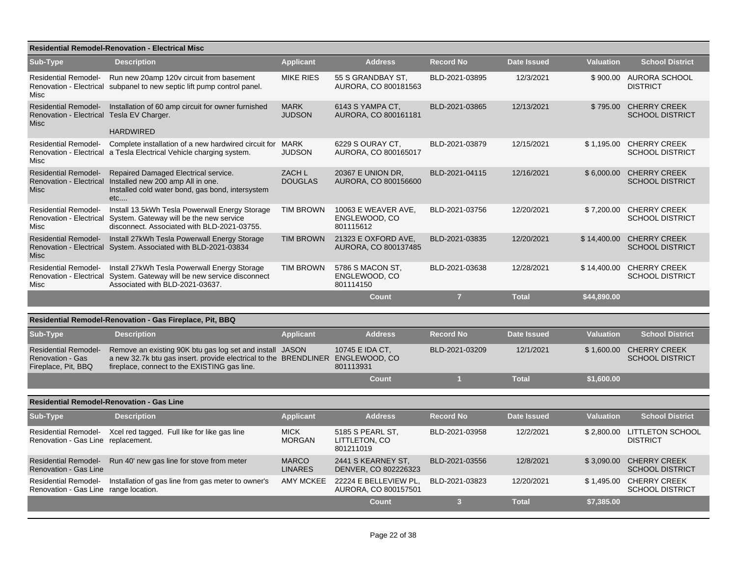|                                                                                         | <b>Residential Remodel-Renovation - Electrical Misc</b>                                                                                                                                    |                                |                                                   |                         |                    |                  |                                                   |
|-----------------------------------------------------------------------------------------|--------------------------------------------------------------------------------------------------------------------------------------------------------------------------------------------|--------------------------------|---------------------------------------------------|-------------------------|--------------------|------------------|---------------------------------------------------|
| Sub-Type                                                                                | <b>Description</b>                                                                                                                                                                         | <b>Applicant</b>               | <b>Address</b>                                    | <b>Record No</b>        | <b>Date Issued</b> | <b>Valuation</b> | <b>School District</b>                            |
| <b>Residential Remodel-</b><br>Misc                                                     | Run new 20amp 120v circuit from basement<br>Renovation - Electrical subpanel to new septic lift pump control panel.                                                                        | <b>MIKE RIES</b>               | 55 S GRANDBAY ST.<br>AURORA, CO 800181563         | BLD-2021-03895          | 12/3/2021          |                  | \$900.00 AURORA SCHOOL<br><b>DISTRICT</b>         |
| <b>Residential Remodel-</b><br>Renovation - Electrical Tesla EV Charger.<br><b>Misc</b> | Installation of 60 amp circuit for owner furnished<br><b>HARDWIRED</b>                                                                                                                     | <b>MARK</b><br><b>JUDSON</b>   | 6143 S YAMPA CT,<br>AURORA, CO 800161181          | BLD-2021-03865          | 12/13/2021         | \$795.00         | <b>CHERRY CREEK</b><br><b>SCHOOL DISTRICT</b>     |
| <b>Residential Remodel-</b><br>Misc                                                     | Complete installation of a new hardwired circuit for MARK<br>Renovation - Electrical a Tesla Electrical Vehicle charging system.                                                           | <b>JUDSON</b>                  | 6229 S OURAY CT.<br>AURORA, CO 800165017          | BLD-2021-03879          | 12/15/2021         |                  | \$1,195.00 CHERRY CREEK<br><b>SCHOOL DISTRICT</b> |
| <b>Residential Remodel-</b><br>Misc                                                     | Repaired Damaged Electrical service.<br>Renovation - Electrical Installed new 200 amp All in one.<br>Installed cold water bond, gas bond, intersystem<br>etc                               | ZACH L<br><b>DOUGLAS</b>       | 20367 E UNION DR,<br>AURORA, CO 800156600         | BLD-2021-04115          | 12/16/2021         | \$6,000.00       | <b>CHERRY CREEK</b><br><b>SCHOOL DISTRICT</b>     |
| Misc                                                                                    | Residential Remodel- Install 13.5kWh Tesla Powerwall Energy Storage<br>Renovation - Electrical System. Gateway will be the new service<br>disconnect. Associated with BLD-2021-03755.      | <b>TIM BROWN</b>               | 10063 E WEAVER AVE,<br>ENGLEWOOD, CO<br>801115612 | BLD-2021-03756          | 12/20/2021         | \$7,200.00       | <b>CHERRY CREEK</b><br><b>SCHOOL DISTRICT</b>     |
| <b>Residential Remodel-</b><br>Misc                                                     | Install 27kWh Tesla Powerwall Energy Storage<br>Renovation - Electrical System. Associated with BLD-2021-03834                                                                             | <b>TIM BROWN</b>               | 21323 E OXFORD AVE.<br>AURORA, CO 800137485       | BLD-2021-03835          | 12/20/2021         | \$14,400.00      | <b>CHERRY CREEK</b><br><b>SCHOOL DISTRICT</b>     |
| <b>Residential Remodel-</b><br>Misc                                                     | Install 27kWh Tesla Powerwall Energy Storage<br>Renovation - Electrical System. Gateway will be new service disconnect<br>Associated with BLD-2021-03637.                                  | <b>TIM BROWN</b>               | 5786 S MACON ST.<br>ENGLEWOOD, CO<br>801114150    | BLD-2021-03638          | 12/28/2021         | \$14,400.00      | <b>CHERRY CREEK</b><br><b>SCHOOL DISTRICT</b>     |
|                                                                                         |                                                                                                                                                                                            |                                | <b>Count</b>                                      | $\overline{7}$          | <b>Total</b>       | \$44,890.00      |                                                   |
|                                                                                         | Residential Remodel-Renovation - Gas Fireplace, Pit, BBQ                                                                                                                                   |                                |                                                   |                         |                    |                  |                                                   |
| Sub-Type                                                                                | <b>Description</b>                                                                                                                                                                         | <b>Applicant</b>               | <b>Address</b>                                    | <b>Record No</b>        | <b>Date Issued</b> | <b>Valuation</b> | <b>School District</b>                            |
| <b>Residential Remodel-</b><br><b>Renovation - Gas</b><br>Fireplace, Pit, BBQ           | Remove an existing 90K btu gas log set and install JASON<br>a new 32.7k btu gas insert. provide electrical to the BRENDLINER ENGLEWOOD, CO<br>fireplace, connect to the EXISTING gas line. |                                | 10745 E IDA CT.<br>801113931                      | BLD-2021-03209          | 12/1/2021          | \$1,600.00       | <b>CHERRY CREEK</b><br><b>SCHOOL DISTRICT</b>     |
|                                                                                         |                                                                                                                                                                                            |                                | Count                                             | $\overline{1}$          | <b>Total</b>       | \$1,600.00       |                                                   |
|                                                                                         | <b>Residential Remodel-Renovation - Gas Line</b>                                                                                                                                           |                                |                                                   |                         |                    |                  |                                                   |
| Sub-Type                                                                                | <b>Description</b>                                                                                                                                                                         | <b>Applicant</b>               | <b>Address</b>                                    | <b>Record No</b>        | <b>Date Issued</b> | <b>Valuation</b> | <b>School District</b>                            |
| Renovation - Gas Line replacement.                                                      | Residential Remodel- Xcel red tagged. Full like for like gas line                                                                                                                          | <b>MICK</b><br><b>MORGAN</b>   | 5185 S PEARL ST,<br>LITTLETON, CO<br>801211019    | BLD-2021-03958          | 12/2/2021          | \$2,800.00       | <b>LITTLETON SCHOOL</b><br><b>DISTRICT</b>        |
| <b>Residential Remodel-</b><br>Renovation - Gas Line                                    | Run 40' new gas line for stove from meter                                                                                                                                                  | <b>MARCO</b><br><b>LINARES</b> | 2441 S KEARNEY ST,<br>DENVER, CO 802226323        | BLD-2021-03556          | 12/8/2021          | \$3,090.00       | <b>CHERRY CREEK</b><br><b>SCHOOL DISTRICT</b>     |
| <b>Residential Remodel-</b><br>Renovation - Gas Line range location.                    | Installation of gas line from gas meter to owner's                                                                                                                                         | AMY MCKEE                      | 22224 E BELLEVIEW PL.<br>AURORA, CO 800157501     | BLD-2021-03823          | 12/20/2021         |                  | \$1,495.00 CHERRY CREEK<br><b>SCHOOL DISTRICT</b> |
|                                                                                         |                                                                                                                                                                                            |                                | <b>Count</b>                                      | $\overline{\mathbf{3}}$ | <b>Total</b>       | \$7,385.00       |                                                   |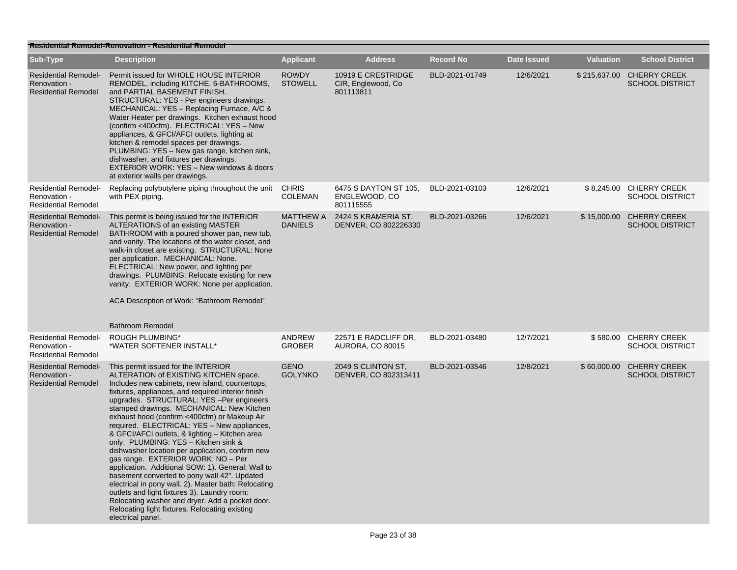|                                                                           | <b>Residential Remodel-Renovation - Residential Remodel</b>                                                                                                                                                                                                                                                                                                                                                                                                                                                                                                                                                                                                                                                                                                                                                                                                                                              |                                    |                                                        |                  |                    |                  |                                                     |
|---------------------------------------------------------------------------|----------------------------------------------------------------------------------------------------------------------------------------------------------------------------------------------------------------------------------------------------------------------------------------------------------------------------------------------------------------------------------------------------------------------------------------------------------------------------------------------------------------------------------------------------------------------------------------------------------------------------------------------------------------------------------------------------------------------------------------------------------------------------------------------------------------------------------------------------------------------------------------------------------|------------------------------------|--------------------------------------------------------|------------------|--------------------|------------------|-----------------------------------------------------|
| Sub-Type                                                                  | <b>Description</b>                                                                                                                                                                                                                                                                                                                                                                                                                                                                                                                                                                                                                                                                                                                                                                                                                                                                                       | <b>Applicant</b>                   | <b>Address</b>                                         | <b>Record No</b> | <b>Date Issued</b> | <b>Valuation</b> | <b>School District</b>                              |
| <b>Residential Remodel-</b><br>Renovation -<br><b>Residential Remodel</b> | Permit issued for WHOLE HOUSE INTERIOR<br>REMODEL, including KITCHE, 6-BATHROOMS,<br>and PARTIAL BASEMENT FINISH.<br>STRUCTURAL: YES - Per engineers drawings.<br>MECHANICAL: YES - Replacing Furnace, A/C &<br>Water Heater per drawings. Kitchen exhaust hood<br>(confirm <400cfm). ELECTRICAL: YES - New<br>appliances, & GFCI/AFCI outlets, lighting at<br>kitchen & remodel spaces per drawings.<br>PLUMBING: YES - New gas range, kitchen sink,<br>dishwasher, and fixtures per drawings.<br>EXTERIOR WORK: YES - New windows & doors<br>at exterior walls per drawings.                                                                                                                                                                                                                                                                                                                           | <b>ROWDY</b><br><b>STOWELL</b>     | 10919 E CRESTRIDGE<br>CIR, Englewood, Co.<br>801113811 | BLD-2021-01749   | 12/6/2021          |                  | \$215,637.00 CHERRY CREEK<br><b>SCHOOL DISTRICT</b> |
| <b>Residential Remodel-</b><br>Renovation -<br><b>Residential Remodel</b> | Replacing polybutylene piping throughout the unit<br>with PEX piping.                                                                                                                                                                                                                                                                                                                                                                                                                                                                                                                                                                                                                                                                                                                                                                                                                                    | <b>CHRIS</b><br><b>COLEMAN</b>     | 6475 S DAYTON ST 105,<br>ENGLEWOOD, CO<br>801115555    | BLD-2021-03103   | 12/6/2021          |                  | \$8,245.00 CHERRY CREEK<br><b>SCHOOL DISTRICT</b>   |
| <b>Residential Remodel-</b><br>Renovation -<br><b>Residential Remodel</b> | This permit is being issued for the INTERIOR<br>ALTERATIONS of an existing MASTER<br>BATHROOM with a poured shower pan, new tub,<br>and vanity. The locations of the water closet, and<br>walk-in closet are existing. STRUCTURAL: None<br>per application. MECHANICAL: None.<br>ELECTRICAL: New power, and lighting per<br>drawings. PLUMBING: Relocate existing for new<br>vanity. EXTERIOR WORK: None per application.<br>ACA Description of Work: "Bathroom Remodel"<br><b>Bathroom Remodel</b>                                                                                                                                                                                                                                                                                                                                                                                                      | <b>MATTHEW A</b><br><b>DANIELS</b> | 2424 S KRAMERIA ST,<br>DENVER, CO 802226330            | BLD-2021-03266   | 12/6/2021          |                  | \$15,000.00 CHERRY CREEK<br><b>SCHOOL DISTRICT</b>  |
| <b>Residential Remodel-</b><br>Renovation -<br><b>Residential Remodel</b> | <b>ROUGH PLUMBING*</b><br>*WATER SOFTENER INSTALL*                                                                                                                                                                                                                                                                                                                                                                                                                                                                                                                                                                                                                                                                                                                                                                                                                                                       | <b>ANDREW</b><br><b>GROBER</b>     | 22571 E RADCLIFF DR,<br><b>AURORA, CO 80015</b>        | BLD-2021-03480   | 12/7/2021          |                  | \$580.00 CHERRY CREEK<br><b>SCHOOL DISTRICT</b>     |
| <b>Residential Remodel-</b><br>Renovation -<br><b>Residential Remodel</b> | This permit issued for the INTERIOR<br>ALTERATION of EXISTING KITCHEN space.<br>Includes new cabinets, new island, countertops,<br>fixtures, appliances, and required interior finish<br>upgrades. STRUCTURAL: YES -Per engineers<br>stamped drawings. MECHANICAL: New Kitchen<br>exhaust hood (confirm <400cfm) or Makeup Air<br>required. ELECTRICAL: YES - New appliances,<br>& GFCI/AFCI outlets, & lighting - Kitchen area<br>only. PLUMBING: YES - Kitchen sink &<br>dishwasher location per application, confirm new<br>gas range. EXTERIOR WORK: NO - Per<br>application. Additional SOW: 1). General: Wall to<br>basement converted to pony wall 42". Updated<br>electrical in pony wall. 2). Master bath: Relocating<br>outlets and light fixtures 3). Laundry room:<br>Relocating washer and dryer. Add a pocket door.<br>Relocating light fixtures. Relocating existing<br>electrical panel. | <b>GENO</b><br><b>GOLYNKO</b>      | 2049 S CLINTON ST,<br>DENVER, CO 802313411             | BLD-2021-03546   | 12/8/2021          |                  | \$60,000.00 CHERRY CREEK<br><b>SCHOOL DISTRICT</b>  |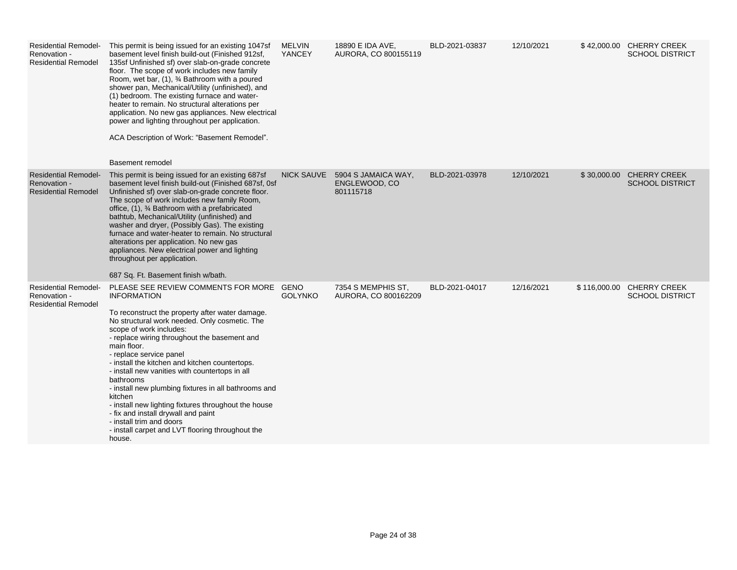| <b>Residential Remodel-</b><br>Renovation -<br><b>Residential Remodel</b> | This permit is being issued for an existing 1047sf<br>basement level finish build-out (Finished 912sf,<br>135sf Unfinished sf) over slab-on-grade concrete<br>floor. The scope of work includes new family<br>Room, wet bar, (1), 3⁄4 Bathroom with a poured<br>shower pan, Mechanical/Utility (unfinished), and<br>(1) bedroom. The existing furnace and water-<br>heater to remain. No structural alterations per<br>application. No new gas appliances. New electrical<br>power and lighting throughout per application.<br>ACA Description of Work: "Basement Remodel".<br>Basement remodel                                                                      | <b>MELVIN</b><br>YANCEY | 18890 E IDA AVE,<br>AURORA, CO 800155119          | BLD-2021-03837 | 12/10/2021 |              | \$42,000.00 CHERRY CREEK<br><b>SCHOOL DISTRICT</b> |
|---------------------------------------------------------------------------|----------------------------------------------------------------------------------------------------------------------------------------------------------------------------------------------------------------------------------------------------------------------------------------------------------------------------------------------------------------------------------------------------------------------------------------------------------------------------------------------------------------------------------------------------------------------------------------------------------------------------------------------------------------------|-------------------------|---------------------------------------------------|----------------|------------|--------------|----------------------------------------------------|
| <b>Residential Remodel-</b><br>Renovation -<br><b>Residential Remodel</b> | This permit is being issued for an existing 687sf<br>basement level finish build-out (Finished 687sf, 0sf<br>Unfinished sf) over slab-on-grade concrete floor.<br>The scope of work includes new family Room,<br>office, (1), 3⁄4 Bathroom with a prefabricated<br>bathtub, Mechanical/Utility (unfinished) and<br>washer and dryer, (Possibly Gas). The existing<br>furnace and water-heater to remain. No structural<br>alterations per application. No new gas<br>appliances. New electrical power and lighting<br>throughout per application.<br>687 Sq. Ft. Basement finish w/bath.                                                                             | <b>NICK SAUVE</b>       | 5904 S JAMAICA WAY,<br>ENGLEWOOD, CO<br>801115718 | BLD-2021-03978 | 12/10/2021 | \$30,000.00  | <b>CHERRY CREEK</b><br><b>SCHOOL DISTRICT</b>      |
| <b>Residential Remodel-</b><br>Renovation -<br><b>Residential Remodel</b> | PLEASE SEE REVIEW COMMENTS FOR MORE GENO<br><b>INFORMATION</b><br>To reconstruct the property after water damage.<br>No structural work needed. Only cosmetic. The<br>scope of work includes:<br>- replace wiring throughout the basement and<br>main floor.<br>- replace service panel<br>- install the kitchen and kitchen countertops.<br>- install new vanities with countertops in all<br>bathrooms<br>- install new plumbing fixtures in all bathrooms and<br>kitchen<br>- install new lighting fixtures throughout the house<br>- fix and install drywall and paint<br>- install trim and doors<br>- install carpet and LVT flooring throughout the<br>house. | <b>GOLYNKO</b>          | 7354 S MEMPHIS ST.<br>AURORA, CO 800162209        | BLD-2021-04017 | 12/16/2021 | \$116,000.00 | <b>CHERRY CREEK</b><br><b>SCHOOL DISTRICT</b>      |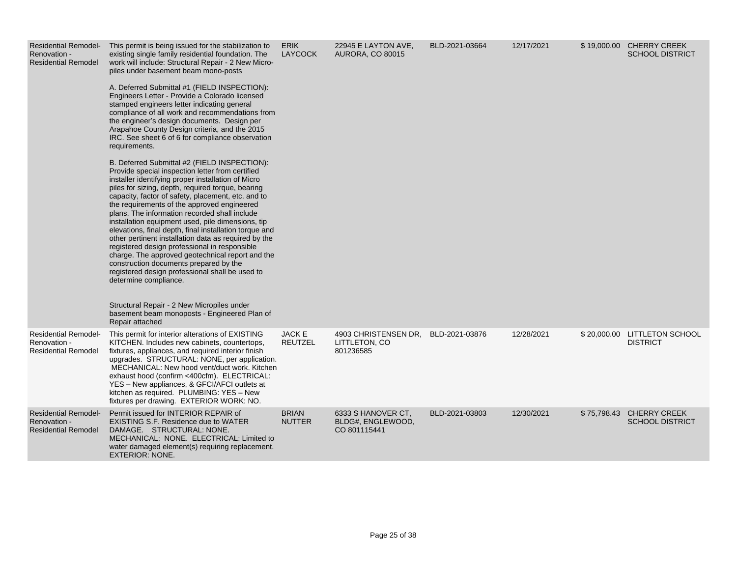| <b>Residential Remodel-</b><br>Renovation -<br><b>Residential Remodel</b> | This permit is being issued for the stabilization to<br>existing single family residential foundation. The<br>work will include: Structural Repair - 2 New Micro-<br>piles under basement beam mono-posts<br>A. Deferred Submittal #1 (FIELD INSPECTION):<br>Engineers Letter - Provide a Colorado licensed<br>stamped engineers letter indicating general<br>compliance of all work and recommendations from<br>the engineer's design documents. Design per<br>Arapahoe County Design criteria, and the 2015<br>IRC. See sheet 6 of 6 for compliance observation<br>requirements.<br>B. Deferred Submittal #2 (FIELD INSPECTION):<br>Provide special inspection letter from certified<br>installer identifying proper installation of Micro<br>piles for sizing, depth, required torque, bearing<br>capacity, factor of safety, placement, etc. and to<br>the requirements of the approved engineered<br>plans. The information recorded shall include<br>installation equipment used, pile dimensions, tip<br>elevations, final depth, final installation torque and<br>other pertinent installation data as required by the<br>registered design professional in responsible<br>charge. The approved geotechnical report and the<br>construction documents prepared by the<br>registered design professional shall be used to<br>determine compliance.<br>Structural Repair - 2 New Micropiles under<br>basement beam monoposts - Engineered Plan of<br>Repair attached | <b>ERIK</b><br><b>LAYCOCK</b>   | 22945 E LAYTON AVE,<br><b>AURORA, CO 80015</b>          | BLD-2021-03664 | 12/17/2021 | \$19,000.00 CHERRY CREEK<br><b>SCHOOL DISTRICT</b> |
|---------------------------------------------------------------------------|----------------------------------------------------------------------------------------------------------------------------------------------------------------------------------------------------------------------------------------------------------------------------------------------------------------------------------------------------------------------------------------------------------------------------------------------------------------------------------------------------------------------------------------------------------------------------------------------------------------------------------------------------------------------------------------------------------------------------------------------------------------------------------------------------------------------------------------------------------------------------------------------------------------------------------------------------------------------------------------------------------------------------------------------------------------------------------------------------------------------------------------------------------------------------------------------------------------------------------------------------------------------------------------------------------------------------------------------------------------------------------------------------------------------------------------------------------------------------|---------------------------------|---------------------------------------------------------|----------------|------------|----------------------------------------------------|
| <b>Residential Remodel-</b><br>Renovation -<br><b>Residential Remodel</b> | This permit for interior alterations of EXISTING<br>KITCHEN. Includes new cabinets, countertops,<br>fixtures, appliances, and required interior finish<br>upgrades. STRUCTURAL: NONE, per application.<br>MECHANICAL: New hood vent/duct work. Kitchen<br>exhaust hood (confirm <400cfm). ELECTRICAL:<br>YES - New appliances, & GFCI/AFCI outlets at<br>kitchen as required. PLUMBING: YES - New<br>fixtures per drawing. EXTERIOR WORK: NO.                                                                                                                                                                                                                                                                                                                                                                                                                                                                                                                                                                                                                                                                                                                                                                                                                                                                                                                                                                                                                              | <b>JACK E</b><br><b>REUTZEL</b> | 4903 CHRISTENSEN DR.<br>LITTLETON, CO<br>801236585      | BLD-2021-03876 | 12/28/2021 | \$20,000.00 LITTLETON SCHOOL<br><b>DISTRICT</b>    |
| <b>Residential Remodel-</b><br>Renovation -<br><b>Residential Remodel</b> | Permit issued for INTERIOR REPAIR of<br><b>EXISTING S.F. Residence due to WATER</b><br>DAMAGE. STRUCTURAL: NONE.<br>MECHANICAL: NONE. ELECTRICAL: Limited to<br>water damaged element(s) requiring replacement.<br><b>EXTERIOR: NONE.</b>                                                                                                                                                                                                                                                                                                                                                                                                                                                                                                                                                                                                                                                                                                                                                                                                                                                                                                                                                                                                                                                                                                                                                                                                                                  | <b>BRIAN</b><br><b>NUTTER</b>   | 6333 S HANOVER CT.<br>BLDG#, ENGLEWOOD,<br>CO 801115441 | BLD-2021-03803 | 12/30/2021 | \$75,798.43 CHERRY CREEK<br><b>SCHOOL DISTRICT</b> |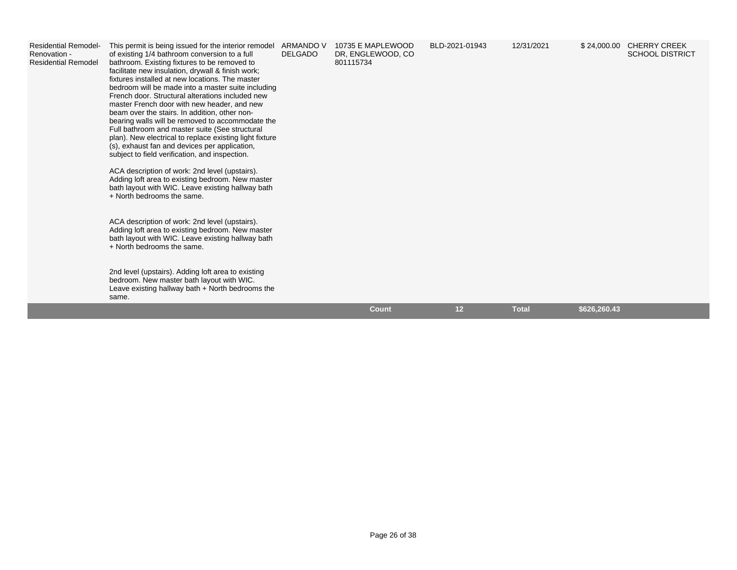| <b>Residential Remodel-</b><br>Renovation -<br><b>Residential Remodel</b> | This permit is being issued for the interior remodel<br>of existing 1/4 bathroom conversion to a full<br>bathroom. Existing fixtures to be removed to<br>facilitate new insulation, drywall & finish work;<br>fixtures installed at new locations. The master<br>bedroom will be made into a master suite including<br>French door. Structural alterations included new<br>master French door with new header, and new<br>beam over the stairs. In addition, other non-<br>bearing walls will be removed to accommodate the<br>Full bathroom and master suite (See structural<br>plan). New electrical to replace existing light fixture<br>(s), exhaust fan and devices per application,<br>subject to field verification, and inspection.<br>ACA description of work: 2nd level (upstairs).<br>Adding loft area to existing bedroom. New master<br>bath layout with WIC. Leave existing hallway bath<br>+ North bedrooms the same.<br>ACA description of work: 2nd level (upstairs).<br>Adding loft area to existing bedroom. New master<br>bath layout with WIC. Leave existing hallway bath<br>+ North bedrooms the same.<br>2nd level (upstairs). Adding loft area to existing<br>bedroom. New master bath layout with WIC.<br>Leave existing hallway bath + North bedrooms the<br>same. | <b>ARMANDO V</b><br><b>DELGADO</b> | 10735 E MAPLEWOOD<br>DR, ENGLEWOOD, CO<br>801115734 | BLD-2021-01943  | 12/31/2021   | \$24,000.00 CHERRY CREEK<br><b>SCHOOL DISTRICT</b> |
|---------------------------------------------------------------------------|-----------------------------------------------------------------------------------------------------------------------------------------------------------------------------------------------------------------------------------------------------------------------------------------------------------------------------------------------------------------------------------------------------------------------------------------------------------------------------------------------------------------------------------------------------------------------------------------------------------------------------------------------------------------------------------------------------------------------------------------------------------------------------------------------------------------------------------------------------------------------------------------------------------------------------------------------------------------------------------------------------------------------------------------------------------------------------------------------------------------------------------------------------------------------------------------------------------------------------------------------------------------------------------------------|------------------------------------|-----------------------------------------------------|-----------------|--------------|----------------------------------------------------|
|                                                                           |                                                                                                                                                                                                                                                                                                                                                                                                                                                                                                                                                                                                                                                                                                                                                                                                                                                                                                                                                                                                                                                                                                                                                                                                                                                                                               |                                    | <b>Count</b>                                        | 12 <sup>2</sup> | <b>Total</b> | \$626,260.43                                       |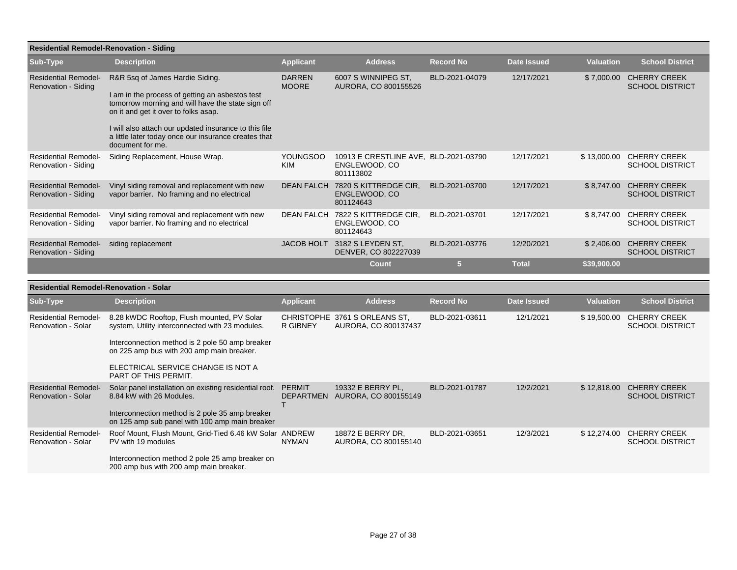|                                                           | <b>Residential Remodel-Renovation - Siding</b>                                                                                                                                                                                                                                                                       |                               |                                                                     |                  |                    |                  |                                               |  |  |  |  |
|-----------------------------------------------------------|----------------------------------------------------------------------------------------------------------------------------------------------------------------------------------------------------------------------------------------------------------------------------------------------------------------------|-------------------------------|---------------------------------------------------------------------|------------------|--------------------|------------------|-----------------------------------------------|--|--|--|--|
| Sub-Type                                                  | <b>Description</b>                                                                                                                                                                                                                                                                                                   | <b>Applicant</b>              | <b>Address</b>                                                      | <b>Record No</b> | <b>Date Issued</b> | <b>Valuation</b> | <b>School District</b>                        |  |  |  |  |
| <b>Residential Remodel-</b><br>Renovation - Siding        | R&R 5sq of James Hardie Siding.<br>I am in the process of getting an asbestos test<br>tomorrow morning and will have the state sign off<br>on it and get it over to folks asap.<br>I will also attach our updated insurance to this file<br>a little later today once our insurance creates that<br>document for me. | <b>DARREN</b><br><b>MOORE</b> | 6007 S WINNIPEG ST,<br>AURORA, CO 800155526                         | BLD-2021-04079   | 12/17/2021         | \$7,000.00       | <b>CHERRY CREEK</b><br><b>SCHOOL DISTRICT</b> |  |  |  |  |
| <b>Residential Remodel-</b><br>Renovation - Siding        | Siding Replacement, House Wrap.                                                                                                                                                                                                                                                                                      | <b>YOUNGSOO</b><br><b>KIM</b> | 10913 E CRESTLINE AVE. BLD-2021-03790<br>ENGLEWOOD, CO<br>801113802 |                  | 12/17/2021         | \$13,000.00      | <b>CHERRY CREEK</b><br><b>SCHOOL DISTRICT</b> |  |  |  |  |
| <b>Residential Remodel-</b><br>Renovation - Siding        | Vinyl siding removal and replacement with new<br>vapor barrier. No framing and no electrical                                                                                                                                                                                                                         | <b>DEAN FALCH</b>             | 7820 S KITTREDGE CIR.<br>ENGLEWOOD, CO<br>801124643                 | BLD-2021-03700   | 12/17/2021         | \$8,747.00       | <b>CHERRY CREEK</b><br><b>SCHOOL DISTRICT</b> |  |  |  |  |
| <b>Residential Remodel-</b><br>Renovation - Siding        | Vinyl siding removal and replacement with new<br>vapor barrier. No framing and no electrical                                                                                                                                                                                                                         | <b>DEAN FALCH</b>             | 7822 S KITTREDGE CIR.<br>ENGLEWOOD, CO<br>801124643                 | BLD-2021-03701   | 12/17/2021         | \$8,747.00       | <b>CHERRY CREEK</b><br><b>SCHOOL DISTRICT</b> |  |  |  |  |
| <b>Residential Remodel-</b><br><b>Renovation - Siding</b> | siding replacement                                                                                                                                                                                                                                                                                                   | <b>JACOB HOLT</b>             | 3182 S LEYDEN ST.<br>DENVER, CO 802227039                           | BLD-2021-03776   | 12/20/2021         | \$2,406.00       | <b>CHERRY CREEK</b><br><b>SCHOOL DISTRICT</b> |  |  |  |  |
|                                                           |                                                                                                                                                                                                                                                                                                                      |                               | Count                                                               | 5                | <b>Total</b>       | \$39,900.00      |                                               |  |  |  |  |

|                                                   | <b>Residential Remodel-Renovation - Solar</b>                                                     |                                   |                                                       |                  |             |                  |                                               |  |  |  |
|---------------------------------------------------|---------------------------------------------------------------------------------------------------|-----------------------------------|-------------------------------------------------------|------------------|-------------|------------------|-----------------------------------------------|--|--|--|
| Sub-Type                                          | <b>Description</b>                                                                                | <b>Applicant</b>                  | <b>Address</b>                                        | <b>Record No</b> | Date Issued | <b>Valuation</b> | <b>School District</b>                        |  |  |  |
| <b>Residential Remodel-</b><br>Renovation - Solar | 8.28 kWDC Rooftop, Flush mounted, PV Solar<br>system, Utility interconnected with 23 modules.     | R GIBNEY                          | CHRISTOPHE 3761 S ORLEANS ST.<br>AURORA, CO 800137437 | BLD-2021-03611   | 12/1/2021   | \$19,500.00      | <b>CHERRY CREEK</b><br><b>SCHOOL DISTRICT</b> |  |  |  |
|                                                   | Interconnection method is 2 pole 50 amp breaker<br>on 225 amp bus with 200 amp main breaker.      |                                   |                                                       |                  |             |                  |                                               |  |  |  |
|                                                   | ELECTRICAL SERVICE CHANGE IS NOT A<br><b>PART OF THIS PERMIT.</b>                                 |                                   |                                                       |                  |             |                  |                                               |  |  |  |
| <b>Residential Remodel-</b><br>Renovation - Solar | Solar panel installation on existing residential roof.<br>8.84 kW with 26 Modules.                | <b>PERMIT</b><br><b>DEPARTMEN</b> | 19332 E BERRY PL,<br>AURORA, CO 800155149             | BLD-2021-01787   | 12/2/2021   | \$12,818.00      | <b>CHERRY CREEK</b><br><b>SCHOOL DISTRICT</b> |  |  |  |
|                                                   | Interconnection method is 2 pole 35 amp breaker<br>on 125 amp sub panel with 100 amp main breaker |                                   |                                                       |                  |             |                  |                                               |  |  |  |
| <b>Residential Remodel-</b><br>Renovation - Solar | Roof Mount, Flush Mount, Grid-Tied 6.46 kW Solar ANDREW<br>PV with 19 modules                     | <b>NYMAN</b>                      | 18872 E BERRY DR.<br>AURORA, CO 800155140             | BLD-2021-03651   | 12/3/2021   | \$12,274.00      | <b>CHERRY CREEK</b><br><b>SCHOOL DISTRICT</b> |  |  |  |
|                                                   | Interconnection method 2 pole 25 amp breaker on<br>200 amp bus with 200 amp main breaker.         |                                   |                                                       |                  |             |                  |                                               |  |  |  |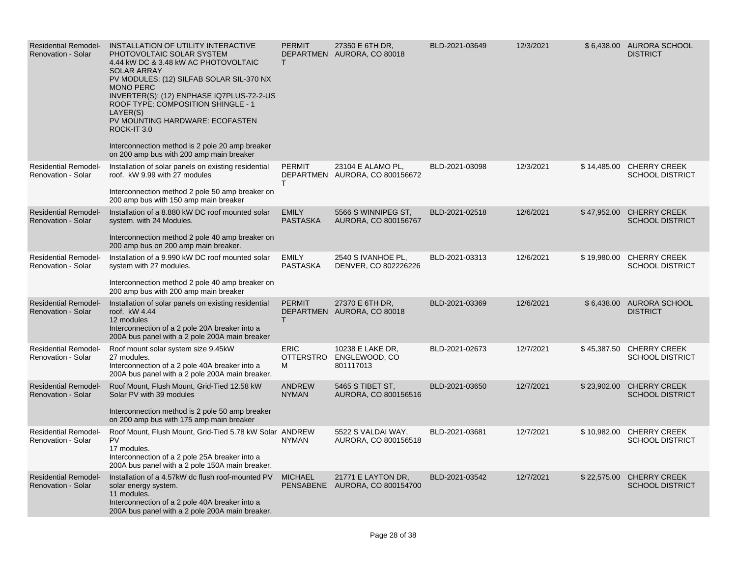| <b>Residential Remodel-</b><br><b>Renovation - Solar</b> | INSTALLATION OF UTILITY INTERACTIVE<br>PHOTOVOLTAIC SOLAR SYSTEM<br>4.44 kW DC & 3.48 kW AC PHOTOVOLTAIC<br><b>SOLAR ARRAY</b><br>PV MODULES: (12) SILFAB SOLAR SIL-370 NX<br><b>MONO PERC</b><br>INVERTER(S): (12) ENPHASE IQ7PLUS-72-2-US<br>ROOF TYPE: COMPOSITION SHINGLE - 1<br>LAYER(S)<br>PV MOUNTING HARDWARE: ECOFASTEN<br>ROCK-IT 3.0<br>Interconnection method is 2 pole 20 amp breaker<br>on 200 amp bus with 200 amp main breaker | <b>PERMIT</b><br>T.                  | 27350 E 6TH DR.<br>DEPARTMEN AURORA, CO 80018        | BLD-2021-03649 | 12/3/2021 |             | \$6,438.00 AURORA SCHOOL<br><b>DISTRICT</b>        |
|----------------------------------------------------------|------------------------------------------------------------------------------------------------------------------------------------------------------------------------------------------------------------------------------------------------------------------------------------------------------------------------------------------------------------------------------------------------------------------------------------------------|--------------------------------------|------------------------------------------------------|----------------|-----------|-------------|----------------------------------------------------|
| <b>Residential Remodel-</b><br><b>Renovation - Solar</b> | Installation of solar panels on existing residential<br>roof. kW 9.99 with 27 modules<br>Interconnection method 2 pole 50 amp breaker on<br>200 amp bus with 150 amp main breaker                                                                                                                                                                                                                                                              | <b>PERMIT</b><br>T.                  | 23104 E ALAMO PL,<br>DEPARTMEN AURORA, CO 800156672  | BLD-2021-03098 | 12/3/2021 |             | \$14,485.00 CHERRY CREEK<br><b>SCHOOL DISTRICT</b> |
| <b>Residential Remodel-</b><br><b>Renovation - Solar</b> | Installation of a 8.880 kW DC roof mounted solar<br>system. with 24 Modules.<br>Interconnection method 2 pole 40 amp breaker on<br>200 amp bus on 200 amp main breaker.                                                                                                                                                                                                                                                                        | <b>EMILY</b><br><b>PASTASKA</b>      | 5566 S WINNIPEG ST,<br>AURORA, CO 800156767          | BLD-2021-02518 | 12/6/2021 |             | \$47,952.00 CHERRY CREEK<br><b>SCHOOL DISTRICT</b> |
| <b>Residential Remodel-</b><br>Renovation - Solar        | Installation of a 9.990 kW DC roof mounted solar<br>system with 27 modules.<br>Interconnection method 2 pole 40 amp breaker on<br>200 amp bus with 200 amp main breaker                                                                                                                                                                                                                                                                        | <b>EMILY</b><br><b>PASTASKA</b>      | 2540 S IVANHOE PL,<br>DENVER, CO 802226226           | BLD-2021-03313 | 12/6/2021 |             | \$19,980.00 CHERRY CREEK<br><b>SCHOOL DISTRICT</b> |
| <b>Residential Remodel-</b><br><b>Renovation - Solar</b> | Installation of solar panels on existing residential<br>roof. kW 4.44<br>12 modules<br>Interconnection of a 2 pole 20A breaker into a<br>200A bus panel with a 2 pole 200A main breaker                                                                                                                                                                                                                                                        | <b>PERMIT</b><br>T.                  | 27370 E 6TH DR,<br>DEPARTMEN AURORA, CO 80018        | BLD-2021-03369 | 12/6/2021 |             | \$6,438.00 AURORA SCHOOL<br><b>DISTRICT</b>        |
| <b>Residential Remodel-</b><br>Renovation - Solar        | Roof mount solar system size 9.45kW<br>27 modules.<br>Interconnection of a 2 pole 40A breaker into a<br>200A bus panel with a 2 pole 200A main breaker.                                                                                                                                                                                                                                                                                        | <b>ERIC</b><br><b>OTTERSTRO</b><br>M | 10238 E LAKE DR,<br>ENGLEWOOD, CO<br>801117013       | BLD-2021-02673 | 12/7/2021 |             | \$45,387.50 CHERRY CREEK<br><b>SCHOOL DISTRICT</b> |
| <b>Residential Remodel-</b><br><b>Renovation - Solar</b> | Roof Mount, Flush Mount, Grid-Tied 12.58 kW<br>Solar PV with 39 modules<br>Interconnection method is 2 pole 50 amp breaker<br>on 200 amp bus with 175 amp main breaker                                                                                                                                                                                                                                                                         | <b>ANDREW</b><br><b>NYMAN</b>        | 5465 S TIBET ST,<br>AURORA, CO 800156516             | BLD-2021-03650 | 12/7/2021 | \$23,902.00 | <b>CHERRY CREEK</b><br><b>SCHOOL DISTRICT</b>      |
| <b>Residential Remodel-</b><br><b>Renovation - Solar</b> | Roof Mount, Flush Mount, Grid-Tied 5.78 kW Solar ANDREW<br>PV<br>17 modules.<br>Interconnection of a 2 pole 25A breaker into a<br>200A bus panel with a 2 pole 150A main breaker.                                                                                                                                                                                                                                                              | <b>NYMAN</b>                         | 5522 S VALDAI WAY,<br>AURORA, CO 800156518           | BLD-2021-03681 | 12/7/2021 |             | \$10,982.00 CHERRY CREEK<br><b>SCHOOL DISTRICT</b> |
| <b>Residential Remodel-</b><br><b>Renovation - Solar</b> | Installation of a 4.57kW dc flush roof-mounted PV<br>solar energy system.<br>11 modules.<br>Interconnection of a 2 pole 40A breaker into a<br>200A bus panel with a 2 pole 200A main breaker.                                                                                                                                                                                                                                                  | <b>MICHAEL</b>                       | 21771 E LAYTON DR,<br>PENSABENE AURORA, CO 800154700 | BLD-2021-03542 | 12/7/2021 |             | \$22,575.00 CHERRY CREEK<br><b>SCHOOL DISTRICT</b> |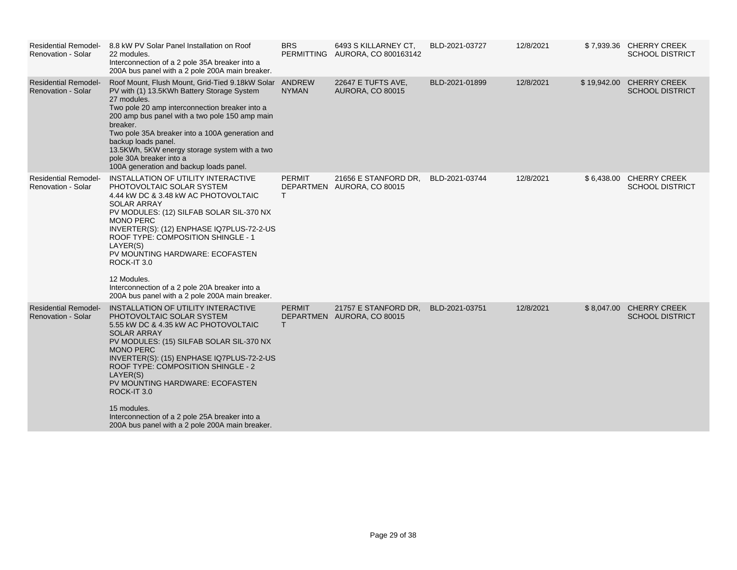| <b>Residential Remodel-</b><br>Renovation - Solar        | 8.8 kW PV Solar Panel Installation on Roof<br>22 modules.<br>Interconnection of a 2 pole 35A breaker into a<br>200A bus panel with a 2 pole 200A main breaker.                                                                                                                                                                                                                                                                                                      | <b>BRS</b>          | 6493 S KILLARNEY CT,<br>PERMITTING AURORA, CO 800163142 | BLD-2021-03727 | 12/8/2021 |             | \$7,939.36 CHERRY CREEK<br><b>SCHOOL DISTRICT</b> |
|----------------------------------------------------------|---------------------------------------------------------------------------------------------------------------------------------------------------------------------------------------------------------------------------------------------------------------------------------------------------------------------------------------------------------------------------------------------------------------------------------------------------------------------|---------------------|---------------------------------------------------------|----------------|-----------|-------------|---------------------------------------------------|
| <b>Residential Remodel-</b><br><b>Renovation - Solar</b> | Roof Mount, Flush Mount, Grid-Tied 9.18kW Solar ANDREW<br>PV with (1) 13.5KWh Battery Storage System<br>27 modules.<br>Two pole 20 amp interconnection breaker into a<br>200 amp bus panel with a two pole 150 amp main<br>breaker.<br>Two pole 35A breaker into a 100A generation and<br>backup loads panel.<br>13.5KWh, 5KW energy storage system with a two<br>pole 30A breaker into a<br>100A generation and backup loads panel.                                | <b>NYMAN</b>        | <b>22647 E TUFTS AVE,</b><br><b>AURORA, CO 80015</b>    | BLD-2021-01899 | 12/8/2021 | \$19,942.00 | <b>CHERRY CREEK</b><br><b>SCHOOL DISTRICT</b>     |
| <b>Residential Remodel-</b><br><b>Renovation - Solar</b> | INSTALLATION OF UTILITY INTERACTIVE<br>PHOTOVOLTAIC SOLAR SYSTEM<br>4.44 kW DC & 3.48 kW AC PHOTOVOLTAIC<br><b>SOLAR ARRAY</b><br>PV MODULES: (12) SILFAB SOLAR SIL-370 NX<br><b>MONO PERC</b><br>INVERTER(S): (12) ENPHASE IQ7PLUS-72-2-US<br>ROOF TYPE: COMPOSITION SHINGLE - 1<br>LAYER(S)<br>PV MOUNTING HARDWARE: ECOFASTEN<br>ROCK-IT 3.0<br>12 Modules.<br>Interconnection of a 2 pole 20A breaker into a<br>200A bus panel with a 2 pole 200A main breaker. | <b>PERMIT</b><br>T. | 21656 E STANFORD DR,<br>DEPARTMEN AURORA, CO 80015      | BLD-2021-03744 | 12/8/2021 | \$6,438.00  | <b>CHERRY CREEK</b><br><b>SCHOOL DISTRICT</b>     |
| <b>Residential Remodel-</b><br><b>Renovation - Solar</b> | INSTALLATION OF UTILITY INTERACTIVE<br>PHOTOVOLTAIC SOLAR SYSTEM<br>5.55 kW DC & 4.35 kW AC PHOTOVOLTAIC<br><b>SOLAR ARRAY</b><br>PV MODULES: (15) SILFAB SOLAR SIL-370 NX<br><b>MONO PERC</b><br>INVERTER(S): (15) ENPHASE IQ7PLUS-72-2-US<br>ROOF TYPE: COMPOSITION SHINGLE - 2<br>LAYER(S)<br>PV MOUNTING HARDWARE: ECOFASTEN<br>ROCK-IT 3.0<br>15 modules.<br>Interconnection of a 2 pole 25A breaker into a<br>200A bus panel with a 2 pole 200A main breaker. | <b>PERMIT</b><br>т  | 21757 E STANFORD DR.<br>DEPARTMEN AURORA, CO 80015      | BLD-2021-03751 | 12/8/2021 |             | \$8,047.00 CHERRY CREEK<br><b>SCHOOL DISTRICT</b> |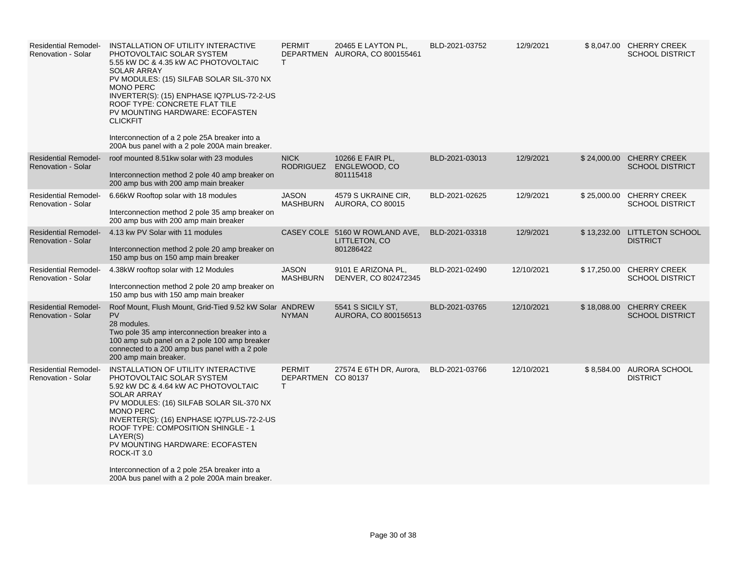| <b>Residential Remodel-</b><br><b>Renovation - Solar</b> | INSTALLATION OF UTILITY INTERACTIVE<br>PHOTOVOLTAIC SOLAR SYSTEM<br>5.55 kW DC & 4.35 kW AC PHOTOVOLTAIC<br><b>SOLAR ARRAY</b><br>PV MODULES: (15) SILFAB SOLAR SIL-370 NX<br><b>MONO PERC</b><br>INVERTER(S): (15) ENPHASE IQ7PLUS-72-2-US<br>ROOF TYPE: CONCRETE FLAT TILE<br>PV MOUNTING HARDWARE: ECOFASTEN<br><b>CLICKFIT</b><br>Interconnection of a 2 pole 25A breaker into a<br>200A bus panel with a 2 pole 200A main breaker.              | <b>PERMIT</b><br>T                                  | 20465 E LAYTON PL,<br>DEPARTMEN AURORA, CO 800155461         | BLD-2021-03752 | 12/9/2021  | \$8,047.00 CHERRY CREEK<br><b>SCHOOL DISTRICT</b>  |
|----------------------------------------------------------|------------------------------------------------------------------------------------------------------------------------------------------------------------------------------------------------------------------------------------------------------------------------------------------------------------------------------------------------------------------------------------------------------------------------------------------------------|-----------------------------------------------------|--------------------------------------------------------------|----------------|------------|----------------------------------------------------|
| <b>Residential Remodel-</b><br><b>Renovation - Solar</b> | roof mounted 8.51kw solar with 23 modules<br>Interconnection method 2 pole 40 amp breaker on<br>200 amp bus with 200 amp main breaker                                                                                                                                                                                                                                                                                                                | <b>NICK</b><br><b>RODRIGUEZ</b>                     | 10266 E FAIR PL,<br>ENGLEWOOD, CO<br>801115418               | BLD-2021-03013 | 12/9/2021  | \$24,000.00 CHERRY CREEK<br><b>SCHOOL DISTRICT</b> |
| <b>Residential Remodel-</b><br><b>Renovation - Solar</b> | 6.66kW Rooftop solar with 18 modules<br>Interconnection method 2 pole 35 amp breaker on<br>200 amp bus with 200 amp main breaker                                                                                                                                                                                                                                                                                                                     | <b>JASON</b><br><b>MASHBURN</b>                     | 4579 S UKRAINE CIR,<br><b>AURORA, CO 80015</b>               | BLD-2021-02625 | 12/9/2021  | \$25,000.00 CHERRY CREEK<br><b>SCHOOL DISTRICT</b> |
| <b>Residential Remodel-</b><br><b>Renovation - Solar</b> | 4.13 kw PV Solar with 11 modules<br>Interconnection method 2 pole 20 amp breaker on<br>150 amp bus on 150 amp main breaker                                                                                                                                                                                                                                                                                                                           |                                                     | CASEY COLE 5160 W ROWLAND AVE,<br>LITTLETON, CO<br>801286422 | BLD-2021-03318 | 12/9/2021  | \$13,232.00 LITTLETON SCHOOL<br><b>DISTRICT</b>    |
| <b>Residential Remodel-</b><br><b>Renovation - Solar</b> | 4.38kW rooftop solar with 12 Modules<br>Interconnection method 2 pole 20 amp breaker on<br>150 amp bus with 150 amp main breaker                                                                                                                                                                                                                                                                                                                     | JASON<br><b>MASHBURN</b>                            | 9101 E ARIZONA PL,<br>DENVER, CO 802472345                   | BLD-2021-02490 | 12/10/2021 | \$17,250.00 CHERRY CREEK<br><b>SCHOOL DISTRICT</b> |
| <b>Residential Remodel-</b><br><b>Renovation - Solar</b> | Roof Mount, Flush Mount, Grid-Tied 9.52 kW Solar ANDREW<br><b>PV</b><br>28 modules.<br>Two pole 35 amp interconnection breaker into a<br>100 amp sub panel on a 2 pole 100 amp breaker<br>connected to a 200 amp bus panel with a 2 pole<br>200 amp main breaker.                                                                                                                                                                                    | <b>NYMAN</b>                                        | 5541 S SICILY ST,<br>AURORA, CO 800156513                    | BLD-2021-03765 | 12/10/2021 | \$18,088.00 CHERRY CREEK<br><b>SCHOOL DISTRICT</b> |
| <b>Residential Remodel-</b><br><b>Renovation - Solar</b> | INSTALLATION OF UTILITY INTERACTIVE<br>PHOTOVOLTAIC SOLAR SYSTEM<br>5.92 kW DC & 4.64 kW AC PHOTOVOLTAIC<br><b>SOLAR ARRAY</b><br>PV MODULES: (16) SILFAB SOLAR SIL-370 NX<br><b>MONO PERC</b><br>INVERTER(S): (16) ENPHASE IQ7PLUS-72-2-US<br>ROOF TYPE: COMPOSITION SHINGLE - 1<br>LAYER(S)<br>PV MOUNTING HARDWARE: ECOFASTEN<br>ROCK-IT 3.0<br>Interconnection of a 2 pole 25A breaker into a<br>200A bus panel with a 2 pole 200A main breaker. | <b>PERMIT</b><br>DEPARTMEN CO 80137<br>$\mathsf{T}$ | 27574 E 6TH DR, Aurora,                                      | BLD-2021-03766 | 12/10/2021 | \$8,584.00 AURORA SCHOOL<br><b>DISTRICT</b>        |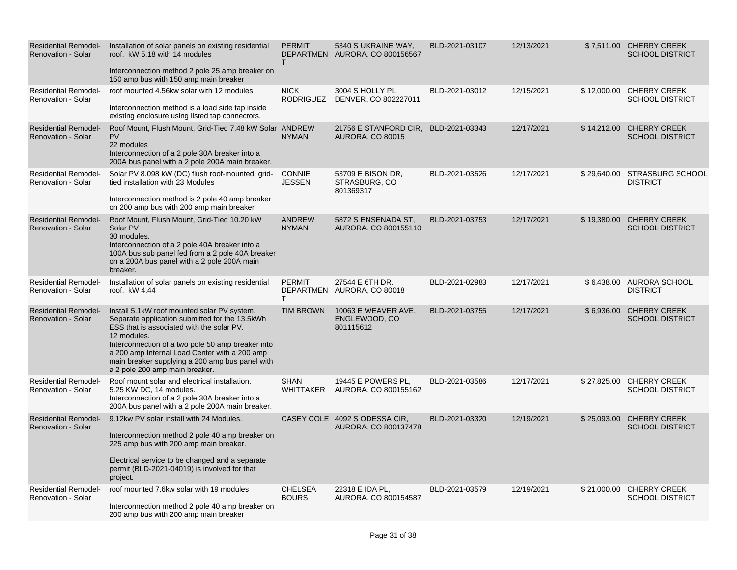| <b>Residential Remodel-</b><br><b>Renovation - Solar</b> | Installation of solar panels on existing residential<br>roof. kW 5.18 with 14 modules<br>Interconnection method 2 pole 25 amp breaker on                                                                                                                                                                                                             | <b>PERMIT</b><br>$\mathsf{T}$  | 5340 S UKRAINE WAY,<br>DEPARTMEN AURORA, CO 800156567 | BLD-2021-03107 | 12/13/2021 |             | \$7,511.00 CHERRY CREEK<br><b>SCHOOL DISTRICT</b>  |
|----------------------------------------------------------|------------------------------------------------------------------------------------------------------------------------------------------------------------------------------------------------------------------------------------------------------------------------------------------------------------------------------------------------------|--------------------------------|-------------------------------------------------------|----------------|------------|-------------|----------------------------------------------------|
|                                                          | 150 amp bus with 150 amp main breaker                                                                                                                                                                                                                                                                                                                |                                |                                                       |                |            |             |                                                    |
| <b>Residential Remodel-</b><br>Renovation - Solar        | roof mounted 4.56kw solar with 12 modules<br>Interconnection method is a load side tap inside                                                                                                                                                                                                                                                        | <b>NICK</b><br>RODRIGUEZ       | 3004 S HOLLY PL,<br>DENVER, CO 802227011              | BLD-2021-03012 | 12/15/2021 |             | \$12,000.00 CHERRY CREEK<br><b>SCHOOL DISTRICT</b> |
|                                                          | existing enclosure using listed tap connectors.                                                                                                                                                                                                                                                                                                      |                                |                                                       |                |            |             |                                                    |
| <b>Residential Remodel-</b><br>Renovation - Solar        | Roof Mount, Flush Mount, Grid-Tied 7.48 kW Solar ANDREW<br><b>PV</b><br>22 modules<br>Interconnection of a 2 pole 30A breaker into a<br>200A bus panel with a 2 pole 200A main breaker.                                                                                                                                                              | <b>NYMAN</b>                   | 21756 E STANFORD CIR,<br><b>AURORA, CO 80015</b>      | BLD-2021-03343 | 12/17/2021 |             | \$14,212.00 CHERRY CREEK<br><b>SCHOOL DISTRICT</b> |
| <b>Residential Remodel-</b><br><b>Renovation - Solar</b> | Solar PV 8.098 kW (DC) flush roof-mounted, grid-<br>tied installation with 23 Modules<br>Interconnection method is 2 pole 40 amp breaker<br>on 200 amp bus with 200 amp main breaker                                                                                                                                                                 | <b>CONNIE</b><br><b>JESSEN</b> | 53709 E BISON DR,<br>STRASBURG, CO<br>801369317       | BLD-2021-03526 | 12/17/2021 |             | \$29,640.00 STRASBURG SCHOOL<br><b>DISTRICT</b>    |
|                                                          |                                                                                                                                                                                                                                                                                                                                                      |                                |                                                       |                |            |             |                                                    |
| <b>Residential Remodel-</b><br>Renovation - Solar        | Roof Mount, Flush Mount, Grid-Tied 10.20 kW<br>Solar PV<br>30 modules.<br>Interconnection of a 2 pole 40A breaker into a<br>100A bus sub panel fed from a 2 pole 40A breaker<br>on a 200A bus panel with a 2 pole 200A main<br>breaker.                                                                                                              | <b>ANDREW</b><br><b>NYMAN</b>  | 5872 S ENSENADA ST,<br>AURORA, CO 800155110           | BLD-2021-03753 | 12/17/2021 | \$19,380.00 | <b>CHERRY CREEK</b><br><b>SCHOOL DISTRICT</b>      |
| <b>Residential Remodel-</b><br><b>Renovation - Solar</b> | Installation of solar panels on existing residential<br>roof. kW 4.44                                                                                                                                                                                                                                                                                | <b>PERMIT</b><br>T             | 27544 E 6TH DR,<br>DEPARTMEN AURORA, CO 80018         | BLD-2021-02983 | 12/17/2021 |             | \$6,438.00 AURORA SCHOOL<br><b>DISTRICT</b>        |
| <b>Residential Remodel-</b><br><b>Renovation - Solar</b> | Install 5.1kW roof mounted solar PV system.<br>Separate application submitted for the 13.5kWh<br>ESS that is associated with the solar PV.<br>12 modules.<br>Interconnection of a two pole 50 amp breaker into<br>a 200 amp Internal Load Center with a 200 amp<br>main breaker supplying a 200 amp bus panel with<br>a 2 pole 200 amp main breaker. | <b>TIM BROWN</b>               | 10063 E WEAVER AVE,<br>ENGLEWOOD, CO<br>801115612     | BLD-2021-03755 | 12/17/2021 | \$6,936.00  | <b>CHERRY CREEK</b><br><b>SCHOOL DISTRICT</b>      |
| <b>Residential Remodel-</b><br><b>Renovation - Solar</b> | Roof mount solar and electrical installation.<br>5.25 KW DC, 14 modules.<br>Interconnection of a 2 pole 30A breaker into a<br>200A bus panel with a 2 pole 200A main breaker.                                                                                                                                                                        | <b>SHAN</b><br>WHITTAKER       | 19445 E POWERS PL.<br>AURORA, CO 800155162            | BLD-2021-03586 | 12/17/2021 |             | \$27,825.00 CHERRY CREEK<br><b>SCHOOL DISTRICT</b> |
| <b>Residential Remodel-</b>                              | 9.12kw PV solar install with 24 Modules.                                                                                                                                                                                                                                                                                                             |                                | CASEY COLE 4092 S ODESSA CIR,                         | BLD-2021-03320 | 12/19/2021 | \$25,093.00 | <b>CHERRY CREEK</b>                                |
| Renovation - Solar                                       | Interconnection method 2 pole 40 amp breaker on<br>225 amp bus with 200 amp main breaker.<br>Electrical service to be changed and a separate<br>permit (BLD-2021-04019) is involved for that<br>project.                                                                                                                                             |                                | AURORA, CO 800137478                                  |                |            |             | <b>SCHOOL DISTRICT</b>                             |
| <b>Residential Remodel-</b><br>Renovation - Solar        | roof mounted 7.6kw solar with 19 modules<br>Interconnection method 2 pole 40 amp breaker on<br>200 amp bus with 200 amp main breaker                                                                                                                                                                                                                 | <b>CHELSEA</b><br><b>BOURS</b> | 22318 E IDA PL,<br>AURORA, CO 800154587               | BLD-2021-03579 | 12/19/2021 |             | \$21,000.00 CHERRY CREEK<br><b>SCHOOL DISTRICT</b> |
|                                                          |                                                                                                                                                                                                                                                                                                                                                      |                                |                                                       |                |            |             |                                                    |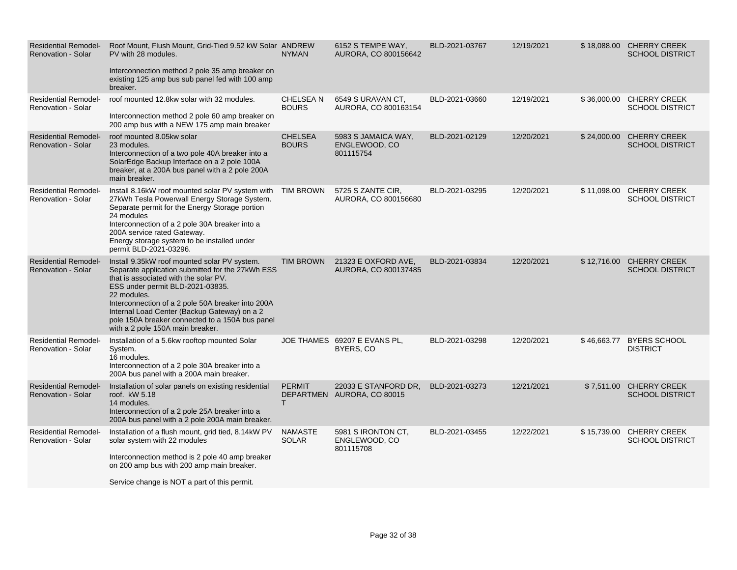| <b>Residential Remodel-</b><br><b>Renovation - Solar</b> | Roof Mount, Flush Mount, Grid-Tied 9.52 kW Solar ANDREW<br>PV with 28 modules.<br>Interconnection method 2 pole 35 amp breaker on<br>existing 125 amp bus sub panel fed with 100 amp<br>breaker.                                                                                                                                                                                         | <b>NYMAN</b>                    | 6152 S TEMPE WAY,<br>AURORA, CO 800156642          | BLD-2021-03767 | 12/19/2021 | \$18,088.00 CHERRY CREEK<br><b>SCHOOL DISTRICT</b> |
|----------------------------------------------------------|------------------------------------------------------------------------------------------------------------------------------------------------------------------------------------------------------------------------------------------------------------------------------------------------------------------------------------------------------------------------------------------|---------------------------------|----------------------------------------------------|----------------|------------|----------------------------------------------------|
| <b>Residential Remodel-</b><br><b>Renovation - Solar</b> | roof mounted 12.8kw solar with 32 modules.<br>Interconnection method 2 pole 60 amp breaker on<br>200 amp bus with a NEW 175 amp main breaker                                                                                                                                                                                                                                             | <b>CHELSEAN</b><br><b>BOURS</b> | 6549 S URAVAN CT,<br>AURORA, CO 800163154          | BLD-2021-03660 | 12/19/2021 | \$36,000.00 CHERRY CREEK<br><b>SCHOOL DISTRICT</b> |
| <b>Residential Remodel-</b><br><b>Renovation - Solar</b> | roof mounted 8.05kw solar<br>23 modules.<br>Interconnection of a two pole 40A breaker into a<br>SolarEdge Backup Interface on a 2 pole 100A<br>breaker, at a 200A bus panel with a 2 pole 200A<br>main breaker.                                                                                                                                                                          | <b>CHELSEA</b><br><b>BOURS</b>  | 5983 S JAMAICA WAY,<br>ENGLEWOOD, CO<br>801115754  | BLD-2021-02129 | 12/20/2021 | \$24,000.00 CHERRY CREEK<br><b>SCHOOL DISTRICT</b> |
| <b>Residential Remodel-</b><br><b>Renovation - Solar</b> | Install 8.16kW roof mounted solar PV system with TIM BROWN<br>27kWh Tesla Powerwall Energy Storage System.<br>Separate permit for the Energy Storage portion<br>24 modules<br>Interconnection of a 2 pole 30A breaker into a<br>200A service rated Gateway.<br>Energy storage system to be installed under<br>permit BLD-2021-03296.                                                     |                                 | 5725 S ZANTE CIR,<br>AURORA, CO 800156680          | BLD-2021-03295 | 12/20/2021 | \$11,098.00 CHERRY CREEK<br><b>SCHOOL DISTRICT</b> |
| <b>Residential Remodel-</b><br><b>Renovation - Solar</b> | Install 9.35kW roof mounted solar PV system.<br>Separate application submitted for the 27kWh ESS<br>that is associated with the solar PV.<br>ESS under permit BLD-2021-03835.<br>22 modules.<br>Interconnection of a 2 pole 50A breaker into 200A<br>Internal Load Center (Backup Gateway) on a 2<br>pole 150A breaker connected to a 150A bus panel<br>with a 2 pole 150A main breaker. | <b>TIM BROWN</b>                | 21323 E OXFORD AVE.<br>AURORA, CO 800137485        | BLD-2021-03834 | 12/20/2021 | \$12,716.00 CHERRY CREEK<br><b>SCHOOL DISTRICT</b> |
| <b>Residential Remodel-</b><br><b>Renovation - Solar</b> | Installation of a 5.6kw rooftop mounted Solar<br>System.<br>16 modules.<br>Interconnection of a 2 pole 30A breaker into a<br>200A bus panel with a 200A main breaker.                                                                                                                                                                                                                    |                                 | JOE THAMES 69207 E EVANS PL,<br>BYERS, CO          | BLD-2021-03298 | 12/20/2021 | \$46,663.77 BYERS SCHOOL<br><b>DISTRICT</b>        |
| <b>Residential Remodel-</b><br>Renovation - Solar        | Installation of solar panels on existing residential<br>roof. kW 5.18<br>14 modules.<br>Interconnection of a 2 pole 25A breaker into a<br>200A bus panel with a 2 pole 200A main breaker.                                                                                                                                                                                                | <b>PERMIT</b><br>T.             | 22033 E STANFORD DR.<br>DEPARTMEN AURORA, CO 80015 | BLD-2021-03273 | 12/21/2021 | \$7,511.00 CHERRY CREEK<br><b>SCHOOL DISTRICT</b>  |
| <b>Residential Remodel-</b><br><b>Renovation - Solar</b> | Installation of a flush mount, grid tied, 8.14kW PV<br>solar system with 22 modules<br>Interconnection method is 2 pole 40 amp breaker<br>on 200 amp bus with 200 amp main breaker.                                                                                                                                                                                                      | <b>NAMASTE</b><br><b>SOLAR</b>  | 5981 S IRONTON CT,<br>ENGLEWOOD, CO<br>801115708   | BLD-2021-03455 | 12/22/2021 | \$15,739.00 CHERRY CREEK<br><b>SCHOOL DISTRICT</b> |
|                                                          | Service change is NOT a part of this permit.                                                                                                                                                                                                                                                                                                                                             |                                 |                                                    |                |            |                                                    |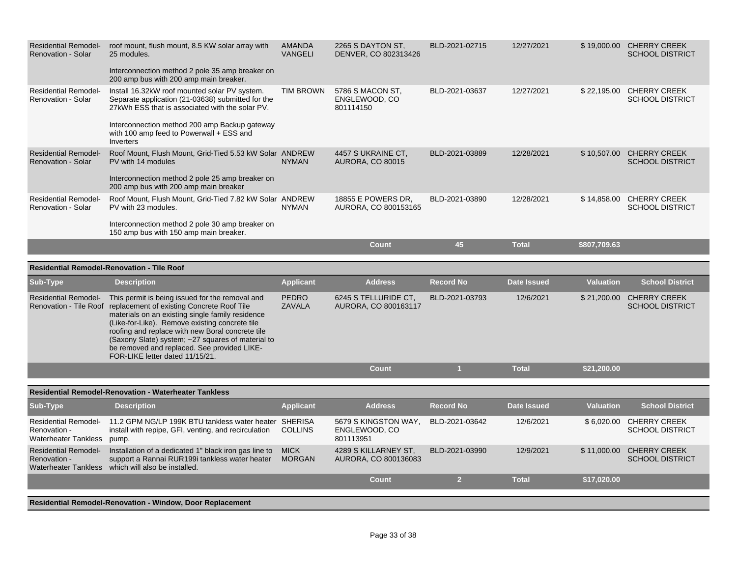| <b>Residential Remodel-</b><br><b>Renovation - Solar</b>                   | roof mount, flush mount, 8.5 KW solar array with<br>25 modules.<br>Interconnection method 2 pole 35 amp breaker on<br>200 amp bus with 200 amp main breaker.                                                                                                                                                                                                                                                          | <b>AMANDA</b><br><b>VANGELI</b> | 2265 S DAYTON ST.<br>DENVER, CO 802313426          | BLD-2021-02715   | 12/27/2021         |                  | \$19,000.00 CHERRY CREEK<br><b>SCHOOL DISTRICT</b> |
|----------------------------------------------------------------------------|-----------------------------------------------------------------------------------------------------------------------------------------------------------------------------------------------------------------------------------------------------------------------------------------------------------------------------------------------------------------------------------------------------------------------|---------------------------------|----------------------------------------------------|------------------|--------------------|------------------|----------------------------------------------------|
| <b>Residential Remodel-</b><br><b>Renovation - Solar</b>                   | Install 16.32kW roof mounted solar PV system.<br>Separate application (21-03638) submitted for the<br>27kWh ESS that is associated with the solar PV.<br>Interconnection method 200 amp Backup gateway<br>with 100 amp feed to Powerwall + ESS and                                                                                                                                                                    | <b>TIM BROWN</b>                | 5786 S MACON ST.<br>ENGLEWOOD, CO<br>801114150     | BLD-2021-03637   | 12/27/2021         |                  | \$22,195.00 CHERRY CREEK<br><b>SCHOOL DISTRICT</b> |
|                                                                            | Inverters                                                                                                                                                                                                                                                                                                                                                                                                             |                                 |                                                    |                  |                    |                  |                                                    |
| <b>Residential Remodel-</b><br><b>Renovation - Solar</b>                   | Roof Mount, Flush Mount, Grid-Tied 5.53 kW Solar ANDREW<br>PV with 14 modules<br>Interconnection method 2 pole 25 amp breaker on<br>200 amp bus with 200 amp main breaker                                                                                                                                                                                                                                             | <b>NYMAN</b>                    | 4457 S UKRAINE CT.<br><b>AURORA, CO 80015</b>      | BLD-2021-03889   | 12/28/2021         | \$10,507.00      | <b>CHERRY CREEK</b><br><b>SCHOOL DISTRICT</b>      |
| <b>Residential Remodel-</b><br>Renovation - Solar                          | Roof Mount, Flush Mount, Grid-Tied 7.82 kW Solar ANDREW<br>PV with 23 modules.                                                                                                                                                                                                                                                                                                                                        | <b>NYMAN</b>                    | 18855 E POWERS DR.<br>AURORA, CO 800153165         | BLD-2021-03890   | 12/28/2021         | \$14,858.00      | <b>CHERRY CREEK</b><br><b>SCHOOL DISTRICT</b>      |
|                                                                            | Interconnection method 2 pole 30 amp breaker on<br>150 amp bus with 150 amp main breaker.                                                                                                                                                                                                                                                                                                                             |                                 |                                                    |                  |                    |                  |                                                    |
|                                                                            |                                                                                                                                                                                                                                                                                                                                                                                                                       |                                 | <b>Count</b>                                       | 45               | <b>Total</b>       | \$807,709.63     |                                                    |
|                                                                            | <b>Residential Remodel-Renovation - Tile Roof</b>                                                                                                                                                                                                                                                                                                                                                                     |                                 |                                                    |                  |                    |                  |                                                    |
|                                                                            |                                                                                                                                                                                                                                                                                                                                                                                                                       |                                 |                                                    |                  |                    |                  |                                                    |
| Sub-Type                                                                   | <b>Description</b>                                                                                                                                                                                                                                                                                                                                                                                                    | <b>Applicant</b>                | <b>Address</b>                                     | <b>Record No</b> | <b>Date Issued</b> | <b>Valuation</b> | <b>School District</b>                             |
| <b>Residential Remodel-</b>                                                | This permit is being issued for the removal and<br>Renovation - Tile Roof replacement of existing Concrete Roof Tile<br>materials on an existing single family residence<br>(Like-for-Like). Remove existing concrete tile<br>roofing and replace with new Boral concrete tile<br>(Saxony Slate) system; ~27 squares of material to<br>be removed and replaced. See provided LIKE-<br>FOR-LIKE letter dated 11/15/21. | <b>PEDRO</b><br><b>ZAVALA</b>   | 6245 S TELLURIDE CT.<br>AURORA, CO 800163117       | BLD-2021-03793   | 12/6/2021          | \$21,200.00      | <b>CHERRY CREEK</b><br><b>SCHOOL DISTRICT</b>      |
|                                                                            |                                                                                                                                                                                                                                                                                                                                                                                                                       |                                 | <b>Count</b>                                       | 1                | <b>Total</b>       | \$21,200.00      |                                                    |
|                                                                            |                                                                                                                                                                                                                                                                                                                                                                                                                       |                                 |                                                    |                  |                    |                  |                                                    |
|                                                                            | <b>Residential Remodel-Renovation - Waterheater Tankless</b>                                                                                                                                                                                                                                                                                                                                                          |                                 |                                                    |                  |                    |                  |                                                    |
| Sub-Type                                                                   | <b>Description</b>                                                                                                                                                                                                                                                                                                                                                                                                    | <b>Applicant</b>                | <b>Address</b>                                     | <b>Record No</b> | <b>Date Issued</b> | <b>Valuation</b> | <b>School District</b>                             |
| <b>Residential Remodel-</b><br>Renovation -<br><b>Waterheater Tankless</b> | 11.2 GPM NG/LP 199K BTU tankless water heater SHERISA<br>install with repipe, GFI, venting, and recirculation<br>pump.                                                                                                                                                                                                                                                                                                | <b>COLLINS</b>                  | 5679 S KINGSTON WAY,<br>ENGLEWOOD, CO<br>801113951 | BLD-2021-03642   | 12/6/2021          | \$6,020.00       | <b>CHERRY CREEK</b><br><b>SCHOOL DISTRICT</b>      |
| <b>Residential Remodel-</b><br>Renovation -                                | Installation of a dedicated 1" black iron gas line to<br>support a Rannai RUR199i tankless water heater<br>Waterheater Tankless which will also be installed.                                                                                                                                                                                                                                                         | <b>MICK</b><br><b>MORGAN</b>    | 4289 S KILLARNEY ST.<br>AURORA, CO 800136083       | BLD-2021-03990   | 12/9/2021          | \$11,000.00      | <b>CHERRY CREEK</b><br><b>SCHOOL DISTRICT</b>      |
|                                                                            |                                                                                                                                                                                                                                                                                                                                                                                                                       |                                 | <b>Count</b>                                       | $\overline{2}$   | <b>Total</b>       | \$17,020.00      |                                                    |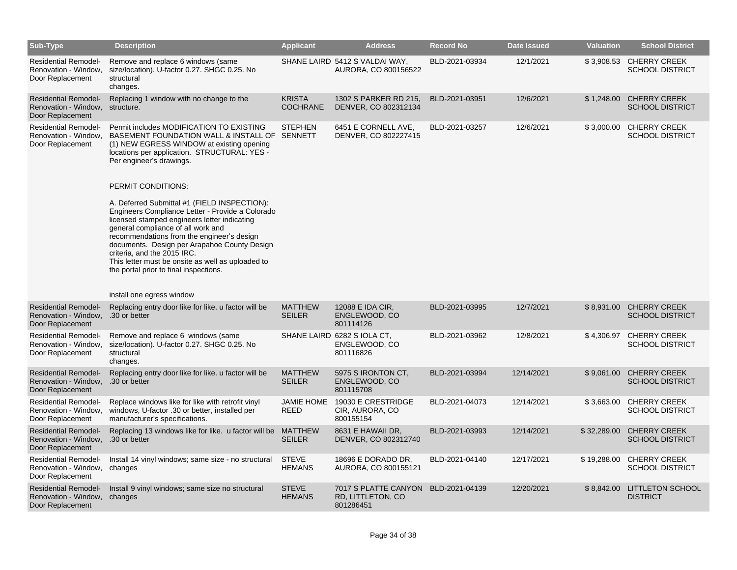| Sub-Type                                                                              | <b>Description</b>                                                                                                                                                                                                                                                                                                                                                                                                                       | <b>Applicant</b>                 | <b>Address</b>                                            | <b>Record No</b> | Date Issued | <b>Valuation</b> | <b>School District</b>                        |
|---------------------------------------------------------------------------------------|------------------------------------------------------------------------------------------------------------------------------------------------------------------------------------------------------------------------------------------------------------------------------------------------------------------------------------------------------------------------------------------------------------------------------------------|----------------------------------|-----------------------------------------------------------|------------------|-------------|------------------|-----------------------------------------------|
| <b>Residential Remodel-</b><br>Renovation - Window.<br>Door Replacement               | Remove and replace 6 windows (same<br>size/location). U-factor 0.27. SHGC 0.25. No<br>structural<br>changes.                                                                                                                                                                                                                                                                                                                             |                                  | SHANE LAIRD 5412 S VALDAI WAY,<br>AURORA, CO 800156522    | BLD-2021-03934   | 12/1/2021   | \$3,908.53       | <b>CHERRY CREEK</b><br><b>SCHOOL DISTRICT</b> |
| <b>Residential Remodel-</b><br>Renovation - Window.<br>Door Replacement               | Replacing 1 window with no change to the<br>structure.                                                                                                                                                                                                                                                                                                                                                                                   | <b>KRISTA</b><br><b>COCHRANE</b> | 1302 S PARKER RD 215,<br>DENVER, CO 802312134             | BLD-2021-03951   | 12/6/2021   | \$1,248.00       | <b>CHERRY CREEK</b><br><b>SCHOOL DISTRICT</b> |
| <b>Residential Remodel-</b><br>Renovation - Window,<br>Door Replacement               | Permit includes MODIFICATION TO EXISTING<br>BASEMENT FOUNDATION WALL & INSTALL OF SENNETT<br>(1) NEW EGRESS WINDOW at existing opening<br>locations per application. STRUCTURAL: YES -<br>Per engineer's drawings.                                                                                                                                                                                                                       | <b>STEPHEN</b>                   | 6451 E CORNELL AVE,<br>DENVER, CO 802227415               | BLD-2021-03257   | 12/6/2021   | \$3,000.00       | <b>CHERRY CREEK</b><br><b>SCHOOL DISTRICT</b> |
|                                                                                       | PERMIT CONDITIONS:<br>A. Deferred Submittal #1 (FIELD INSPECTION):<br>Engineers Compliance Letter - Provide a Colorado<br>licensed stamped engineers letter indicating<br>general compliance of all work and<br>recommendations from the engineer's design<br>documents. Design per Arapahoe County Design<br>criteria, and the 2015 IRC.<br>This letter must be onsite as well as uploaded to<br>the portal prior to final inspections. |                                  |                                                           |                  |             |                  |                                               |
|                                                                                       | install one egress window                                                                                                                                                                                                                                                                                                                                                                                                                |                                  |                                                           |                  |             |                  |                                               |
| <b>Residential Remodel-</b><br>Renovation - Window,<br>Door Replacement               | Replacing entry door like for like, u factor will be<br>.30 or better                                                                                                                                                                                                                                                                                                                                                                    | <b>MATTHEW</b><br><b>SEILER</b>  | 12088 E IDA CIR,<br>ENGLEWOOD, CO<br>801114126            | BLD-2021-03995   | 12/7/2021   | \$8,931.00       | <b>CHERRY CREEK</b><br><b>SCHOOL DISTRICT</b> |
| <b>Residential Remodel-</b><br>Renovation - Window,<br>Door Replacement               | Remove and replace 6 windows (same<br>size/location). U-factor 0.27. SHGC 0.25. No<br>structural<br>changes.                                                                                                                                                                                                                                                                                                                             |                                  | SHANE LAIRD 6282 S IOLA CT,<br>ENGLEWOOD, CO<br>801116826 | BLD-2021-03962   | 12/8/2021   | \$4,306.97       | <b>CHERRY CREEK</b><br><b>SCHOOL DISTRICT</b> |
| <b>Residential Remodel-</b><br>Renovation - Window,<br>Door Replacement               | Replacing entry door like for like, u factor will be<br>.30 or better                                                                                                                                                                                                                                                                                                                                                                    | <b>MATTHEW</b><br><b>SEILER</b>  | 5975 S IRONTON CT,<br>ENGLEWOOD, CO<br>801115708          | BLD-2021-03994   | 12/14/2021  | \$9,061.00       | <b>CHERRY CREEK</b><br><b>SCHOOL DISTRICT</b> |
| <b>Residential Remodel-</b><br>Renovation - Window,<br>Door Replacement               | Replace windows like for like with retrofit vinyl<br>windows, U-factor .30 or better, installed per<br>manufacturer's specifications.                                                                                                                                                                                                                                                                                                    | JAMIE HOME<br>REED               | 19030 E CRESTRIDGE<br>CIR, AURORA, CO<br>800155154        | BLD-2021-04073   | 12/14/2021  | \$3,663.00       | <b>CHERRY CREEK</b><br><b>SCHOOL DISTRICT</b> |
| <b>Residential Remodel-</b><br>Renovation - Window, .30 or better<br>Door Replacement | Replacing 13 windows like for like. u factor will be MATTHEW                                                                                                                                                                                                                                                                                                                                                                             | <b>SEILER</b>                    | 8631 E HAWAII DR,<br>DENVER, CO 802312740                 | BLD-2021-03993   | 12/14/2021  | \$32,289.00      | <b>CHERRY CREEK</b><br><b>SCHOOL DISTRICT</b> |
| <b>Residential Remodel-</b><br>Renovation - Window,<br>Door Replacement               | Install 14 vinyl windows; same size - no structural<br>changes                                                                                                                                                                                                                                                                                                                                                                           | <b>STEVE</b><br><b>HEMANS</b>    | 18696 E DORADO DR,<br>AURORA, CO 800155121                | BLD-2021-04140   | 12/17/2021  | \$19,288.00      | <b>CHERRY CREEK</b><br><b>SCHOOL DISTRICT</b> |
| <b>Residential Remodel-</b><br>Renovation - Window,<br>Door Replacement               | Install 9 vinyl windows; same size no structural<br>changes                                                                                                                                                                                                                                                                                                                                                                              | <b>STEVE</b><br><b>HEMANS</b>    | 7017 S PLATTE CANYON<br>RD, LITTLETON, CO<br>801286451    | BLD-2021-04139   | 12/20/2021  | \$8,842.00       | <b>LITTLETON SCHOOL</b><br><b>DISTRICT</b>    |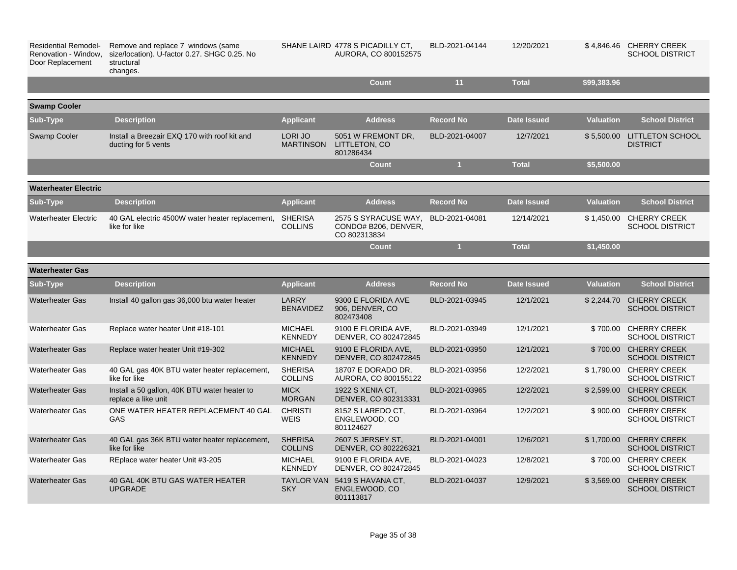| <b>Residential Remodel-</b><br>Renovation - Window,<br>Door Replacement | Remove and replace 7 windows (same<br>size/location). U-factor 0.27. SHGC 0.25. No<br>structural<br>changes. |                                  | SHANE LAIRD 4778 S PICADILLY CT,<br>AURORA, CO 800152575     | BLD-2021-04144   | 12/20/2021         |                  | \$4,846.46 CHERRY CREEK<br><b>SCHOOL DISTRICT</b> |
|-------------------------------------------------------------------------|--------------------------------------------------------------------------------------------------------------|----------------------------------|--------------------------------------------------------------|------------------|--------------------|------------------|---------------------------------------------------|
|                                                                         |                                                                                                              |                                  | <b>Count</b>                                                 | 11               | <b>Total</b>       | \$99,383.96      |                                                   |
| <b>Swamp Cooler</b>                                                     |                                                                                                              |                                  |                                                              |                  |                    |                  |                                                   |
| Sub-Type                                                                | <b>Description</b>                                                                                           | <b>Applicant</b>                 | <b>Address</b>                                               | <b>Record No</b> | <b>Date Issued</b> | <b>Valuation</b> | <b>School District</b>                            |
| <b>Swamp Cooler</b>                                                     | Install a Breezair EXQ 170 with roof kit and<br>ducting for 5 vents                                          | LORI JO<br><b>MARTINSON</b>      | 5051 W FREMONT DR.<br>LITTLETON, CO<br>801286434             | BLD-2021-04007   | 12/7/2021          |                  | \$5,500.00 LITTLETON SCHOOL<br><b>DISTRICT</b>    |
|                                                                         |                                                                                                              |                                  | Count                                                        | $\mathbf{1}$     | <b>Total</b>       | \$5,500.00       |                                                   |
| <b>Waterheater Electric</b>                                             |                                                                                                              |                                  |                                                              |                  |                    |                  |                                                   |
| Sub-Type                                                                | <b>Description</b>                                                                                           | <b>Applicant</b>                 | <b>Address</b>                                               | <b>Record No</b> | <b>Date Issued</b> | <b>Valuation</b> | <b>School District</b>                            |
| <b>Waterheater Electric</b>                                             | 40 GAL electric 4500W water heater replacement,<br>like for like                                             | <b>SHERISA</b><br><b>COLLINS</b> | 2575 S SYRACUSE WAY,<br>CONDO# B206, DENVER,<br>CO 802313834 | BLD-2021-04081   | 12/14/2021         | \$1,450.00       | <b>CHERRY CREEK</b><br><b>SCHOOL DISTRICT</b>     |
|                                                                         |                                                                                                              |                                  | <b>Count</b>                                                 | $\mathbf{1}$     | <b>Total</b>       | \$1,450.00       |                                                   |
| <b>Waterheater Gas</b>                                                  |                                                                                                              |                                  |                                                              |                  |                    |                  |                                                   |
| Sub-Type                                                                | <b>Description</b>                                                                                           | <b>Applicant</b>                 | <b>Address</b>                                               | <b>Record No</b> | <b>Date Issued</b> | <b>Valuation</b> | <b>School District</b>                            |
| <b>Waterheater Gas</b>                                                  | Install 40 gallon gas 36,000 btu water heater                                                                | <b>LARRY</b><br><b>BENAVIDEZ</b> | 9300 E FLORIDA AVE<br>906, DENVER, CO<br>802473408           | BLD-2021-03945   | 12/1/2021          |                  | \$2,244.70 CHERRY CREEK<br><b>SCHOOL DISTRICT</b> |
| <b>Waterheater Gas</b>                                                  | Replace water heater Unit #18-101                                                                            | <b>MICHAEL</b><br><b>KENNEDY</b> | 9100 E FLORIDA AVE.<br>DENVER, CO 802472845                  | BLD-2021-03949   | 12/1/2021          |                  | \$700.00 CHERRY CREEK<br><b>SCHOOL DISTRICT</b>   |
| <b>Waterheater Gas</b>                                                  | Replace water heater Unit #19-302                                                                            | <b>MICHAEL</b><br><b>KENNEDY</b> | 9100 E FLORIDA AVE.<br>DENVER, CO 802472845                  | BLD-2021-03950   | 12/1/2021          |                  | \$700.00 CHERRY CREEK<br><b>SCHOOL DISTRICT</b>   |
| <b>Waterheater Gas</b>                                                  | 40 GAL gas 40K BTU water heater replacement,<br>like for like                                                | <b>SHERISA</b><br><b>COLLINS</b> | 18707 E DORADO DR.<br>AURORA, CO 800155122                   | BLD-2021-03956   | 12/2/2021          | \$1,790.00       | <b>CHERRY CREEK</b><br><b>SCHOOL DISTRICT</b>     |
| <b>Waterheater Gas</b>                                                  | Install a 50 gallon, 40K BTU water heater to<br>replace a like unit                                          | <b>MICK</b><br><b>MORGAN</b>     | 1922 S XENIA CT.<br>DENVER, CO 802313331                     | BLD-2021-03965   | 12/2/2021          |                  | \$2,599.00 CHERRY CREEK<br><b>SCHOOL DISTRICT</b> |
| <b>Waterheater Gas</b>                                                  | ONE WATER HEATER REPLACEMENT 40 GAL<br>GAS                                                                   | <b>CHRISTI</b><br><b>WEIS</b>    | 8152 S LAREDO CT.<br>ENGLEWOOD, CO<br>801124627              | BLD-2021-03964   | 12/2/2021          |                  | \$900.00 CHERRY CREEK<br><b>SCHOOL DISTRICT</b>   |
| <b>Waterheater Gas</b>                                                  | 40 GAL gas 36K BTU water heater replacement,<br>like for like                                                | <b>SHERISA</b><br><b>COLLINS</b> | 2607 S JERSEY ST,<br>DENVER, CO 802226321                    | BLD-2021-04001   | 12/6/2021          |                  | \$1,700.00 CHERRY CREEK<br><b>SCHOOL DISTRICT</b> |
| <b>Waterheater Gas</b>                                                  | REplace water heater Unit #3-205                                                                             | <b>MICHAEL</b><br><b>KENNEDY</b> | 9100 E FLORIDA AVE.<br>DENVER, CO 802472845                  | BLD-2021-04023   | 12/8/2021          |                  | \$700.00 CHERRY CREEK<br><b>SCHOOL DISTRICT</b>   |
| <b>Waterheater Gas</b>                                                  | 40 GAL 40K BTU GAS WATER HEATER<br><b>UPGRADE</b>                                                            | <b>SKY</b>                       | TAYLOR VAN 5419 S HAVANA CT,<br>ENGLEWOOD, CO<br>801113817   | BLD-2021-04037   | 12/9/2021          | \$3.569.00       | <b>CHERRY CREEK</b><br><b>SCHOOL DISTRICT</b>     |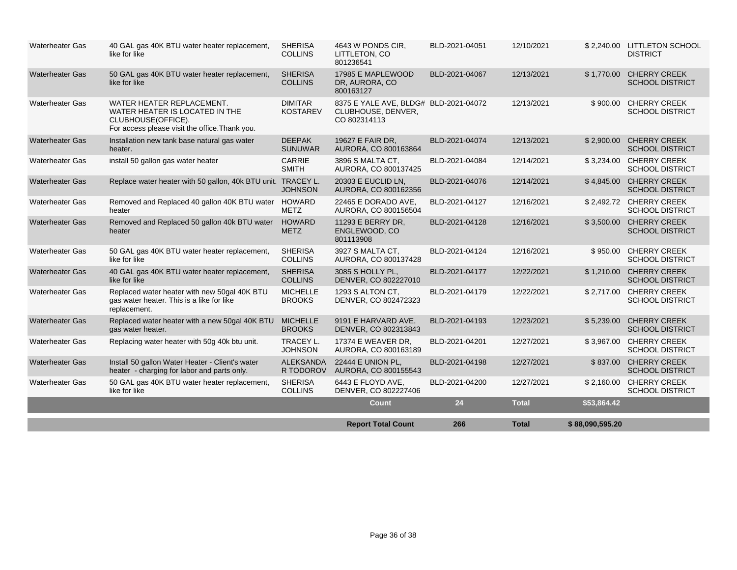|                        |                                                                                                                                     |                                    | <b>Report Total Count</b>                                                   | 266            | <b>Total</b> | \$88,090,595.20 |                                                   |
|------------------------|-------------------------------------------------------------------------------------------------------------------------------------|------------------------------------|-----------------------------------------------------------------------------|----------------|--------------|-----------------|---------------------------------------------------|
|                        |                                                                                                                                     |                                    | Count                                                                       | 24             | <b>Total</b> | \$53,864.42     |                                                   |
| <b>Waterheater Gas</b> | 50 GAL gas 40K BTU water heater replacement,<br>like for like                                                                       | <b>SHERISA</b><br><b>COLLINS</b>   | 6443 E FLOYD AVE.<br>DENVER, CO 802227406                                   | BLD-2021-04200 | 12/27/2021   | \$2,160.00      | <b>CHERRY CREEK</b><br><b>SCHOOL DISTRICT</b>     |
| <b>Waterheater Gas</b> | Install 50 gallon Water Heater - Client's water<br>heater - charging for labor and parts only.                                      | <b>ALEKSANDA</b><br>R TODOROV      | 22444 E UNION PL,<br>AURORA, CO 800155543                                   | BLD-2021-04198 | 12/27/2021   | \$837.00        | <b>CHERRY CREEK</b><br><b>SCHOOL DISTRICT</b>     |
| <b>Waterheater Gas</b> | Replacing water heater with 50g 40k btu unit.                                                                                       | <b>TRACEY L.</b><br><b>JOHNSON</b> | 17374 E WEAVER DR.<br>AURORA, CO 800163189                                  | BLD-2021-04201 | 12/27/2021   | \$3,967.00      | <b>CHERRY CREEK</b><br><b>SCHOOL DISTRICT</b>     |
| <b>Waterheater Gas</b> | Replaced water heater with a new 50gal 40K BTU<br>gas water heater.                                                                 | <b>MICHELLE</b><br><b>BROOKS</b>   | 9191 E HARVARD AVE.<br>DENVER, CO 802313843                                 | BLD-2021-04193 | 12/23/2021   | \$5,239.00      | <b>CHERRY CREEK</b><br><b>SCHOOL DISTRICT</b>     |
| <b>Waterheater Gas</b> | Replaced water heater with new 50gal 40K BTU<br>gas water heater. This is a like for like<br>replacement.                           | <b>MICHELLE</b><br><b>BROOKS</b>   | 1293 S ALTON CT,<br>DENVER, CO 802472323                                    | BLD-2021-04179 | 12/22/2021   | \$2,717.00      | <b>CHERRY CREEK</b><br><b>SCHOOL DISTRICT</b>     |
| <b>Waterheater Gas</b> | 40 GAL gas 40K BTU water heater replacement,<br>like for like                                                                       | <b>SHERISA</b><br><b>COLLINS</b>   | 3085 S HOLLY PL,<br>DENVER, CO 802227010                                    | BLD-2021-04177 | 12/22/2021   | \$1,210.00      | <b>CHERRY CREEK</b><br><b>SCHOOL DISTRICT</b>     |
| <b>Waterheater Gas</b> | 50 GAL gas 40K BTU water heater replacement,<br>like for like                                                                       | <b>SHERISA</b><br><b>COLLINS</b>   | 3927 S MALTA CT,<br>AURORA, CO 800137428                                    | BLD-2021-04124 | 12/16/2021   | \$950.00        | <b>CHERRY CREEK</b><br><b>SCHOOL DISTRICT</b>     |
| <b>Waterheater Gas</b> | Removed and Replaced 50 gallon 40k BTU water<br>heater                                                                              | <b>HOWARD</b><br><b>METZ</b>       | 11293 E BERRY DR,<br>ENGLEWOOD, CO<br>801113908                             | BLD-2021-04128 | 12/16/2021   |                 | \$3,500.00 CHERRY CREEK<br><b>SCHOOL DISTRICT</b> |
| <b>Waterheater Gas</b> | Removed and Replaced 40 gallon 40K BTU water HOWARD<br>heater                                                                       | <b>METZ</b>                        | 22465 E DORADO AVE.<br>AURORA, CO 800156504                                 | BLD-2021-04127 | 12/16/2021   |                 | \$2,492.72 CHERRY CREEK<br><b>SCHOOL DISTRICT</b> |
| <b>Waterheater Gas</b> | Replace water heater with 50 gallon, 40k BTU unit. TRACEY L.                                                                        | <b>JOHNSON</b>                     | 20303 E EUCLID LN,<br>AURORA, CO 800162356                                  | BLD-2021-04076 | 12/14/2021   | \$4,845.00      | <b>CHERRY CREEK</b><br><b>SCHOOL DISTRICT</b>     |
| <b>Waterheater Gas</b> | install 50 gallon gas water heater                                                                                                  | <b>CARRIE</b><br><b>SMITH</b>      | 3896 S MALTA CT.<br>AURORA, CO 800137425                                    | BLD-2021-04084 | 12/14/2021   | \$3,234.00      | <b>CHERRY CREEK</b><br><b>SCHOOL DISTRICT</b>     |
| <b>Waterheater Gas</b> | Installation new tank base natural gas water<br>heater.                                                                             | <b>DEEPAK</b><br><b>SUNUWAR</b>    | 19627 E FAIR DR.<br>AURORA, CO 800163864                                    | BLD-2021-04074 | 12/13/2021   | \$2,900.00      | <b>CHERRY CREEK</b><br><b>SCHOOL DISTRICT</b>     |
| <b>Waterheater Gas</b> | WATER HEATER REPLACEMENT.<br>WATER HEATER IS LOCATED IN THE<br>CLUBHOUSE(OFFICE).<br>For access please visit the office. Thank you. | <b>DIMITAR</b><br><b>KOSTAREV</b>  | 8375 E YALE AVE, BLDG# BLD-2021-04072<br>CLUBHOUSE, DENVER,<br>CO 802314113 |                | 12/13/2021   | \$900.00        | <b>CHERRY CREEK</b><br><b>SCHOOL DISTRICT</b>     |
| <b>Waterheater Gas</b> | 50 GAL gas 40K BTU water heater replacement,<br>like for like                                                                       | <b>SHERISA</b><br><b>COLLINS</b>   | 17985 E MAPLEWOOD<br>DR, AURORA, CO<br>800163127                            | BLD-2021-04067 | 12/13/2021   | \$1,770.00      | <b>CHERRY CREEK</b><br><b>SCHOOL DISTRICT</b>     |
| <b>Waterheater Gas</b> | 40 GAL gas 40K BTU water heater replacement,<br>like for like                                                                       | <b>SHERISA</b><br><b>COLLINS</b>   | 4643 W PONDS CIR.<br>LITTLETON, CO<br>801236541                             | BLD-2021-04051 | 12/10/2021   |                 | \$2.240.00 LITTLETON SCHOOL<br><b>DISTRICT</b>    |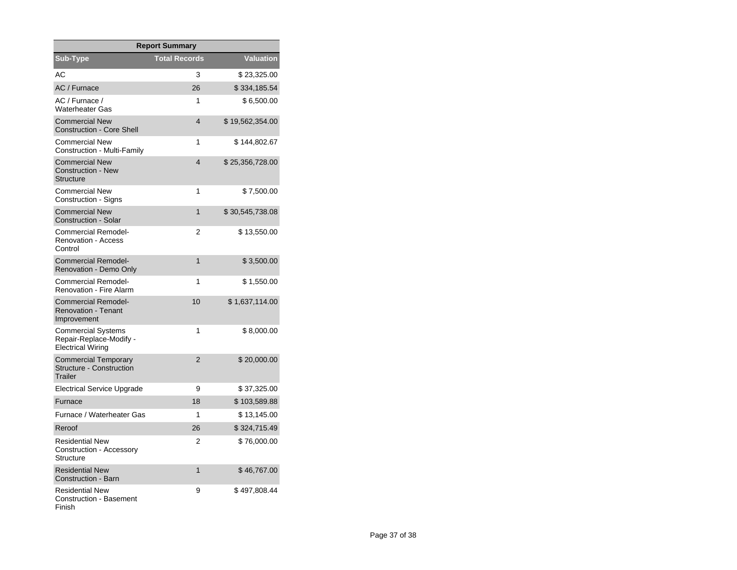| <b>Report Summary</b>                                                     |                         |                  |  |  |  |  |
|---------------------------------------------------------------------------|-------------------------|------------------|--|--|--|--|
| <b>Sub-Type</b>                                                           | <b>Total Records</b>    | <b>Valuation</b> |  |  |  |  |
| AC.                                                                       | 3                       | \$23,325.00      |  |  |  |  |
| AC / Furnace                                                              | 26                      | \$334,185.54     |  |  |  |  |
| AC / Furnace /<br><b>Waterheater Gas</b>                                  | 1                       | \$6,500.00       |  |  |  |  |
| <b>Commercial New</b><br><b>Construction - Core Shell</b>                 | $\overline{4}$          | \$19,562,354.00  |  |  |  |  |
| <b>Commercial New</b><br>Construction - Multi-Family                      | 1                       | \$144,802.67     |  |  |  |  |
| <b>Commercial New</b><br><b>Construction - New</b><br><b>Structure</b>    | $\overline{\mathbf{4}}$ | \$25,356,728.00  |  |  |  |  |
| <b>Commercial New</b><br>Construction - Signs                             | 1                       | \$7,500.00       |  |  |  |  |
| <b>Commercial New</b><br><b>Construction - Solar</b>                      | 1                       | \$30,545,738.08  |  |  |  |  |
| Commercial Remodel-<br><b>Renovation - Access</b><br>Control              | 2                       | \$13,550.00      |  |  |  |  |
| <b>Commercial Remodel-</b><br><b>Renovation - Demo Only</b>               | 1                       | \$3,500.00       |  |  |  |  |
| <b>Commercial Remodel-</b><br><b>Renovation - Fire Alarm</b>              | 1                       | \$1,550.00       |  |  |  |  |
| <b>Commercial Remodel-</b><br><b>Renovation - Tenant</b><br>Improvement   | 10                      | \$1,637,114.00   |  |  |  |  |
| Commercial Systems<br>Repair-Replace-Modify -<br><b>Electrical Wiring</b> | 1                       | \$8,000.00       |  |  |  |  |
| <b>Commercial Temporary</b><br><b>Structure - Construction</b><br>Trailer | $\overline{2}$          | \$20,000.00      |  |  |  |  |
| <b>Electrical Service Upgrade</b>                                         | 9                       | \$37,325.00      |  |  |  |  |
| Furnace                                                                   | 18                      | \$103,589.88     |  |  |  |  |
| Furnace / Waterheater Gas                                                 | 1                       | \$13,145.00      |  |  |  |  |
| Reroof                                                                    | 26                      | \$324,715.49     |  |  |  |  |
| <b>Residential New</b><br>Construction - Accessory<br>Structure           | 2                       | \$76,000.00      |  |  |  |  |
| <b>Residential New</b><br><b>Construction - Barn</b>                      | 1                       | \$46,767.00      |  |  |  |  |
| <b>Residential New</b><br><b>Construction - Basement</b><br>Finish        | 9                       | \$497,808.44     |  |  |  |  |